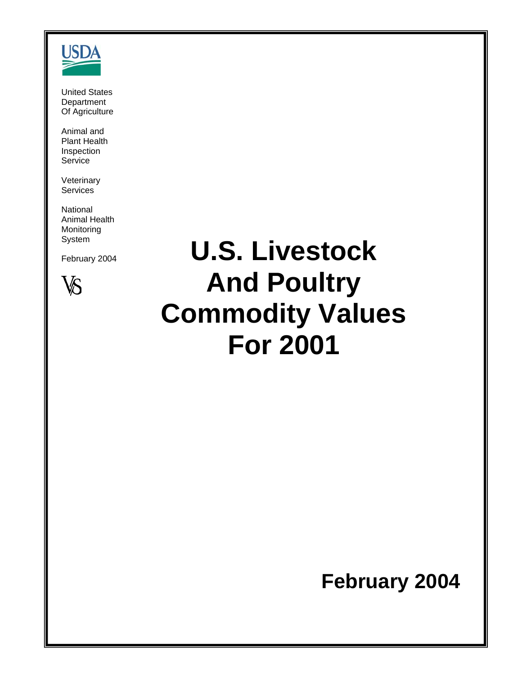

United States **Department** Of Agriculture

Animal and Plant Health Inspection **Service** 

**Veterinary** Services

National Animal Health Monitoring System

February 2004



# **U.S. Livestock And Poultry Commodity Values For 2001**

# **February 2004**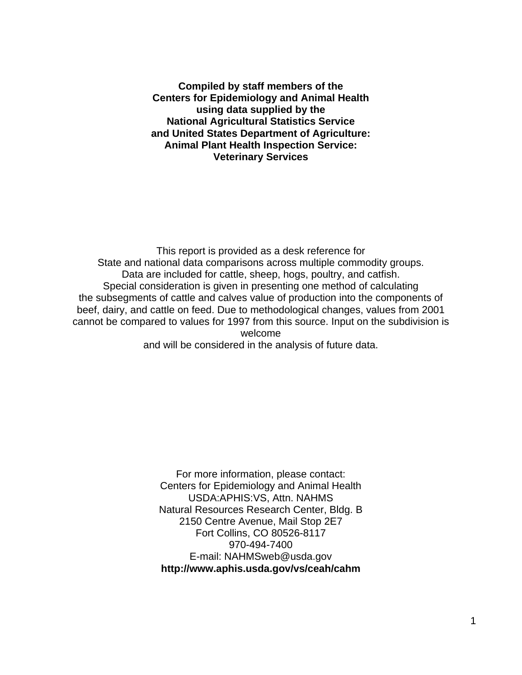**Compiled by staff members of the Centers for Epidemiology and Animal Health using data supplied by the National Agricultural Statistics Service and United States Department of Agriculture: Animal Plant Health Inspection Service: Veterinary Services** 

This report is provided as a desk reference for State and national data comparisons across multiple commodity groups. Data are included for cattle, sheep, hogs, poultry, and catfish. Special consideration is given in presenting one method of calculating the subsegments of cattle and calves value of production into the components of beef, dairy, and cattle on feed. Due to methodological changes, values from 2001 cannot be compared to values for 1997 from this source. Input on the subdivision is welcome and will be considered in the analysis of future data.

> For more information, please contact: Centers for Epidemiology and Animal Health USDA:APHIS:VS, Attn. NAHMS Natural Resources Research Center, Bldg. B 2150 Centre Avenue, Mail Stop 2E7 Fort Collins, CO 80526-8117 970-494-7400 E-mail: NAHMSweb@usda.gov **http://www.aphis.usda.gov/vs/ceah/cahm**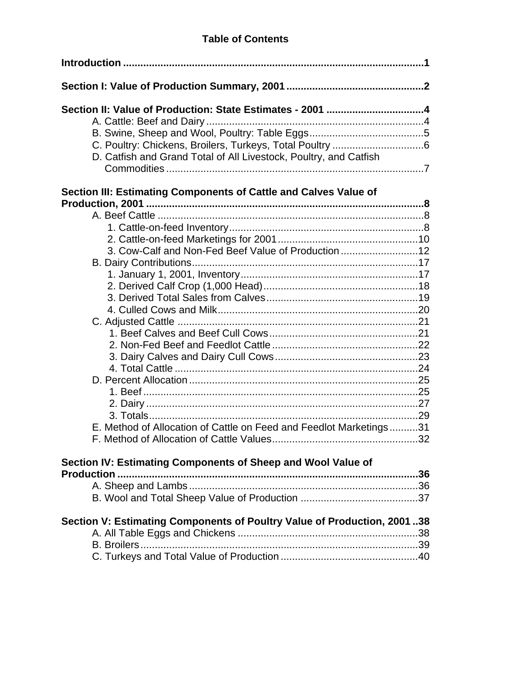# **Table of Contents**

| Section II: Value of Production: State Estimates - 2001 4               |  |
|-------------------------------------------------------------------------|--|
|                                                                         |  |
|                                                                         |  |
|                                                                         |  |
| D. Catfish and Grand Total of All Livestock, Poultry, and Catfish       |  |
|                                                                         |  |
| Section III: Estimating Components of Cattle and Calves Value of        |  |
|                                                                         |  |
|                                                                         |  |
|                                                                         |  |
|                                                                         |  |
| 3. Cow-Calf and Non-Fed Beef Value of Production 12                     |  |
|                                                                         |  |
|                                                                         |  |
|                                                                         |  |
|                                                                         |  |
|                                                                         |  |
|                                                                         |  |
|                                                                         |  |
|                                                                         |  |
|                                                                         |  |
|                                                                         |  |
|                                                                         |  |
|                                                                         |  |
|                                                                         |  |
| E. Method of Allocation of Cattle on Feed and Feedlot Marketings31      |  |
|                                                                         |  |
| Section IV: Estimating Components of Sheep and Wool Value of            |  |
|                                                                         |  |
|                                                                         |  |
|                                                                         |  |
| Section V: Estimating Components of Poultry Value of Production, 200138 |  |
|                                                                         |  |
|                                                                         |  |
|                                                                         |  |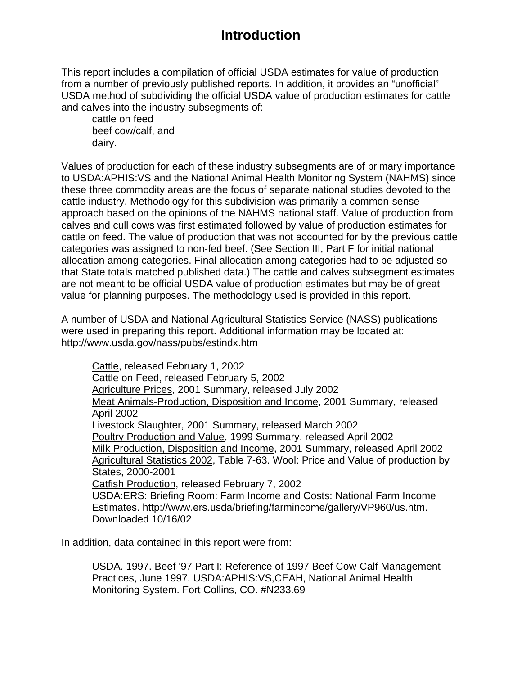# **Introduction**

This report includes a compilation of official USDA estimates for value of production from a number of previously published reports. In addition, it provides an "unofficial" USDA method of subdividing the official USDA value of production estimates for cattle and calves into the industry subsegments of:

cattle on feed beef cow/calf, and dairy.

Values of production for each of these industry subsegments are of primary importance to USDA:APHIS:VS and the National Animal Health Monitoring System (NAHMS) since these three commodity areas are the focus of separate national studies devoted to the cattle industry. Methodology for this subdivision was primarily a common-sense approach based on the opinions of the NAHMS national staff. Value of production from calves and cull cows was first estimated followed by value of production estimates for cattle on feed. The value of production that was not accounted for by the previous cattle categories was assigned to non-fed beef. (See Section III, Part F for initial national allocation among categories. Final allocation among categories had to be adjusted so that State totals matched published data.) The cattle and calves subsegment estimates are not meant to be official USDA value of production estimates but may be of great value for planning purposes. The methodology used is provided in this report.

A number of USDA and National Agricultural Statistics Service (NASS) publications were used in preparing this report. Additional information may be located at: http://www.usda.gov/nass/pubs/estindx.htm

 Cattle, released February 1, 2002 Cattle on Feed, released February 5, 2002 Agriculture Prices, 2001 Summary, released July 2002 Meat Animals-Production, Disposition and Income, 2001 Summary, released April 2002 Livestock Slaughter, 2001 Summary, released March 2002 Poultry Production and Value, 1999 Summary, released April 2002 Milk Production, Disposition and Income, 2001 Summary, released April 2002 Agricultural Statistics 2002, Table 7-63. Wool: Price and Value of production by States, 2000-2001 Catfish Production, released February 7, 2002 USDA:ERS: Briefing Room: Farm Income and Costs: National Farm Income Estimates. http://www.ers.usda/briefing/farmincome/gallery/VP960/us.htm. Downloaded 10/16/02

In addition, data contained in this report were from:

 USDA. 1997. Beef '97 Part I: Reference of 1997 Beef Cow-Calf Management Practices, June 1997. USDA:APHIS:VS,CEAH, National Animal Health Monitoring System. Fort Collins, CO. #N233.69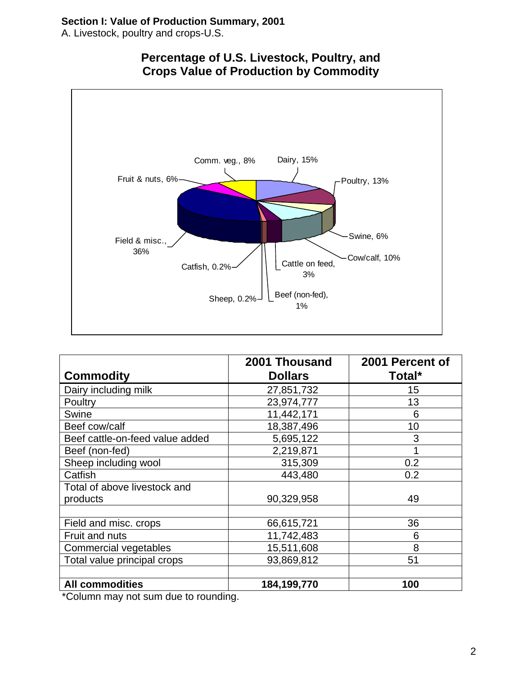# **Section I: Value of Production Summary, 2001**

A. Livestock, poultry and crops-U.S.



| Percentage of U.S. Livestock, Poultry, and    |  |
|-----------------------------------------------|--|
| <b>Crops Value of Production by Commodity</b> |  |

|                                 | 2001 Thousand  | 2001 Percent of |
|---------------------------------|----------------|-----------------|
| <b>Commodity</b>                | <b>Dollars</b> | Total*          |
| Dairy including milk            | 27,851,732     | 15              |
| Poultry                         | 23,974,777     | 13              |
| <b>Swine</b>                    | 11,442,171     | 6               |
| Beef cow/calf                   | 18,387,496     | 10              |
| Beef cattle-on-feed value added | 5,695,122      | 3               |
| Beef (non-fed)                  | 2,219,871      |                 |
| Sheep including wool            | 315,309        | 0.2             |
| Catfish                         | 443,480        | 0.2             |
| Total of above livestock and    |                |                 |
| products                        | 90,329,958     | 49              |
|                                 |                |                 |
| Field and misc. crops           | 66,615,721     | 36              |
| Fruit and nuts                  | 11,742,483     | 6               |
| <b>Commercial vegetables</b>    | 15,511,608     | 8               |
| Total value principal crops     | 93,869,812     | 51              |
|                                 |                |                 |
| <b>All commodities</b>          | 184,199,770    | 100             |

\*Column may not sum due to rounding.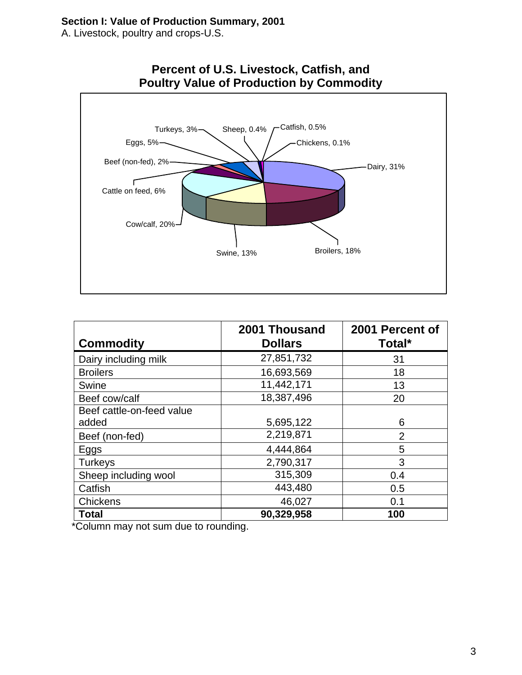A. Livestock, poultry and crops-U.S.



| <b>Commodity</b>                   | 2001 Thousand<br><b>Dollars</b> | 2001 Percent of<br>Total* |
|------------------------------------|---------------------------------|---------------------------|
| Dairy including milk               | 27,851,732                      | 31                        |
| <b>Broilers</b>                    | 16,693,569                      | 18                        |
| Swine                              | 11,442,171                      | 13                        |
| Beef cow/calf                      | 18,387,496                      | 20                        |
| Beef cattle-on-feed value<br>added | 5,695,122                       | 6                         |
| Beef (non-fed)                     | 2,219,871                       | $\overline{2}$            |
| Eggs                               | 4,444,864                       | 5                         |
| <b>Turkeys</b>                     | 2,790,317                       | 3                         |
| Sheep including wool               | 315,309                         | 0.4                       |
| Catfish                            | 443,480                         | 0.5                       |
| <b>Chickens</b>                    | 46,027                          | 0.1                       |
| <b>Total</b>                       | 90,329,958                      | 100                       |

\*Column may not sum due to rounding.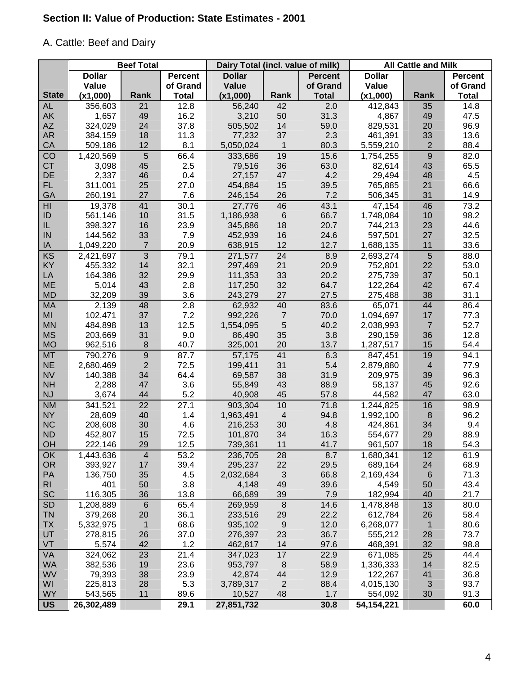A. Cattle: Beef and Dairy

|                 | <b>Beef Total</b>    |                               |              | Dairy Total (incl. value of milk) |                         |                | <b>All Cattle and Milk</b> |                |                |
|-----------------|----------------------|-------------------------------|--------------|-----------------------------------|-------------------------|----------------|----------------------------|----------------|----------------|
|                 | <b>Dollar</b>        |                               | Percent      | <b>Dollar</b>                     |                         | <b>Percent</b> | <b>Dollar</b>              |                | <b>Percent</b> |
|                 | Value                |                               | of Grand     | Value                             |                         | of Grand       | Value                      |                | of Grand       |
| <b>State</b>    | (x1,000)             | Rank                          | <b>Total</b> | (x1,000)                          | Rank                    | <b>Total</b>   | (x1,000)                   | Rank           | <b>Total</b>   |
| <b>AL</b>       | 356,603              | 21                            | 12.8         | 56,240                            | 42                      | 2.0            | 412,843                    | 35             | 14.8           |
| AK              | 1,657                | 49                            | 16.2         | 3,210                             | 50                      | 31.3           | 4,867                      | 49             | 47.5           |
| <b>AZ</b>       | 324,029              | 24                            | 37.8         | 505,502                           | 14                      | 59.0           | 829,531                    | 20             | 96.9           |
| <b>AR</b>       | 384,159              | 18                            | 11.3         | 77,232                            | 37                      | 2.3            | 461,391                    | 33             | 13.6           |
| CA              | 509,186              | 12                            | 8.1          | 5,050,024                         | 1                       | 80.3           | 5,559,210                  | 2              | 88.4           |
| CO              | 1,420,569            | 5                             | 66.4         | 333,686                           | 19                      | 15.6           | 1,754,255                  | $9\,$          | 82.0           |
| <b>CT</b>       | 3,098                | 45                            | 2.5          | 79,516                            | 36                      | 63.0           | 82,614                     | 43             | 65.5           |
| DE              | 2,337                | 46                            | 0.4          | 27,157                            | 47                      | 4.2            | 29,494                     | 48             | 4.5            |
| <b>FL</b><br>GA | 311,001              | 25<br>27                      | 27.0         | 454,884                           | 15<br>26                | 39.5<br>7.2    | 765,885                    | 21             | 66.6           |
| H <sub>l</sub>  | 260,191<br>19,378    | 41                            | 7.6<br>30.1  | 246,154<br>27,776                 | 46                      | 43.1           | 506,345<br>47,154          | 31<br>46       | 14.9<br>73.2   |
| ID              | 561,146              | 10                            | 31.5         | 1,186,938                         | 6                       | 66.7           | 1,748,084                  | 10             | 98.2           |
| IL              | 398,327              | 16                            | 23.9         | 345,886                           | 18                      | 20.7           | 744,213                    | 23             | 44.6           |
| IN              | 144,562              | 33                            | 7.9          | 452,939                           | 16                      | 24.6           | 597,501                    | 27             | 32.5           |
| IA              | 1,049,220            | $\overline{7}$                | 20.9         | 638,915                           | 12                      | 12.7           | 1,688,135                  | 11             | 33.6           |
| KS              | 2,421,697            | 3                             | 79.1         | 271,577                           | 24                      | 8.9            | 2,693,274                  | 5              | 88.0           |
| KY              | 455,332              | 14                            | 32.1         | 297,469                           | 21                      | 20.9           | 752,801                    | 22             | 53.0           |
| LA              | 164,386              | 32                            | 29.9         | 111,353                           | 33                      | 20.2           | 275,739                    | 37             | 50.1           |
| <b>ME</b>       | 5,014                | 43                            | 2.8          | 117,250                           | 32                      | 64.7           | 122,264                    | 42             | 67.4           |
| <b>MD</b>       | 32,209               | 39                            | 3.6          | 243,279                           | 27                      | 27.5           | 275,488                    | 38             | 31.1           |
| <b>MA</b>       | 2,139                | 48                            | 2.8          | 62,932                            | 40                      | 83.6           | 65,071                     | 44             | 86.4           |
| MI              | 102,471              | 37                            | 7.2          | 992,226                           | $\overline{7}$          | 70.0           | 1,094,697                  | 17             | 77.3           |
| <b>MN</b>       | 484,898              | 13                            | 12.5         | 1,554,095                         | 5                       | 40.2           | 2,038,993                  | 7              | 52.7           |
| <b>MS</b>       | 203,669              | 31                            | 9.0          | 86,490                            | 35                      | 3.8            | 290,159                    | 36             | 12.8           |
| <b>MO</b>       | 962,516              | 8                             | 40.7         | 325,001                           | 20                      | 13.7           | 1,287,517                  | 15             | 54.4           |
| <b>MT</b>       | 790,276              | $9$                           | 87.7         | 57,175                            | 41                      | 6.3            | 847,451                    | 19             | 94.1           |
| <b>NE</b>       | 2,680,469            | $\overline{2}$                | 72.5         | 199,411                           | 31                      | 5.4            | 2,879,880                  | $\overline{4}$ | 77.9           |
| <b>NV</b>       | 140,388              | 34                            | 64.4         | 69,587                            | 38                      | 31.9           | 209,975                    | 39             | 96.3           |
| <b>NH</b>       | 2,288                | 47                            | 3.6          | 55,849                            | 43                      | 88.9           | 58,137                     | 45             | 92.6           |
| <b>NJ</b>       | 3,674                | 44                            | 5.2          | 40,908                            | 45                      | 57.8           | 44,582                     | 47             | 63.0           |
| <b>NM</b>       | 341,521              | 22                            | 27.1         | 903,304                           | 10                      | 71.8           | 1,244,825                  | 16             | 98.9           |
| <b>NY</b>       | 28,609               | 40                            | 1.4          | 1,963,491                         | 4                       | 94.8           | 1,992,100                  | 8              | 96.2           |
| <b>NC</b>       | 208,608              | 30                            | 4.6          | 216,253                           | 30                      | 4.8            | 424,861                    | 34             | 9.4            |
| <b>ND</b>       | 452,807              | 15                            | 72.5         | 101,870                           | 34                      | 16.3           | 554,677                    | 29             | 88.9<br>54.3   |
| OH<br>OK        | 222,146<br>1,443,636 | 29<br>$\overline{\mathbf{4}}$ | 12.5<br>53.2 | 739,361                           | 11                      | 41.7<br>8.7    | 961,507                    | 18<br>12       |                |
| <b>OR</b>       | 393,927              | 17                            | 39.4         | 236,705<br>295,237                | 28<br>22                | 29.5           | 1,680,341<br>689,164       | 24             | 61.9<br>68.9   |
| PA              | 136,750              | 35                            | 4.5          | 2,032,684                         | 3                       | 66.8           | 2,169,434                  | 6              | 71.3           |
| R <sub>l</sub>  | 401                  | 50                            | 3.8          | 4,148                             | 49                      | 39.6           | 4,549                      | 50             | 43.4           |
| <b>SC</b>       | 116,305              | 36                            | 13.8         | 66,689                            | 39                      | 7.9            | 182,994                    | 40             | 21.7           |
| <b>SD</b>       | 1,208,889            | 6                             | 65.4         | 269,959                           | 8                       | 14.6           | 1,478,848                  | 13             | 80.0           |
| <b>TN</b>       | 379,268              | 20                            | 36.1         | 233,516                           | 29                      | 22.2           | 612,784                    | 26             | 58.4           |
| <b>TX</b>       | 5,332,975            | $\mathbf{1}$                  | 68.6         | 935,102                           | 9                       | 12.0           | 6,268,077                  | 1              | 80.6           |
| UT              | 278,815              | 26                            | 37.0         | 276,397                           | 23                      | 36.7           | 555,212                    | 28             | 73.7           |
| VT              | 5,574                | 42                            | 1.2          | 462,817                           | 14                      | 97.6           | 468,391                    | 32             | 98.8           |
| VA              | 324,062              | 23                            | 21.4         | 347,023                           | 17                      | 22.9           | 671,085                    | 25             | 44.4           |
| <b>WA</b>       | 382,536              | 19                            | 23.6         | 953,797                           | 8                       | 58.9           | 1,336,333                  | 14             | 82.5           |
| WV              | 79,393               | 38                            | 23.9         | 42,874                            | 44                      | 12.9           | 122,267                    | 41             | 36.8           |
| WI              | 225,813              | 28                            | 5.3          | 3,789,317                         | $\overline{\mathbf{c}}$ | 88.4           | 4,015,130                  | 3              | 93.7           |
| <b>WY</b>       | 543,565              | 11                            | 89.6         | 10,527                            | 48                      | 1.7            | 554,092                    | 30             | 91.3           |
| <b>US</b>       | 26,302,489           |                               | 29.1         | 27,851,732                        |                         | 30.8           | 54, 154, 221               |                | 60.0           |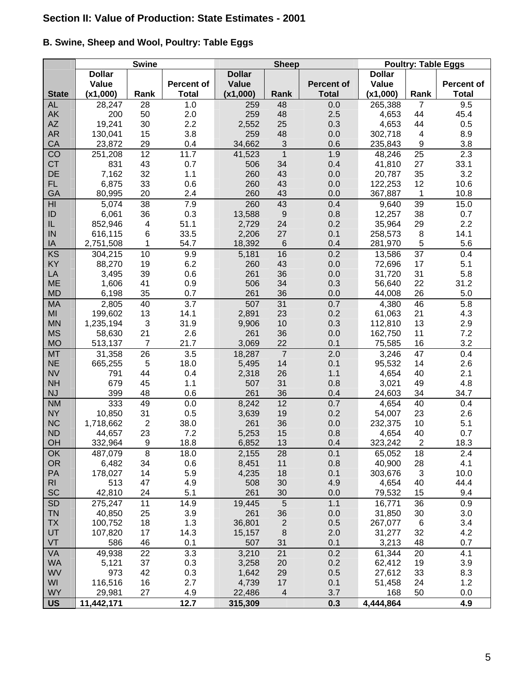# **B. Swine, Sheep and Wool, Poultry: Table Eggs**

|                             | <b>Swine</b>        |          |                   | <b>Sheep</b>  |                        |                   | <b>Poultry: Table Eggs</b> |                         |              |
|-----------------------------|---------------------|----------|-------------------|---------------|------------------------|-------------------|----------------------------|-------------------------|--------------|
|                             | <b>Dollar</b>       |          |                   | <b>Dollar</b> |                        |                   | <b>Dollar</b>              |                         |              |
|                             | Value               |          | <b>Percent of</b> | Value         |                        | <b>Percent of</b> | Value                      |                         | Percent of   |
| <b>State</b>                | (x1,000)            | Rank     | <b>Total</b>      | (x1,000)      | Rank                   | <b>Total</b>      | (x1,000)                   | Rank                    | <b>Total</b> |
| <b>AL</b>                   | $\overline{28,247}$ | 28       | 1.0               | 259           | 48                     | 0.0               | 265,388                    | $\overline{7}$          | 9.5          |
| <b>AK</b>                   | 200                 | 50       | 2.0               | 259           | 48                     | 2.5               | 4,653                      | 44                      | 45.4         |
| <b>AZ</b>                   | 19,241              | 30       | 2.2               | 2,552         | 25                     | 0.3               | 4,653                      | 44                      | 0.5          |
| <b>AR</b>                   | 130,041             | 15       | 3.8               | 259           | 48                     | 0.0               | 302,718                    | $\overline{\mathbf{4}}$ | 8.9          |
| CA                          | 23,872              | 29       | 0.4               | 34,662        | 3                      | 0.6               | 235,843                    | $\boldsymbol{9}$        | 3.8          |
| CO                          | 251,208             | 12       | 11.7              | 41,523        | $\overline{1}$         | 1.9               | 48,246                     | 25                      | 2.3          |
| <b>CT</b>                   | 831                 | 43       | 0.7               | 506           | 34                     | 0.4               | 41,810                     | 27                      | 33.1         |
| DE                          | 7,162               | 32       | 1.1               | 260           | 43                     | 0.0               | 20,787                     | 35                      | 3.2          |
| <b>FL</b>                   | 6,875               | 33       | 0.6               | 260           | 43                     | 0.0               | 122,253                    | 12                      | 10.6         |
| GA                          | 80,995              | 20       | 2.4               | 260           | 43                     | 0.0               | 367,887                    | 1                       | 10.8         |
| HI<br>ID                    | 5,074<br>6,061      | 38<br>36 | 7.9<br>0.3        | 260<br>13,588 | 43<br>$\boldsymbol{9}$ | 0.4<br>0.8        | 9,640<br>12,257            | 39<br>38                | 15.0<br>0.7  |
| IL.                         | 852,946             | 4        | 51.1              | 2,729         | 24                     | 0.2               | 35,964                     | 29                      | 2.2          |
| IN                          | 616,115             | 6        | 33.5              | 2,206         | 27                     | 0.1               | 258,573                    | 8                       | 14.1         |
| IA                          | 2,751,508           | 1        | 54.7              | 18,392        | 6                      | 0.4               | 281,970                    | 5                       | 5.6          |
| KS                          | 304,215             | 10       | 9.9               | 5,181         | 16                     | 0.2               | 13,586                     | 37                      | 0.4          |
| KY                          | 88,270              | 19       | 6.2               | 260           | 43                     | 0.0               | 72,696                     | 17                      | 5.1          |
| LA                          | 3,495               | 39       | 0.6               | 261           | 36                     | 0.0               | 31,720                     | 31                      | 5.8          |
| <b>ME</b>                   | 1,606               | 41       | 0.9               | 506           | 34                     | 0.3               | 56,640                     | 22                      | 31.2         |
| <b>MD</b>                   | 6,198               | 35       | 0.7               | 261           | 36                     | 0.0               | 44,008                     | 26                      | 5.0          |
| <b>MA</b>                   | 2,805               | 40       | 3.7               | 507           | 31                     | 0.7               | 4,380                      | 46                      | 5.8          |
| MI                          | 199,602             | 13       | 14.1              | 2,891         | 23                     | 0.2               | 61,063                     | 21                      | 4.3          |
| <b>MN</b>                   | 1,235,194           | 3        | 31.9              | 9,906         | 10                     | 0.3               | 112,810                    | 13                      | 2.9          |
| <b>MS</b>                   | 58,630              | 21       | 2.6               | 261           | 36                     | 0.0               | 162,750                    | 11                      | 7.2          |
| <b>MO</b>                   | 513,137             | 7        | 21.7              | 3,069         | 22                     | 0.1               | 75,585                     | 16                      | 3.2          |
| <b>MT</b>                   | 31,358              | 26       | 3.5               | 18,287        | $\overline{7}$         | 2.0               | 3,246                      | 47                      | 0.4          |
| <b>NE</b>                   | 665,255             | 5        | 18.0              | 5,495         | 14                     | 0.1               | 95,532                     | 14                      | 2.6          |
| <b>NV</b>                   | 791                 | 44       | 0.4               | 2,318         | 26                     | 1.1               | 4,654                      | 40                      | 2.1          |
| <b>NH</b>                   | 679                 | 45       | 1.1               | 507           | 31                     | 0.8               | 3,021                      | 49                      | 4.8          |
| <b>NJ</b>                   | 399                 | 48       | 0.6               | 261           | 36                     | 0.4               | 24,603                     | 34                      | 34.7         |
| <b>NM</b>                   | 333                 | 49       | 0.0               | 8,242         | 12                     | 0.7               | 4,654                      | 40                      | 0.4          |
| <b>NY</b>                   | 10,850              | 31       | 0.5               | 3,639         | 19                     | 0.2               | 54,007                     | 23                      | 2.6          |
| <b>NC</b>                   | 1,718,662           | 2        | 38.0              | 261           | 36                     | 0.0               | 232,375                    | 10                      | 5.1          |
| <b>ND</b>                   | 44,657              | 23       | 7.2               | 5,253         | 15                     | 0.8               | 4,654                      | 40                      | 0.7          |
| OH                          | 332,964             | 9        | 18.8              | 6,852         | 13                     | 0.4               | 323,242                    | $\boldsymbol{2}$        | 18.3         |
| OK                          | 487,079             | $\bf 8$  | 18.0              | 2,155         | 28                     | 0.1               | 65,052                     | 18                      | 2.4          |
| <b>OR</b>                   | 6,482               | 34       | 0.6               | 8,451         | 11                     | 0.8               | 40,900                     | 28                      | 4.1          |
| PA                          | 178,027             | 14       | 5.9               | 4,235         | 18                     | 0.1               | 303,676                    | $\sqrt{3}$              | 10.0         |
| R <sub>l</sub><br><b>SC</b> | 513<br>42,810       | 47       | 4.9               | 508<br>261    | 30                     | 4.9               | 4,654<br>79,532            | 40<br>15                | 44.4<br>9.4  |
| <b>SD</b>                   | 275,247             | 24<br>11 | 5.1<br>14.9       | 19,445        | 30<br>5                | 0.0<br>1.1        | 16,771                     | 36                      | 0.9          |
| <b>TN</b>                   | 40,850              | 25       | 3.9               | 261           | 36                     | 0.0               | 31,850                     | 30                      | 3.0          |
| <b>TX</b>                   | 100,752             | 18       | 1.3               | 36,801        | $\overline{c}$         | 0.5               | 267,077                    | 6                       | 3.4          |
| UT                          | 107,820             | 17       | 14.3              | 15,157        | 8                      | 2.0               | 31,277                     | 32                      | 4.2          |
| VT                          | 586                 | 46       | 0.1               | 507           | 31                     | 0.1               | 3,213                      | 48                      | 0.7          |
| VA                          | 49,938              | 22       | 3.3               | 3,210         | 21                     | 0.2               | 61,344                     | 20                      | 4.1          |
| <b>WA</b>                   | 5,121               | 37       | 0.3               | 3,258         | 20                     | 0.2               | 62,412                     | 19                      | 3.9          |
| <b>WV</b>                   | 973                 | 42       | 0.3               | 1,642         | 29                     | 0.5               | 27,612                     | 33                      | 8.3          |
| WI                          | 116,516             | 16       | 2.7               | 4,739         | 17                     | 0.1               | 51,458                     | 24                      | 1.2          |
| <b>WY</b>                   | 29,981              | 27       | 4.9               | 22,486        | 4                      | 3.7               | 168                        | 50                      | 0.0          |
| <b>US</b>                   | 11,442,171          |          | 12.7              | 315,309       |                        | 0.3               | 4,444,864                  |                         | 4.9          |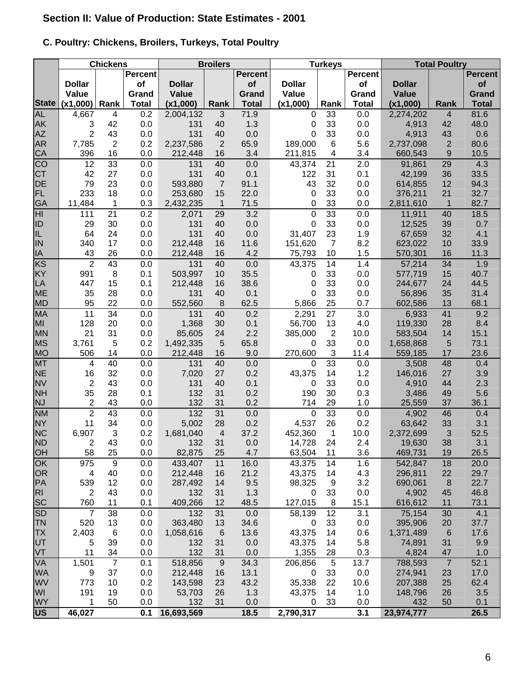|  | C. Poultry: Chickens, Broilers, Turkeys, Total Poultry |  |  |
|--|--------------------------------------------------------|--|--|
|  |                                                        |  |  |

| <b>Percent</b><br><b>Percent</b><br><b>Percent</b><br><b>Percent</b><br>of<br><b>Dollar</b><br><b>Dollar</b><br>of<br>of<br><b>Dollar</b><br>of<br><b>Dollar</b><br>Value<br>Grand<br>Value<br>Grand<br>Value<br>Grand<br><b>Value</b><br>Grand<br><b>State</b><br><b>Total</b><br>(x1,000)<br>Rank<br><b>Total</b><br>(x1,000)<br><b>Total</b><br>(x1,000)<br><b>Total</b><br>(x1,000)<br>Rank<br>Rank<br>Rank<br><b>AL</b><br>4,667<br>0.2<br>71.9<br>33<br>81.6<br>2,004,132<br>3<br>0.0<br>2,274,202<br>4<br>0<br>4<br>AK<br>AZ<br>AR<br><u>CA</u><br>CO<br>0.0<br>33<br>48.0<br>42<br>40<br>1.3<br>0.0<br>4,913<br>42<br>3<br>131<br>0<br>$\overline{2}$<br>43<br>131<br>0.0<br>33<br>0.6<br>0.0<br>40<br>0.0<br>4,913<br>43<br>0<br>7,785<br>$\overline{2}$<br>0.2<br>189,000<br>80.6<br>2,237,586<br>$\overline{2}$<br>65.9<br>6<br>5.6<br>2,737,098<br>$\overline{2}$<br>396<br>16<br>0.0<br>16<br>$9\,$<br>10.5<br>212,448<br>3.4<br>211,815<br>4<br>3.4<br>660,543<br>33<br>0.0<br>131<br>40<br>0.0<br>21<br>2.0<br>29<br>4.3<br>12<br>43,374<br>91,861<br>CT DE L GA H ID IL IN IA<br>31<br>42<br>27<br>0.0<br>131<br>40<br>0.1<br>122<br>36<br>33.5<br>0.1<br>42,199<br>32<br>94.3<br>79<br>23<br>0.0<br>593,880<br>$\overline{7}$<br>91.1<br>43<br>12<br>0.0<br>614,855<br>33<br>32.7<br>233<br>18<br>0.0<br>253,680<br>15<br>22.0<br>376,211<br>21<br>0.0<br>0<br>33<br>82.7<br>11,484<br>1<br>0.3<br>$\mathbf{1}$<br>71.5<br>2,432,235<br>0<br>0.0<br>2,811,610<br>$\mathbf 1$<br>0.2<br>33<br>18.5<br>111<br>21<br>29<br>3.2<br>0.0<br>40<br>2,071<br>0<br>11,911<br>33<br>30<br>0.0<br>131<br>40<br>0.0<br>12,525<br>39<br>0.7<br>29<br>0<br>0.0<br>131<br>23<br>64<br>40<br>0.0<br>31,407<br>67,659<br>32<br>4.1<br>24<br>0.0<br>1.9<br>33.9<br>17<br>212,448<br>151,620<br>$\overline{7}$<br>623,022<br>340<br>0.0<br>16<br>11.6<br>8.2<br>10<br>43<br>10<br>26<br>0.0<br>212,448<br>16<br>4.2<br>75,793<br>1.5<br>570,301<br>16<br>11.3<br>$\overline{\text{KS}}$<br>$\overline{2}$<br>0.0<br>43<br>131<br>40<br>14<br>1.4<br>57,214<br>34<br>1.9<br>0.0<br>43,375<br>KY<br>40.7<br>991<br>8<br>503,997<br>35.5<br>33<br>0.0<br>577,719<br>0.1<br>10<br>15<br>0<br>LA<br>ME<br>38.6<br>33<br>244,677<br>44.5<br>447<br>15<br>0.1<br>212,448<br>16<br>0.0<br>24<br>0<br>33<br>35<br>31.4<br>35<br>28<br>0.0<br>131<br>40<br>0.1<br>0.0<br>56,896<br>$\Omega$<br><b>MD</b><br>62.5<br>25<br>68.1<br>95<br>22<br>0.0<br>552,560<br>8<br>0.7<br>602,586<br>13<br>5,866<br><b>MA</b><br>11<br>40<br>2,291<br>27<br>3.0<br>9.2<br>34<br>0.0<br>131<br>0.2<br>6,933<br>41<br>M <sub>l</sub><br>20<br>0.1<br>56,700<br>13<br>8.4<br>128<br>0.0<br>1,368<br>30<br>4.0<br>119,330<br>28<br><b>MN</b><br>21<br>85,605<br>2.2<br>$\overline{2}$<br>583,504<br>15.1<br>31<br>0.0<br>24<br>385,000<br>10.0<br>14<br><b>MS</b><br>73.1<br>3,761<br>0.2<br>5<br>65.8<br>33<br>5<br>1,492,335<br>0.0<br>1,658,868<br>5<br>0<br><b>MO</b><br>14<br>0.0<br>16<br>9.0<br>3<br>17<br>23.6<br>506<br>212,448<br>270,600<br>11.4<br>559,185<br><b>MT</b><br>40<br>33<br>40<br>0.0<br>131<br>0.0<br>0.0<br>48<br>0.4<br>4<br>$\Omega$<br>3,508<br>NE<br>NA<br>NA<br>NA<br>NA<br>NA<br>NE<br>32<br>0.0<br>27<br>0.2<br>14<br>27<br>3.9<br>16<br>7,020<br>43,375<br>1.2<br>146,016<br>$\overline{2}$<br>2.3<br>43<br>0.0<br>131<br>40<br>0.1<br>33<br>0.0<br>4,910<br>44<br>0<br>0.2<br>35<br>28<br>0.1<br>132<br>31<br>30<br>0.3<br>5.6<br>190<br>3,486<br>49<br>0.2<br>$\overline{2}$<br>43<br>0.0<br>132<br>31<br>29<br>37<br>36.1<br>714<br>1.0<br>25,559<br>$\overline{2}$<br>43<br>$\mathbf 0$<br>33<br>0.0<br>132<br>31<br>0.0<br>0.4<br>0.0<br>4,902<br>46<br>11<br>34<br>0.0<br>5,002<br>28<br>0.2<br>4,537<br>26<br>0.2<br>33<br>3.1<br>63,642<br>6,907<br>3<br>0.2<br>4<br>37.2<br>10.0<br>3<br>52.5<br>1,681,040<br>452,360<br>1<br>2,372,699<br><b>ND</b><br>$\overline{2}$<br>43<br>0.0<br>132<br>0.0<br>14,728<br>19,630<br>3.1<br>31<br>24<br>2.4<br>38<br>$\frac{OH}{OK}$<br>58<br>82,875<br>3.6<br>26.5<br>25<br>0.0<br>25<br>4.7<br>63,504<br>11<br>469,731<br>19<br>9<br>433,407<br>16.0<br>43,375<br>20.0<br>975<br>0.0<br>11<br>14<br>1.6<br>542,847<br>18<br>OR<br>212,448<br>21.2<br>29.7<br>4<br>40<br>0.0<br>16<br>43,375<br>14<br>4.3<br>296,811<br>22<br>12<br>9.5<br>22.7<br>539<br>287,492<br>98,325<br>9<br>3.2<br>690,061<br>8<br>0.0<br>14<br>RI<br>46.8<br>$\overline{2}$<br>43<br>0.0<br>132<br>31<br>1.3<br>33<br>0.0<br>4,902<br>45<br>0<br>SC<br>SD<br>760<br>11<br>409,266<br>12<br>48.5<br>127,015<br>8<br>15.1<br>616,612<br>73.1<br>0.1<br>11<br>$\overline{7}$<br>132<br>12<br>3.1<br>4.1<br>38<br>0.0<br>58,139<br>75,154<br>30<br>0.0<br>31<br><b>TN</b><br>37.7<br>520<br>13<br>0.0<br>363,480<br>13<br>34.6<br>33<br>395,906<br>20<br>0<br>0.0<br><b>TX</b><br>2,403<br>17.6<br>6<br>0.0<br>1,058,616<br>$6\phantom{1}6$<br>13.6<br>43,375<br>14<br>6<br>0.6<br>1,371,489<br>UT<br>VT<br>VA<br>39<br>9.9<br>0.0<br>31<br>0.0<br>43,375<br>14<br>5.8<br>31<br>5<br>132<br>74,891<br>11<br>34<br>0.0<br>132<br>31<br>28<br>0.0<br>1,355<br>0.3<br>4,824<br>47<br>1.0<br>$\overline{7}$<br>5<br>1,501<br>518,856<br>9<br>34.3<br>$\overline{7}$<br>52.1<br>0.1<br>206,856<br>13.7<br>788,593<br><b>WA</b><br>17.0<br>37<br>0.0<br>212,448<br>16<br>13.1<br>33<br>0.0<br>9<br>274,941<br>23<br>0<br>WV<br>0.2<br>43.2<br>35,338<br>22<br>25<br>62.4<br>773<br>10<br>143,598<br>23<br>10.6<br>207,388<br>WI<br>191<br>19<br>0.0<br>53,703<br>1.3<br>26<br>3.5<br>26<br>43,375<br>14<br>1.0<br>148,796<br><b>WY</b><br>1<br>50<br>132<br>33<br>0.0<br>31<br>0.0<br>0<br>432<br>50<br>0.1<br>0.0<br><u>US</u><br>46,027<br>16,693,569<br>2,790,317<br>23,974,777<br>26.5<br>0.1<br>18.5<br>3.1 |    | <b>Chickens</b> |  | <b>Broilers</b> |  |  | <b>Turkeys</b> |  |  | <b>Total Poultry</b> |  |  |  |
|----------------------------------------------------------------------------------------------------------------------------------------------------------------------------------------------------------------------------------------------------------------------------------------------------------------------------------------------------------------------------------------------------------------------------------------------------------------------------------------------------------------------------------------------------------------------------------------------------------------------------------------------------------------------------------------------------------------------------------------------------------------------------------------------------------------------------------------------------------------------------------------------------------------------------------------------------------------------------------------------------------------------------------------------------------------------------------------------------------------------------------------------------------------------------------------------------------------------------------------------------------------------------------------------------------------------------------------------------------------------------------------------------------------------------------------------------------------------------------------------------------------------------------------------------------------------------------------------------------------------------------------------------------------------------------------------------------------------------------------------------------------------------------------------------------------------------------------------------------------------------------------------------------------------------------------------------------------------------------------------------------------------------------------------------------------------------------------------------------------------------------------------------------------------------------------------------------------------------------------------------------------------------------------------------------------------------------------------------------------------------------------------------------------------------------------------------------------------------------------------------------------------------------------------------------------------------------------------------------------------------------------------------------------------------------------------------------------------------------------------------------------------------------------------------------------------------------------------------------------------------------------------------------------------------------------------------------------------------------------------------------------------------------------------------------------------------------------------------------------------------------------------------------------------------------------------------------------------------------------------------------------------------------------------------------------------------------------------------------------------------------------------------------------------------------------------------------------------------------------------------------------------------------------------------------------------------------------------------------------------------------------------------------------------------------------------------------------------------------------------------------------------------------------------------------------------------------------------------------------------------------------------------------------------------------------------------------------------------------------------------------------------------------------------------------------------------------------------------------------------------------------------------------------------------------------------------------------------------------------------------------------------------------------------------------------------------------------------------------------------------------------------------------------------------------------------------------------------------------------------------------------------------------------------------------------------------------------------------------------------------------------------------------------------------------------------------------------------------------------------------------------------------------------------------------------------------------------------------------------------------------------------------------------------------------------------------------------------------------------------------------------------------------------------------------------------------------------------------------------------------------------------------------------------------------------------------------------------------------------------------------------------------------------------------------------------------------------------------------------------------------------------------------------------------------------------------------------------------------------------------------------------------------------------------------------------------------------------------------------------------------------------------------------------------------------------------------------------------------|----|-----------------|--|-----------------|--|--|----------------|--|--|----------------------|--|--|--|
|                                                                                                                                                                                                                                                                                                                                                                                                                                                                                                                                                                                                                                                                                                                                                                                                                                                                                                                                                                                                                                                                                                                                                                                                                                                                                                                                                                                                                                                                                                                                                                                                                                                                                                                                                                                                                                                                                                                                                                                                                                                                                                                                                                                                                                                                                                                                                                                                                                                                                                                                                                                                                                                                                                                                                                                                                                                                                                                                                                                                                                                                                                                                                                                                                                                                                                                                                                                                                                                                                                                                                                                                                                                                                                                                                                                                                                                                                                                                                                                                                                                                                                                                                                                                                                                                                                                                                                                                                                                                                                                                                                                                                                                                                                                                                                                                                                                                                                                                                                                                                                                                                                                                                                                                                                                                                                                                                                                                                                                                                                                                                                                                                                                                                                                                  |    |                 |  |                 |  |  |                |  |  |                      |  |  |  |
|                                                                                                                                                                                                                                                                                                                                                                                                                                                                                                                                                                                                                                                                                                                                                                                                                                                                                                                                                                                                                                                                                                                                                                                                                                                                                                                                                                                                                                                                                                                                                                                                                                                                                                                                                                                                                                                                                                                                                                                                                                                                                                                                                                                                                                                                                                                                                                                                                                                                                                                                                                                                                                                                                                                                                                                                                                                                                                                                                                                                                                                                                                                                                                                                                                                                                                                                                                                                                                                                                                                                                                                                                                                                                                                                                                                                                                                                                                                                                                                                                                                                                                                                                                                                                                                                                                                                                                                                                                                                                                                                                                                                                                                                                                                                                                                                                                                                                                                                                                                                                                                                                                                                                                                                                                                                                                                                                                                                                                                                                                                                                                                                                                                                                                                                  |    |                 |  |                 |  |  |                |  |  |                      |  |  |  |
|                                                                                                                                                                                                                                                                                                                                                                                                                                                                                                                                                                                                                                                                                                                                                                                                                                                                                                                                                                                                                                                                                                                                                                                                                                                                                                                                                                                                                                                                                                                                                                                                                                                                                                                                                                                                                                                                                                                                                                                                                                                                                                                                                                                                                                                                                                                                                                                                                                                                                                                                                                                                                                                                                                                                                                                                                                                                                                                                                                                                                                                                                                                                                                                                                                                                                                                                                                                                                                                                                                                                                                                                                                                                                                                                                                                                                                                                                                                                                                                                                                                                                                                                                                                                                                                                                                                                                                                                                                                                                                                                                                                                                                                                                                                                                                                                                                                                                                                                                                                                                                                                                                                                                                                                                                                                                                                                                                                                                                                                                                                                                                                                                                                                                                                                  |    |                 |  |                 |  |  |                |  |  |                      |  |  |  |
|                                                                                                                                                                                                                                                                                                                                                                                                                                                                                                                                                                                                                                                                                                                                                                                                                                                                                                                                                                                                                                                                                                                                                                                                                                                                                                                                                                                                                                                                                                                                                                                                                                                                                                                                                                                                                                                                                                                                                                                                                                                                                                                                                                                                                                                                                                                                                                                                                                                                                                                                                                                                                                                                                                                                                                                                                                                                                                                                                                                                                                                                                                                                                                                                                                                                                                                                                                                                                                                                                                                                                                                                                                                                                                                                                                                                                                                                                                                                                                                                                                                                                                                                                                                                                                                                                                                                                                                                                                                                                                                                                                                                                                                                                                                                                                                                                                                                                                                                                                                                                                                                                                                                                                                                                                                                                                                                                                                                                                                                                                                                                                                                                                                                                                                                  |    |                 |  |                 |  |  |                |  |  |                      |  |  |  |
|                                                                                                                                                                                                                                                                                                                                                                                                                                                                                                                                                                                                                                                                                                                                                                                                                                                                                                                                                                                                                                                                                                                                                                                                                                                                                                                                                                                                                                                                                                                                                                                                                                                                                                                                                                                                                                                                                                                                                                                                                                                                                                                                                                                                                                                                                                                                                                                                                                                                                                                                                                                                                                                                                                                                                                                                                                                                                                                                                                                                                                                                                                                                                                                                                                                                                                                                                                                                                                                                                                                                                                                                                                                                                                                                                                                                                                                                                                                                                                                                                                                                                                                                                                                                                                                                                                                                                                                                                                                                                                                                                                                                                                                                                                                                                                                                                                                                                                                                                                                                                                                                                                                                                                                                                                                                                                                                                                                                                                                                                                                                                                                                                                                                                                                                  |    |                 |  |                 |  |  |                |  |  |                      |  |  |  |
|                                                                                                                                                                                                                                                                                                                                                                                                                                                                                                                                                                                                                                                                                                                                                                                                                                                                                                                                                                                                                                                                                                                                                                                                                                                                                                                                                                                                                                                                                                                                                                                                                                                                                                                                                                                                                                                                                                                                                                                                                                                                                                                                                                                                                                                                                                                                                                                                                                                                                                                                                                                                                                                                                                                                                                                                                                                                                                                                                                                                                                                                                                                                                                                                                                                                                                                                                                                                                                                                                                                                                                                                                                                                                                                                                                                                                                                                                                                                                                                                                                                                                                                                                                                                                                                                                                                                                                                                                                                                                                                                                                                                                                                                                                                                                                                                                                                                                                                                                                                                                                                                                                                                                                                                                                                                                                                                                                                                                                                                                                                                                                                                                                                                                                                                  |    |                 |  |                 |  |  |                |  |  |                      |  |  |  |
|                                                                                                                                                                                                                                                                                                                                                                                                                                                                                                                                                                                                                                                                                                                                                                                                                                                                                                                                                                                                                                                                                                                                                                                                                                                                                                                                                                                                                                                                                                                                                                                                                                                                                                                                                                                                                                                                                                                                                                                                                                                                                                                                                                                                                                                                                                                                                                                                                                                                                                                                                                                                                                                                                                                                                                                                                                                                                                                                                                                                                                                                                                                                                                                                                                                                                                                                                                                                                                                                                                                                                                                                                                                                                                                                                                                                                                                                                                                                                                                                                                                                                                                                                                                                                                                                                                                                                                                                                                                                                                                                                                                                                                                                                                                                                                                                                                                                                                                                                                                                                                                                                                                                                                                                                                                                                                                                                                                                                                                                                                                                                                                                                                                                                                                                  |    |                 |  |                 |  |  |                |  |  |                      |  |  |  |
|                                                                                                                                                                                                                                                                                                                                                                                                                                                                                                                                                                                                                                                                                                                                                                                                                                                                                                                                                                                                                                                                                                                                                                                                                                                                                                                                                                                                                                                                                                                                                                                                                                                                                                                                                                                                                                                                                                                                                                                                                                                                                                                                                                                                                                                                                                                                                                                                                                                                                                                                                                                                                                                                                                                                                                                                                                                                                                                                                                                                                                                                                                                                                                                                                                                                                                                                                                                                                                                                                                                                                                                                                                                                                                                                                                                                                                                                                                                                                                                                                                                                                                                                                                                                                                                                                                                                                                                                                                                                                                                                                                                                                                                                                                                                                                                                                                                                                                                                                                                                                                                                                                                                                                                                                                                                                                                                                                                                                                                                                                                                                                                                                                                                                                                                  |    |                 |  |                 |  |  |                |  |  |                      |  |  |  |
|                                                                                                                                                                                                                                                                                                                                                                                                                                                                                                                                                                                                                                                                                                                                                                                                                                                                                                                                                                                                                                                                                                                                                                                                                                                                                                                                                                                                                                                                                                                                                                                                                                                                                                                                                                                                                                                                                                                                                                                                                                                                                                                                                                                                                                                                                                                                                                                                                                                                                                                                                                                                                                                                                                                                                                                                                                                                                                                                                                                                                                                                                                                                                                                                                                                                                                                                                                                                                                                                                                                                                                                                                                                                                                                                                                                                                                                                                                                                                                                                                                                                                                                                                                                                                                                                                                                                                                                                                                                                                                                                                                                                                                                                                                                                                                                                                                                                                                                                                                                                                                                                                                                                                                                                                                                                                                                                                                                                                                                                                                                                                                                                                                                                                                                                  |    |                 |  |                 |  |  |                |  |  |                      |  |  |  |
|                                                                                                                                                                                                                                                                                                                                                                                                                                                                                                                                                                                                                                                                                                                                                                                                                                                                                                                                                                                                                                                                                                                                                                                                                                                                                                                                                                                                                                                                                                                                                                                                                                                                                                                                                                                                                                                                                                                                                                                                                                                                                                                                                                                                                                                                                                                                                                                                                                                                                                                                                                                                                                                                                                                                                                                                                                                                                                                                                                                                                                                                                                                                                                                                                                                                                                                                                                                                                                                                                                                                                                                                                                                                                                                                                                                                                                                                                                                                                                                                                                                                                                                                                                                                                                                                                                                                                                                                                                                                                                                                                                                                                                                                                                                                                                                                                                                                                                                                                                                                                                                                                                                                                                                                                                                                                                                                                                                                                                                                                                                                                                                                                                                                                                                                  |    |                 |  |                 |  |  |                |  |  |                      |  |  |  |
|                                                                                                                                                                                                                                                                                                                                                                                                                                                                                                                                                                                                                                                                                                                                                                                                                                                                                                                                                                                                                                                                                                                                                                                                                                                                                                                                                                                                                                                                                                                                                                                                                                                                                                                                                                                                                                                                                                                                                                                                                                                                                                                                                                                                                                                                                                                                                                                                                                                                                                                                                                                                                                                                                                                                                                                                                                                                                                                                                                                                                                                                                                                                                                                                                                                                                                                                                                                                                                                                                                                                                                                                                                                                                                                                                                                                                                                                                                                                                                                                                                                                                                                                                                                                                                                                                                                                                                                                                                                                                                                                                                                                                                                                                                                                                                                                                                                                                                                                                                                                                                                                                                                                                                                                                                                                                                                                                                                                                                                                                                                                                                                                                                                                                                                                  |    |                 |  |                 |  |  |                |  |  |                      |  |  |  |
|                                                                                                                                                                                                                                                                                                                                                                                                                                                                                                                                                                                                                                                                                                                                                                                                                                                                                                                                                                                                                                                                                                                                                                                                                                                                                                                                                                                                                                                                                                                                                                                                                                                                                                                                                                                                                                                                                                                                                                                                                                                                                                                                                                                                                                                                                                                                                                                                                                                                                                                                                                                                                                                                                                                                                                                                                                                                                                                                                                                                                                                                                                                                                                                                                                                                                                                                                                                                                                                                                                                                                                                                                                                                                                                                                                                                                                                                                                                                                                                                                                                                                                                                                                                                                                                                                                                                                                                                                                                                                                                                                                                                                                                                                                                                                                                                                                                                                                                                                                                                                                                                                                                                                                                                                                                                                                                                                                                                                                                                                                                                                                                                                                                                                                                                  |    |                 |  |                 |  |  |                |  |  |                      |  |  |  |
|                                                                                                                                                                                                                                                                                                                                                                                                                                                                                                                                                                                                                                                                                                                                                                                                                                                                                                                                                                                                                                                                                                                                                                                                                                                                                                                                                                                                                                                                                                                                                                                                                                                                                                                                                                                                                                                                                                                                                                                                                                                                                                                                                                                                                                                                                                                                                                                                                                                                                                                                                                                                                                                                                                                                                                                                                                                                                                                                                                                                                                                                                                                                                                                                                                                                                                                                                                                                                                                                                                                                                                                                                                                                                                                                                                                                                                                                                                                                                                                                                                                                                                                                                                                                                                                                                                                                                                                                                                                                                                                                                                                                                                                                                                                                                                                                                                                                                                                                                                                                                                                                                                                                                                                                                                                                                                                                                                                                                                                                                                                                                                                                                                                                                                                                  |    |                 |  |                 |  |  |                |  |  |                      |  |  |  |
|                                                                                                                                                                                                                                                                                                                                                                                                                                                                                                                                                                                                                                                                                                                                                                                                                                                                                                                                                                                                                                                                                                                                                                                                                                                                                                                                                                                                                                                                                                                                                                                                                                                                                                                                                                                                                                                                                                                                                                                                                                                                                                                                                                                                                                                                                                                                                                                                                                                                                                                                                                                                                                                                                                                                                                                                                                                                                                                                                                                                                                                                                                                                                                                                                                                                                                                                                                                                                                                                                                                                                                                                                                                                                                                                                                                                                                                                                                                                                                                                                                                                                                                                                                                                                                                                                                                                                                                                                                                                                                                                                                                                                                                                                                                                                                                                                                                                                                                                                                                                                                                                                                                                                                                                                                                                                                                                                                                                                                                                                                                                                                                                                                                                                                                                  |    |                 |  |                 |  |  |                |  |  |                      |  |  |  |
|                                                                                                                                                                                                                                                                                                                                                                                                                                                                                                                                                                                                                                                                                                                                                                                                                                                                                                                                                                                                                                                                                                                                                                                                                                                                                                                                                                                                                                                                                                                                                                                                                                                                                                                                                                                                                                                                                                                                                                                                                                                                                                                                                                                                                                                                                                                                                                                                                                                                                                                                                                                                                                                                                                                                                                                                                                                                                                                                                                                                                                                                                                                                                                                                                                                                                                                                                                                                                                                                                                                                                                                                                                                                                                                                                                                                                                                                                                                                                                                                                                                                                                                                                                                                                                                                                                                                                                                                                                                                                                                                                                                                                                                                                                                                                                                                                                                                                                                                                                                                                                                                                                                                                                                                                                                                                                                                                                                                                                                                                                                                                                                                                                                                                                                                  |    |                 |  |                 |  |  |                |  |  |                      |  |  |  |
|                                                                                                                                                                                                                                                                                                                                                                                                                                                                                                                                                                                                                                                                                                                                                                                                                                                                                                                                                                                                                                                                                                                                                                                                                                                                                                                                                                                                                                                                                                                                                                                                                                                                                                                                                                                                                                                                                                                                                                                                                                                                                                                                                                                                                                                                                                                                                                                                                                                                                                                                                                                                                                                                                                                                                                                                                                                                                                                                                                                                                                                                                                                                                                                                                                                                                                                                                                                                                                                                                                                                                                                                                                                                                                                                                                                                                                                                                                                                                                                                                                                                                                                                                                                                                                                                                                                                                                                                                                                                                                                                                                                                                                                                                                                                                                                                                                                                                                                                                                                                                                                                                                                                                                                                                                                                                                                                                                                                                                                                                                                                                                                                                                                                                                                                  |    |                 |  |                 |  |  |                |  |  |                      |  |  |  |
|                                                                                                                                                                                                                                                                                                                                                                                                                                                                                                                                                                                                                                                                                                                                                                                                                                                                                                                                                                                                                                                                                                                                                                                                                                                                                                                                                                                                                                                                                                                                                                                                                                                                                                                                                                                                                                                                                                                                                                                                                                                                                                                                                                                                                                                                                                                                                                                                                                                                                                                                                                                                                                                                                                                                                                                                                                                                                                                                                                                                                                                                                                                                                                                                                                                                                                                                                                                                                                                                                                                                                                                                                                                                                                                                                                                                                                                                                                                                                                                                                                                                                                                                                                                                                                                                                                                                                                                                                                                                                                                                                                                                                                                                                                                                                                                                                                                                                                                                                                                                                                                                                                                                                                                                                                                                                                                                                                                                                                                                                                                                                                                                                                                                                                                                  |    |                 |  |                 |  |  |                |  |  |                      |  |  |  |
|                                                                                                                                                                                                                                                                                                                                                                                                                                                                                                                                                                                                                                                                                                                                                                                                                                                                                                                                                                                                                                                                                                                                                                                                                                                                                                                                                                                                                                                                                                                                                                                                                                                                                                                                                                                                                                                                                                                                                                                                                                                                                                                                                                                                                                                                                                                                                                                                                                                                                                                                                                                                                                                                                                                                                                                                                                                                                                                                                                                                                                                                                                                                                                                                                                                                                                                                                                                                                                                                                                                                                                                                                                                                                                                                                                                                                                                                                                                                                                                                                                                                                                                                                                                                                                                                                                                                                                                                                                                                                                                                                                                                                                                                                                                                                                                                                                                                                                                                                                                                                                                                                                                                                                                                                                                                                                                                                                                                                                                                                                                                                                                                                                                                                                                                  |    |                 |  |                 |  |  |                |  |  |                      |  |  |  |
|                                                                                                                                                                                                                                                                                                                                                                                                                                                                                                                                                                                                                                                                                                                                                                                                                                                                                                                                                                                                                                                                                                                                                                                                                                                                                                                                                                                                                                                                                                                                                                                                                                                                                                                                                                                                                                                                                                                                                                                                                                                                                                                                                                                                                                                                                                                                                                                                                                                                                                                                                                                                                                                                                                                                                                                                                                                                                                                                                                                                                                                                                                                                                                                                                                                                                                                                                                                                                                                                                                                                                                                                                                                                                                                                                                                                                                                                                                                                                                                                                                                                                                                                                                                                                                                                                                                                                                                                                                                                                                                                                                                                                                                                                                                                                                                                                                                                                                                                                                                                                                                                                                                                                                                                                                                                                                                                                                                                                                                                                                                                                                                                                                                                                                                                  |    |                 |  |                 |  |  |                |  |  |                      |  |  |  |
|                                                                                                                                                                                                                                                                                                                                                                                                                                                                                                                                                                                                                                                                                                                                                                                                                                                                                                                                                                                                                                                                                                                                                                                                                                                                                                                                                                                                                                                                                                                                                                                                                                                                                                                                                                                                                                                                                                                                                                                                                                                                                                                                                                                                                                                                                                                                                                                                                                                                                                                                                                                                                                                                                                                                                                                                                                                                                                                                                                                                                                                                                                                                                                                                                                                                                                                                                                                                                                                                                                                                                                                                                                                                                                                                                                                                                                                                                                                                                                                                                                                                                                                                                                                                                                                                                                                                                                                                                                                                                                                                                                                                                                                                                                                                                                                                                                                                                                                                                                                                                                                                                                                                                                                                                                                                                                                                                                                                                                                                                                                                                                                                                                                                                                                                  |    |                 |  |                 |  |  |                |  |  |                      |  |  |  |
|                                                                                                                                                                                                                                                                                                                                                                                                                                                                                                                                                                                                                                                                                                                                                                                                                                                                                                                                                                                                                                                                                                                                                                                                                                                                                                                                                                                                                                                                                                                                                                                                                                                                                                                                                                                                                                                                                                                                                                                                                                                                                                                                                                                                                                                                                                                                                                                                                                                                                                                                                                                                                                                                                                                                                                                                                                                                                                                                                                                                                                                                                                                                                                                                                                                                                                                                                                                                                                                                                                                                                                                                                                                                                                                                                                                                                                                                                                                                                                                                                                                                                                                                                                                                                                                                                                                                                                                                                                                                                                                                                                                                                                                                                                                                                                                                                                                                                                                                                                                                                                                                                                                                                                                                                                                                                                                                                                                                                                                                                                                                                                                                                                                                                                                                  |    |                 |  |                 |  |  |                |  |  |                      |  |  |  |
|                                                                                                                                                                                                                                                                                                                                                                                                                                                                                                                                                                                                                                                                                                                                                                                                                                                                                                                                                                                                                                                                                                                                                                                                                                                                                                                                                                                                                                                                                                                                                                                                                                                                                                                                                                                                                                                                                                                                                                                                                                                                                                                                                                                                                                                                                                                                                                                                                                                                                                                                                                                                                                                                                                                                                                                                                                                                                                                                                                                                                                                                                                                                                                                                                                                                                                                                                                                                                                                                                                                                                                                                                                                                                                                                                                                                                                                                                                                                                                                                                                                                                                                                                                                                                                                                                                                                                                                                                                                                                                                                                                                                                                                                                                                                                                                                                                                                                                                                                                                                                                                                                                                                                                                                                                                                                                                                                                                                                                                                                                                                                                                                                                                                                                                                  |    |                 |  |                 |  |  |                |  |  |                      |  |  |  |
|                                                                                                                                                                                                                                                                                                                                                                                                                                                                                                                                                                                                                                                                                                                                                                                                                                                                                                                                                                                                                                                                                                                                                                                                                                                                                                                                                                                                                                                                                                                                                                                                                                                                                                                                                                                                                                                                                                                                                                                                                                                                                                                                                                                                                                                                                                                                                                                                                                                                                                                                                                                                                                                                                                                                                                                                                                                                                                                                                                                                                                                                                                                                                                                                                                                                                                                                                                                                                                                                                                                                                                                                                                                                                                                                                                                                                                                                                                                                                                                                                                                                                                                                                                                                                                                                                                                                                                                                                                                                                                                                                                                                                                                                                                                                                                                                                                                                                                                                                                                                                                                                                                                                                                                                                                                                                                                                                                                                                                                                                                                                                                                                                                                                                                                                  |    |                 |  |                 |  |  |                |  |  |                      |  |  |  |
|                                                                                                                                                                                                                                                                                                                                                                                                                                                                                                                                                                                                                                                                                                                                                                                                                                                                                                                                                                                                                                                                                                                                                                                                                                                                                                                                                                                                                                                                                                                                                                                                                                                                                                                                                                                                                                                                                                                                                                                                                                                                                                                                                                                                                                                                                                                                                                                                                                                                                                                                                                                                                                                                                                                                                                                                                                                                                                                                                                                                                                                                                                                                                                                                                                                                                                                                                                                                                                                                                                                                                                                                                                                                                                                                                                                                                                                                                                                                                                                                                                                                                                                                                                                                                                                                                                                                                                                                                                                                                                                                                                                                                                                                                                                                                                                                                                                                                                                                                                                                                                                                                                                                                                                                                                                                                                                                                                                                                                                                                                                                                                                                                                                                                                                                  |    |                 |  |                 |  |  |                |  |  |                      |  |  |  |
|                                                                                                                                                                                                                                                                                                                                                                                                                                                                                                                                                                                                                                                                                                                                                                                                                                                                                                                                                                                                                                                                                                                                                                                                                                                                                                                                                                                                                                                                                                                                                                                                                                                                                                                                                                                                                                                                                                                                                                                                                                                                                                                                                                                                                                                                                                                                                                                                                                                                                                                                                                                                                                                                                                                                                                                                                                                                                                                                                                                                                                                                                                                                                                                                                                                                                                                                                                                                                                                                                                                                                                                                                                                                                                                                                                                                                                                                                                                                                                                                                                                                                                                                                                                                                                                                                                                                                                                                                                                                                                                                                                                                                                                                                                                                                                                                                                                                                                                                                                                                                                                                                                                                                                                                                                                                                                                                                                                                                                                                                                                                                                                                                                                                                                                                  |    |                 |  |                 |  |  |                |  |  |                      |  |  |  |
|                                                                                                                                                                                                                                                                                                                                                                                                                                                                                                                                                                                                                                                                                                                                                                                                                                                                                                                                                                                                                                                                                                                                                                                                                                                                                                                                                                                                                                                                                                                                                                                                                                                                                                                                                                                                                                                                                                                                                                                                                                                                                                                                                                                                                                                                                                                                                                                                                                                                                                                                                                                                                                                                                                                                                                                                                                                                                                                                                                                                                                                                                                                                                                                                                                                                                                                                                                                                                                                                                                                                                                                                                                                                                                                                                                                                                                                                                                                                                                                                                                                                                                                                                                                                                                                                                                                                                                                                                                                                                                                                                                                                                                                                                                                                                                                                                                                                                                                                                                                                                                                                                                                                                                                                                                                                                                                                                                                                                                                                                                                                                                                                                                                                                                                                  |    |                 |  |                 |  |  |                |  |  |                      |  |  |  |
|                                                                                                                                                                                                                                                                                                                                                                                                                                                                                                                                                                                                                                                                                                                                                                                                                                                                                                                                                                                                                                                                                                                                                                                                                                                                                                                                                                                                                                                                                                                                                                                                                                                                                                                                                                                                                                                                                                                                                                                                                                                                                                                                                                                                                                                                                                                                                                                                                                                                                                                                                                                                                                                                                                                                                                                                                                                                                                                                                                                                                                                                                                                                                                                                                                                                                                                                                                                                                                                                                                                                                                                                                                                                                                                                                                                                                                                                                                                                                                                                                                                                                                                                                                                                                                                                                                                                                                                                                                                                                                                                                                                                                                                                                                                                                                                                                                                                                                                                                                                                                                                                                                                                                                                                                                                                                                                                                                                                                                                                                                                                                                                                                                                                                                                                  |    |                 |  |                 |  |  |                |  |  |                      |  |  |  |
|                                                                                                                                                                                                                                                                                                                                                                                                                                                                                                                                                                                                                                                                                                                                                                                                                                                                                                                                                                                                                                                                                                                                                                                                                                                                                                                                                                                                                                                                                                                                                                                                                                                                                                                                                                                                                                                                                                                                                                                                                                                                                                                                                                                                                                                                                                                                                                                                                                                                                                                                                                                                                                                                                                                                                                                                                                                                                                                                                                                                                                                                                                                                                                                                                                                                                                                                                                                                                                                                                                                                                                                                                                                                                                                                                                                                                                                                                                                                                                                                                                                                                                                                                                                                                                                                                                                                                                                                                                                                                                                                                                                                                                                                                                                                                                                                                                                                                                                                                                                                                                                                                                                                                                                                                                                                                                                                                                                                                                                                                                                                                                                                                                                                                                                                  |    |                 |  |                 |  |  |                |  |  |                      |  |  |  |
|                                                                                                                                                                                                                                                                                                                                                                                                                                                                                                                                                                                                                                                                                                                                                                                                                                                                                                                                                                                                                                                                                                                                                                                                                                                                                                                                                                                                                                                                                                                                                                                                                                                                                                                                                                                                                                                                                                                                                                                                                                                                                                                                                                                                                                                                                                                                                                                                                                                                                                                                                                                                                                                                                                                                                                                                                                                                                                                                                                                                                                                                                                                                                                                                                                                                                                                                                                                                                                                                                                                                                                                                                                                                                                                                                                                                                                                                                                                                                                                                                                                                                                                                                                                                                                                                                                                                                                                                                                                                                                                                                                                                                                                                                                                                                                                                                                                                                                                                                                                                                                                                                                                                                                                                                                                                                                                                                                                                                                                                                                                                                                                                                                                                                                                                  |    |                 |  |                 |  |  |                |  |  |                      |  |  |  |
|                                                                                                                                                                                                                                                                                                                                                                                                                                                                                                                                                                                                                                                                                                                                                                                                                                                                                                                                                                                                                                                                                                                                                                                                                                                                                                                                                                                                                                                                                                                                                                                                                                                                                                                                                                                                                                                                                                                                                                                                                                                                                                                                                                                                                                                                                                                                                                                                                                                                                                                                                                                                                                                                                                                                                                                                                                                                                                                                                                                                                                                                                                                                                                                                                                                                                                                                                                                                                                                                                                                                                                                                                                                                                                                                                                                                                                                                                                                                                                                                                                                                                                                                                                                                                                                                                                                                                                                                                                                                                                                                                                                                                                                                                                                                                                                                                                                                                                                                                                                                                                                                                                                                                                                                                                                                                                                                                                                                                                                                                                                                                                                                                                                                                                                                  |    |                 |  |                 |  |  |                |  |  |                      |  |  |  |
|                                                                                                                                                                                                                                                                                                                                                                                                                                                                                                                                                                                                                                                                                                                                                                                                                                                                                                                                                                                                                                                                                                                                                                                                                                                                                                                                                                                                                                                                                                                                                                                                                                                                                                                                                                                                                                                                                                                                                                                                                                                                                                                                                                                                                                                                                                                                                                                                                                                                                                                                                                                                                                                                                                                                                                                                                                                                                                                                                                                                                                                                                                                                                                                                                                                                                                                                                                                                                                                                                                                                                                                                                                                                                                                                                                                                                                                                                                                                                                                                                                                                                                                                                                                                                                                                                                                                                                                                                                                                                                                                                                                                                                                                                                                                                                                                                                                                                                                                                                                                                                                                                                                                                                                                                                                                                                                                                                                                                                                                                                                                                                                                                                                                                                                                  |    |                 |  |                 |  |  |                |  |  |                      |  |  |  |
|                                                                                                                                                                                                                                                                                                                                                                                                                                                                                                                                                                                                                                                                                                                                                                                                                                                                                                                                                                                                                                                                                                                                                                                                                                                                                                                                                                                                                                                                                                                                                                                                                                                                                                                                                                                                                                                                                                                                                                                                                                                                                                                                                                                                                                                                                                                                                                                                                                                                                                                                                                                                                                                                                                                                                                                                                                                                                                                                                                                                                                                                                                                                                                                                                                                                                                                                                                                                                                                                                                                                                                                                                                                                                                                                                                                                                                                                                                                                                                                                                                                                                                                                                                                                                                                                                                                                                                                                                                                                                                                                                                                                                                                                                                                                                                                                                                                                                                                                                                                                                                                                                                                                                                                                                                                                                                                                                                                                                                                                                                                                                                                                                                                                                                                                  |    |                 |  |                 |  |  |                |  |  |                      |  |  |  |
|                                                                                                                                                                                                                                                                                                                                                                                                                                                                                                                                                                                                                                                                                                                                                                                                                                                                                                                                                                                                                                                                                                                                                                                                                                                                                                                                                                                                                                                                                                                                                                                                                                                                                                                                                                                                                                                                                                                                                                                                                                                                                                                                                                                                                                                                                                                                                                                                                                                                                                                                                                                                                                                                                                                                                                                                                                                                                                                                                                                                                                                                                                                                                                                                                                                                                                                                                                                                                                                                                                                                                                                                                                                                                                                                                                                                                                                                                                                                                                                                                                                                                                                                                                                                                                                                                                                                                                                                                                                                                                                                                                                                                                                                                                                                                                                                                                                                                                                                                                                                                                                                                                                                                                                                                                                                                                                                                                                                                                                                                                                                                                                                                                                                                                                                  |    |                 |  |                 |  |  |                |  |  |                      |  |  |  |
|                                                                                                                                                                                                                                                                                                                                                                                                                                                                                                                                                                                                                                                                                                                                                                                                                                                                                                                                                                                                                                                                                                                                                                                                                                                                                                                                                                                                                                                                                                                                                                                                                                                                                                                                                                                                                                                                                                                                                                                                                                                                                                                                                                                                                                                                                                                                                                                                                                                                                                                                                                                                                                                                                                                                                                                                                                                                                                                                                                                                                                                                                                                                                                                                                                                                                                                                                                                                                                                                                                                                                                                                                                                                                                                                                                                                                                                                                                                                                                                                                                                                                                                                                                                                                                                                                                                                                                                                                                                                                                                                                                                                                                                                                                                                                                                                                                                                                                                                                                                                                                                                                                                                                                                                                                                                                                                                                                                                                                                                                                                                                                                                                                                                                                                                  |    |                 |  |                 |  |  |                |  |  |                      |  |  |  |
|                                                                                                                                                                                                                                                                                                                                                                                                                                                                                                                                                                                                                                                                                                                                                                                                                                                                                                                                                                                                                                                                                                                                                                                                                                                                                                                                                                                                                                                                                                                                                                                                                                                                                                                                                                                                                                                                                                                                                                                                                                                                                                                                                                                                                                                                                                                                                                                                                                                                                                                                                                                                                                                                                                                                                                                                                                                                                                                                                                                                                                                                                                                                                                                                                                                                                                                                                                                                                                                                                                                                                                                                                                                                                                                                                                                                                                                                                                                                                                                                                                                                                                                                                                                                                                                                                                                                                                                                                                                                                                                                                                                                                                                                                                                                                                                                                                                                                                                                                                                                                                                                                                                                                                                                                                                                                                                                                                                                                                                                                                                                                                                                                                                                                                                                  |    |                 |  |                 |  |  |                |  |  |                      |  |  |  |
|                                                                                                                                                                                                                                                                                                                                                                                                                                                                                                                                                                                                                                                                                                                                                                                                                                                                                                                                                                                                                                                                                                                                                                                                                                                                                                                                                                                                                                                                                                                                                                                                                                                                                                                                                                                                                                                                                                                                                                                                                                                                                                                                                                                                                                                                                                                                                                                                                                                                                                                                                                                                                                                                                                                                                                                                                                                                                                                                                                                                                                                                                                                                                                                                                                                                                                                                                                                                                                                                                                                                                                                                                                                                                                                                                                                                                                                                                                                                                                                                                                                                                                                                                                                                                                                                                                                                                                                                                                                                                                                                                                                                                                                                                                                                                                                                                                                                                                                                                                                                                                                                                                                                                                                                                                                                                                                                                                                                                                                                                                                                                                                                                                                                                                                                  |    |                 |  |                 |  |  |                |  |  |                      |  |  |  |
|                                                                                                                                                                                                                                                                                                                                                                                                                                                                                                                                                                                                                                                                                                                                                                                                                                                                                                                                                                                                                                                                                                                                                                                                                                                                                                                                                                                                                                                                                                                                                                                                                                                                                                                                                                                                                                                                                                                                                                                                                                                                                                                                                                                                                                                                                                                                                                                                                                                                                                                                                                                                                                                                                                                                                                                                                                                                                                                                                                                                                                                                                                                                                                                                                                                                                                                                                                                                                                                                                                                                                                                                                                                                                                                                                                                                                                                                                                                                                                                                                                                                                                                                                                                                                                                                                                                                                                                                                                                                                                                                                                                                                                                                                                                                                                                                                                                                                                                                                                                                                                                                                                                                                                                                                                                                                                                                                                                                                                                                                                                                                                                                                                                                                                                                  |    |                 |  |                 |  |  |                |  |  |                      |  |  |  |
|                                                                                                                                                                                                                                                                                                                                                                                                                                                                                                                                                                                                                                                                                                                                                                                                                                                                                                                                                                                                                                                                                                                                                                                                                                                                                                                                                                                                                                                                                                                                                                                                                                                                                                                                                                                                                                                                                                                                                                                                                                                                                                                                                                                                                                                                                                                                                                                                                                                                                                                                                                                                                                                                                                                                                                                                                                                                                                                                                                                                                                                                                                                                                                                                                                                                                                                                                                                                                                                                                                                                                                                                                                                                                                                                                                                                                                                                                                                                                                                                                                                                                                                                                                                                                                                                                                                                                                                                                                                                                                                                                                                                                                                                                                                                                                                                                                                                                                                                                                                                                                                                                                                                                                                                                                                                                                                                                                                                                                                                                                                                                                                                                                                                                                                                  |    |                 |  |                 |  |  |                |  |  |                      |  |  |  |
|                                                                                                                                                                                                                                                                                                                                                                                                                                                                                                                                                                                                                                                                                                                                                                                                                                                                                                                                                                                                                                                                                                                                                                                                                                                                                                                                                                                                                                                                                                                                                                                                                                                                                                                                                                                                                                                                                                                                                                                                                                                                                                                                                                                                                                                                                                                                                                                                                                                                                                                                                                                                                                                                                                                                                                                                                                                                                                                                                                                                                                                                                                                                                                                                                                                                                                                                                                                                                                                                                                                                                                                                                                                                                                                                                                                                                                                                                                                                                                                                                                                                                                                                                                                                                                                                                                                                                                                                                                                                                                                                                                                                                                                                                                                                                                                                                                                                                                                                                                                                                                                                                                                                                                                                                                                                                                                                                                                                                                                                                                                                                                                                                                                                                                                                  |    |                 |  |                 |  |  |                |  |  |                      |  |  |  |
|                                                                                                                                                                                                                                                                                                                                                                                                                                                                                                                                                                                                                                                                                                                                                                                                                                                                                                                                                                                                                                                                                                                                                                                                                                                                                                                                                                                                                                                                                                                                                                                                                                                                                                                                                                                                                                                                                                                                                                                                                                                                                                                                                                                                                                                                                                                                                                                                                                                                                                                                                                                                                                                                                                                                                                                                                                                                                                                                                                                                                                                                                                                                                                                                                                                                                                                                                                                                                                                                                                                                                                                                                                                                                                                                                                                                                                                                                                                                                                                                                                                                                                                                                                                                                                                                                                                                                                                                                                                                                                                                                                                                                                                                                                                                                                                                                                                                                                                                                                                                                                                                                                                                                                                                                                                                                                                                                                                                                                                                                                                                                                                                                                                                                                                                  | PA |                 |  |                 |  |  |                |  |  |                      |  |  |  |
|                                                                                                                                                                                                                                                                                                                                                                                                                                                                                                                                                                                                                                                                                                                                                                                                                                                                                                                                                                                                                                                                                                                                                                                                                                                                                                                                                                                                                                                                                                                                                                                                                                                                                                                                                                                                                                                                                                                                                                                                                                                                                                                                                                                                                                                                                                                                                                                                                                                                                                                                                                                                                                                                                                                                                                                                                                                                                                                                                                                                                                                                                                                                                                                                                                                                                                                                                                                                                                                                                                                                                                                                                                                                                                                                                                                                                                                                                                                                                                                                                                                                                                                                                                                                                                                                                                                                                                                                                                                                                                                                                                                                                                                                                                                                                                                                                                                                                                                                                                                                                                                                                                                                                                                                                                                                                                                                                                                                                                                                                                                                                                                                                                                                                                                                  |    |                 |  |                 |  |  |                |  |  |                      |  |  |  |
|                                                                                                                                                                                                                                                                                                                                                                                                                                                                                                                                                                                                                                                                                                                                                                                                                                                                                                                                                                                                                                                                                                                                                                                                                                                                                                                                                                                                                                                                                                                                                                                                                                                                                                                                                                                                                                                                                                                                                                                                                                                                                                                                                                                                                                                                                                                                                                                                                                                                                                                                                                                                                                                                                                                                                                                                                                                                                                                                                                                                                                                                                                                                                                                                                                                                                                                                                                                                                                                                                                                                                                                                                                                                                                                                                                                                                                                                                                                                                                                                                                                                                                                                                                                                                                                                                                                                                                                                                                                                                                                                                                                                                                                                                                                                                                                                                                                                                                                                                                                                                                                                                                                                                                                                                                                                                                                                                                                                                                                                                                                                                                                                                                                                                                                                  |    |                 |  |                 |  |  |                |  |  |                      |  |  |  |
|                                                                                                                                                                                                                                                                                                                                                                                                                                                                                                                                                                                                                                                                                                                                                                                                                                                                                                                                                                                                                                                                                                                                                                                                                                                                                                                                                                                                                                                                                                                                                                                                                                                                                                                                                                                                                                                                                                                                                                                                                                                                                                                                                                                                                                                                                                                                                                                                                                                                                                                                                                                                                                                                                                                                                                                                                                                                                                                                                                                                                                                                                                                                                                                                                                                                                                                                                                                                                                                                                                                                                                                                                                                                                                                                                                                                                                                                                                                                                                                                                                                                                                                                                                                                                                                                                                                                                                                                                                                                                                                                                                                                                                                                                                                                                                                                                                                                                                                                                                                                                                                                                                                                                                                                                                                                                                                                                                                                                                                                                                                                                                                                                                                                                                                                  |    |                 |  |                 |  |  |                |  |  |                      |  |  |  |
|                                                                                                                                                                                                                                                                                                                                                                                                                                                                                                                                                                                                                                                                                                                                                                                                                                                                                                                                                                                                                                                                                                                                                                                                                                                                                                                                                                                                                                                                                                                                                                                                                                                                                                                                                                                                                                                                                                                                                                                                                                                                                                                                                                                                                                                                                                                                                                                                                                                                                                                                                                                                                                                                                                                                                                                                                                                                                                                                                                                                                                                                                                                                                                                                                                                                                                                                                                                                                                                                                                                                                                                                                                                                                                                                                                                                                                                                                                                                                                                                                                                                                                                                                                                                                                                                                                                                                                                                                                                                                                                                                                                                                                                                                                                                                                                                                                                                                                                                                                                                                                                                                                                                                                                                                                                                                                                                                                                                                                                                                                                                                                                                                                                                                                                                  |    |                 |  |                 |  |  |                |  |  |                      |  |  |  |
|                                                                                                                                                                                                                                                                                                                                                                                                                                                                                                                                                                                                                                                                                                                                                                                                                                                                                                                                                                                                                                                                                                                                                                                                                                                                                                                                                                                                                                                                                                                                                                                                                                                                                                                                                                                                                                                                                                                                                                                                                                                                                                                                                                                                                                                                                                                                                                                                                                                                                                                                                                                                                                                                                                                                                                                                                                                                                                                                                                                                                                                                                                                                                                                                                                                                                                                                                                                                                                                                                                                                                                                                                                                                                                                                                                                                                                                                                                                                                                                                                                                                                                                                                                                                                                                                                                                                                                                                                                                                                                                                                                                                                                                                                                                                                                                                                                                                                                                                                                                                                                                                                                                                                                                                                                                                                                                                                                                                                                                                                                                                                                                                                                                                                                                                  |    |                 |  |                 |  |  |                |  |  |                      |  |  |  |
|                                                                                                                                                                                                                                                                                                                                                                                                                                                                                                                                                                                                                                                                                                                                                                                                                                                                                                                                                                                                                                                                                                                                                                                                                                                                                                                                                                                                                                                                                                                                                                                                                                                                                                                                                                                                                                                                                                                                                                                                                                                                                                                                                                                                                                                                                                                                                                                                                                                                                                                                                                                                                                                                                                                                                                                                                                                                                                                                                                                                                                                                                                                                                                                                                                                                                                                                                                                                                                                                                                                                                                                                                                                                                                                                                                                                                                                                                                                                                                                                                                                                                                                                                                                                                                                                                                                                                                                                                                                                                                                                                                                                                                                                                                                                                                                                                                                                                                                                                                                                                                                                                                                                                                                                                                                                                                                                                                                                                                                                                                                                                                                                                                                                                                                                  |    |                 |  |                 |  |  |                |  |  |                      |  |  |  |
|                                                                                                                                                                                                                                                                                                                                                                                                                                                                                                                                                                                                                                                                                                                                                                                                                                                                                                                                                                                                                                                                                                                                                                                                                                                                                                                                                                                                                                                                                                                                                                                                                                                                                                                                                                                                                                                                                                                                                                                                                                                                                                                                                                                                                                                                                                                                                                                                                                                                                                                                                                                                                                                                                                                                                                                                                                                                                                                                                                                                                                                                                                                                                                                                                                                                                                                                                                                                                                                                                                                                                                                                                                                                                                                                                                                                                                                                                                                                                                                                                                                                                                                                                                                                                                                                                                                                                                                                                                                                                                                                                                                                                                                                                                                                                                                                                                                                                                                                                                                                                                                                                                                                                                                                                                                                                                                                                                                                                                                                                                                                                                                                                                                                                                                                  |    |                 |  |                 |  |  |                |  |  |                      |  |  |  |
|                                                                                                                                                                                                                                                                                                                                                                                                                                                                                                                                                                                                                                                                                                                                                                                                                                                                                                                                                                                                                                                                                                                                                                                                                                                                                                                                                                                                                                                                                                                                                                                                                                                                                                                                                                                                                                                                                                                                                                                                                                                                                                                                                                                                                                                                                                                                                                                                                                                                                                                                                                                                                                                                                                                                                                                                                                                                                                                                                                                                                                                                                                                                                                                                                                                                                                                                                                                                                                                                                                                                                                                                                                                                                                                                                                                                                                                                                                                                                                                                                                                                                                                                                                                                                                                                                                                                                                                                                                                                                                                                                                                                                                                                                                                                                                                                                                                                                                                                                                                                                                                                                                                                                                                                                                                                                                                                                                                                                                                                                                                                                                                                                                                                                                                                  |    |                 |  |                 |  |  |                |  |  |                      |  |  |  |
|                                                                                                                                                                                                                                                                                                                                                                                                                                                                                                                                                                                                                                                                                                                                                                                                                                                                                                                                                                                                                                                                                                                                                                                                                                                                                                                                                                                                                                                                                                                                                                                                                                                                                                                                                                                                                                                                                                                                                                                                                                                                                                                                                                                                                                                                                                                                                                                                                                                                                                                                                                                                                                                                                                                                                                                                                                                                                                                                                                                                                                                                                                                                                                                                                                                                                                                                                                                                                                                                                                                                                                                                                                                                                                                                                                                                                                                                                                                                                                                                                                                                                                                                                                                                                                                                                                                                                                                                                                                                                                                                                                                                                                                                                                                                                                                                                                                                                                                                                                                                                                                                                                                                                                                                                                                                                                                                                                                                                                                                                                                                                                                                                                                                                                                                  |    |                 |  |                 |  |  |                |  |  |                      |  |  |  |
|                                                                                                                                                                                                                                                                                                                                                                                                                                                                                                                                                                                                                                                                                                                                                                                                                                                                                                                                                                                                                                                                                                                                                                                                                                                                                                                                                                                                                                                                                                                                                                                                                                                                                                                                                                                                                                                                                                                                                                                                                                                                                                                                                                                                                                                                                                                                                                                                                                                                                                                                                                                                                                                                                                                                                                                                                                                                                                                                                                                                                                                                                                                                                                                                                                                                                                                                                                                                                                                                                                                                                                                                                                                                                                                                                                                                                                                                                                                                                                                                                                                                                                                                                                                                                                                                                                                                                                                                                                                                                                                                                                                                                                                                                                                                                                                                                                                                                                                                                                                                                                                                                                                                                                                                                                                                                                                                                                                                                                                                                                                                                                                                                                                                                                                                  |    |                 |  |                 |  |  |                |  |  |                      |  |  |  |
|                                                                                                                                                                                                                                                                                                                                                                                                                                                                                                                                                                                                                                                                                                                                                                                                                                                                                                                                                                                                                                                                                                                                                                                                                                                                                                                                                                                                                                                                                                                                                                                                                                                                                                                                                                                                                                                                                                                                                                                                                                                                                                                                                                                                                                                                                                                                                                                                                                                                                                                                                                                                                                                                                                                                                                                                                                                                                                                                                                                                                                                                                                                                                                                                                                                                                                                                                                                                                                                                                                                                                                                                                                                                                                                                                                                                                                                                                                                                                                                                                                                                                                                                                                                                                                                                                                                                                                                                                                                                                                                                                                                                                                                                                                                                                                                                                                                                                                                                                                                                                                                                                                                                                                                                                                                                                                                                                                                                                                                                                                                                                                                                                                                                                                                                  |    |                 |  |                 |  |  |                |  |  |                      |  |  |  |
|                                                                                                                                                                                                                                                                                                                                                                                                                                                                                                                                                                                                                                                                                                                                                                                                                                                                                                                                                                                                                                                                                                                                                                                                                                                                                                                                                                                                                                                                                                                                                                                                                                                                                                                                                                                                                                                                                                                                                                                                                                                                                                                                                                                                                                                                                                                                                                                                                                                                                                                                                                                                                                                                                                                                                                                                                                                                                                                                                                                                                                                                                                                                                                                                                                                                                                                                                                                                                                                                                                                                                                                                                                                                                                                                                                                                                                                                                                                                                                                                                                                                                                                                                                                                                                                                                                                                                                                                                                                                                                                                                                                                                                                                                                                                                                                                                                                                                                                                                                                                                                                                                                                                                                                                                                                                                                                                                                                                                                                                                                                                                                                                                                                                                                                                  |    |                 |  |                 |  |  |                |  |  |                      |  |  |  |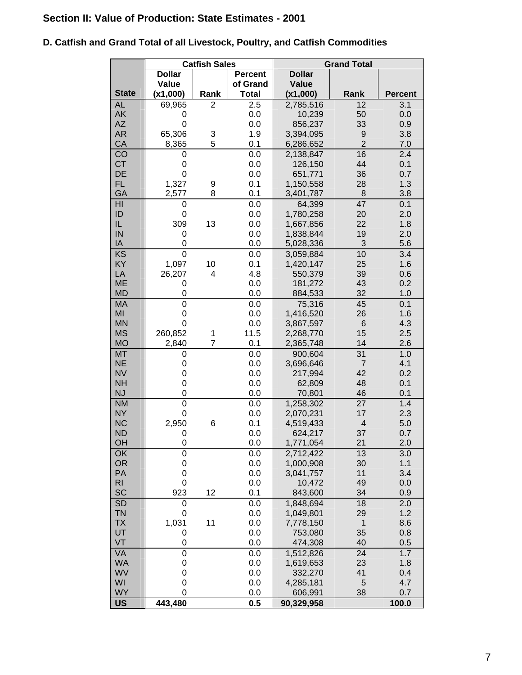|                |                  | <b>Catfish Sales</b> | <b>Grand Total</b> |               |                         |                |  |
|----------------|------------------|----------------------|--------------------|---------------|-------------------------|----------------|--|
|                | <b>Dollar</b>    |                      | <b>Percent</b>     | <b>Dollar</b> |                         |                |  |
|                | Value            |                      | of Grand           | Value         |                         |                |  |
| <b>State</b>   | (x1,000)         | Rank                 | <b>Total</b>       | (x1,000)      | Rank                    | <b>Percent</b> |  |
| <b>AL</b>      | 69,965           | $\overline{2}$       | 2.5                | 2,785,516     | 12                      | 3.1            |  |
| AK             | 0                |                      | 0.0                | 10,239        | 50                      | 0.0            |  |
| <b>AZ</b>      | $\overline{0}$   |                      | 0.0                | 856,237       | 33                      | 0.9            |  |
| <b>AR</b>      | 65,306           | 3                    | 1.9                | 3,394,095     | 9                       | 3.8            |  |
| CA             | 8,365            | 5                    | 0.1                | 6,286,652     | $\overline{2}$          | 7.0            |  |
| CO             | 0                |                      | 0.0                | 2,138,847     | 16                      | 2.4            |  |
| <b>CT</b>      | $\boldsymbol{0}$ |                      | 0.0                | 126,150       | 44                      | 0.1            |  |
| DE             | $\mathbf 0$      |                      | 0.0                | 651,771       | 36                      | 0.7            |  |
| <b>FL</b>      | 1,327            | 9                    | 0.1                | 1,150,558     | 28                      | 1.3            |  |
| GA             | 2,577            | 8                    | 0.1                | 3,401,787     | 8                       | 3.8            |  |
| HI             | 0                |                      | 0.0                | 64,399        | 47                      | 0.1            |  |
| ID             | $\mathbf 0$      |                      | 0.0                | 1,780,258     | 20                      | 2.0            |  |
| IL             | 309              | 13                   | 0.0                | 1,667,856     | 22                      | 1.8            |  |
| IN             | 0                |                      | 0.0                | 1,838,844     | 19                      | 2.0            |  |
| IA             | 0                |                      | 0.0                | 5,028,336     | 3                       | 5.6            |  |
| KS             | $\mathbf 0$      |                      | 0.0                | 3,059,884     | 10                      | 3.4            |  |
| KY             | 1,097            | 10                   | 0.1                | 1,420,147     | 25                      | 1.6            |  |
| LA             | 26,207           | 4                    | 4.8                | 550,379       | 39                      | 0.6            |  |
| <b>ME</b>      | 0                |                      | 0.0                | 181,272       | 43                      | 0.2            |  |
| <b>MD</b>      | $\mathbf 0$      |                      | 0.0                | 884,533       | 32                      | 1.0            |  |
| <b>MA</b>      | $\mathbf 0$      |                      | 0.0                | 75,316        | 45                      | 0.1            |  |
| MI             | $\boldsymbol{0}$ |                      | 0.0                | 1,416,520     | 26                      | 1.6            |  |
| <b>MN</b>      | $\overline{0}$   |                      | 0.0                | 3,867,597     | $\,$ 6                  | 4.3            |  |
| <b>MS</b>      | 260,852          | 1                    | 11.5               | 2,268,770     | 15                      | 2.5            |  |
| <b>MO</b>      | 2,840            | $\overline{7}$       | 0.1                | 2,365,748     | 14                      | 2.6            |  |
| <b>MT</b>      | 0                |                      | 0.0                | 900,604       | 31                      | 1.0            |  |
| <b>NE</b>      | 0                |                      | 0.0                | 3,696,646     | $\overline{7}$          | 4.1            |  |
| <b>NV</b>      | $\boldsymbol{0}$ |                      | 0.0                | 217,994       | 42                      | 0.2            |  |
| <b>NH</b>      | 0                |                      | 0.0                | 62,809        | 48                      | 0.1            |  |
| <b>NJ</b>      | $\mathbf 0$      |                      | 0.0                | 70,801        | 46                      | 0.1            |  |
| <b>NM</b>      | $\mathbf 0$      |                      | 0.0                | 1,258,302     | 27                      | 1.4            |  |
| <b>NY</b>      | $\mathbf 0$      |                      | 0.0                | 2,070,231     | 17                      | 2.3            |  |
| <b>NC</b>      | 2,950            | 6                    | 0.1                | 4,519,433     | $\overline{\mathbf{4}}$ | 5.0            |  |
| <b>ND</b>      | 0                |                      | 0.0                | 624,217       | 37                      | 0.7            |  |
| OH             | $\boldsymbol{0}$ |                      | 0.0                | 1,771,054     | 21                      | 2.0            |  |
| OK             | $\mathbf 0$      |                      | 0.0                | 2,712,422     | 13                      | 3.0            |  |
| <b>OR</b>      | $\pmb{0}$        |                      | 0.0                | 1,000,908     | 30                      | 1.1            |  |
| PA             | $\mathbf 0$      |                      | 0.0                | 3,041,757     | 11                      | 3.4            |  |
| R <sub>l</sub> | $\mathbf 0$      |                      | 0.0                | 10,472        | 49                      | 0.0            |  |
| <b>SC</b>      | 923              | 12                   | 0.1                | 843,600       | 34                      | 0.9            |  |
| <b>SD</b>      | 0                |                      | 0.0                | 1,848,694     | 18                      | 2.0            |  |
| <b>TN</b>      | $\boldsymbol{0}$ |                      | 0.0                | 1,049,801     | 29                      | 1.2            |  |
| <b>TX</b>      | 1,031            | 11                   | 0.0                | 7,778,150     | 1                       | 8.6            |  |
| UT             | 0                |                      | 0.0                | 753,080       | 35                      | 0.8            |  |
| VT             | 0                |                      | 0.0                | 474,308       | 40                      | 0.5            |  |
| VA             | $\mathbf 0$      |                      | 0.0                | 1,512,826     | 24                      | 1.7            |  |
| <b>WA</b>      | 0                |                      | 0.0                | 1,619,653     | 23                      | 1.8            |  |
| WV             | 0                |                      | 0.0                | 332,270       | 41                      | 0.4            |  |
| WI             | 0                |                      | 0.0                | 4,285,181     | 5                       | 4.7            |  |
| <b>WY</b>      | $\mathbf 0$      |                      | 0.0                | 606,991       | 38                      | 0.7            |  |
| <b>US</b>      | 443,480          |                      | 0.5                | 90,329,958    |                         | 100.0          |  |

### **D. Catfish and Grand Total of all Livestock, Poultry, and Catfish Commodities**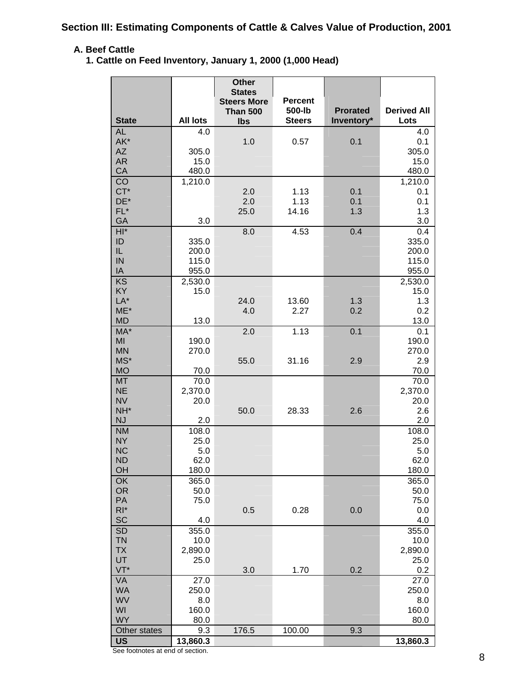### **A. Beef Cattle**

**1. Cattle on Feed Inventory, January 1, 2000 (1,000 Head)** 

|                        |                 | <b>Other</b><br><b>States</b>                |                                           |                               |                            |
|------------------------|-----------------|----------------------------------------------|-------------------------------------------|-------------------------------|----------------------------|
| <b>State</b>           | <b>All lots</b> | <b>Steers More</b><br><b>Than 500</b><br>Ibs | <b>Percent</b><br>500-lb<br><b>Steers</b> | <b>Prorated</b><br>Inventory* | <b>Derived All</b><br>Lots |
| <b>AL</b>              | 4.0             |                                              |                                           |                               | 4.0                        |
| AK*                    |                 | 1.0                                          | 0.57                                      | 0.1                           | 0.1                        |
| <b>ΑΖ</b>              | 305.0           |                                              |                                           |                               | 305.0                      |
| <b>AR</b>              | 15.0            |                                              |                                           |                               | 15.0                       |
| CA                     | 480.0           |                                              |                                           |                               | 480.0                      |
| CO                     | 1,210.0         |                                              |                                           |                               | 1,210.0                    |
| CT <sup>*</sup>        |                 | 2.0                                          | 1.13                                      | 0.1                           | 0.1                        |
| DE <sup>*</sup>        |                 | 2.0                                          | 1.13                                      | 0.1                           | 0.1                        |
| $FL^*$<br>GA           | 3.0             | 25.0                                         | 14.16                                     | 1.3                           | 1.3<br>3.0                 |
| $HI*$                  |                 | 8.0                                          | 4.53                                      | 0.4                           | 0.4                        |
| ID                     | 335.0           |                                              |                                           |                               | 335.0                      |
| IL                     | 200.0           |                                              |                                           |                               | 200.0                      |
| IN                     | 115.0           |                                              |                                           |                               | 115.0                      |
| IA                     | 955.0           |                                              |                                           |                               | 955.0                      |
| KS                     | 2,530.0         |                                              |                                           |                               | 2,530.0                    |
| KY                     | 15.0            |                                              |                                           |                               | 15.0                       |
| LA*                    |                 | 24.0                                         | 13.60                                     | 1.3                           | 1.3                        |
| ME*                    |                 | 4.0                                          | 2.27                                      | 0.2                           | 0.2                        |
| <b>MD</b>              | 13.0            |                                              |                                           |                               | 13.0                       |
| MA*                    |                 | 2.0                                          | 1.13                                      | 0.1                           | 0.1                        |
| MI<br><b>MN</b>        | 190.0<br>270.0  |                                              |                                           |                               | 190.0<br>270.0             |
| MS*                    |                 | 55.0                                         | 31.16                                     | 2.9                           | 2.9                        |
| <b>MO</b>              | 70.0            |                                              |                                           |                               | 70.0                       |
| <b>MT</b>              | 70.0            |                                              |                                           |                               | 70.0                       |
| <b>NE</b>              | 2,370.0         |                                              |                                           |                               | 2,370.0                    |
| <b>NV</b>              | 20.0            |                                              |                                           |                               | 20.0                       |
| NH <sup>*</sup>        |                 | 50.0                                         | 28.33                                     | 2.6                           | 2.6                        |
| <b>NJ</b>              | 2.0             |                                              |                                           |                               | 2.0                        |
| <b>NM</b>              | 108.0           |                                              |                                           |                               | 108.0                      |
| <b>NY</b>              | 25.0            |                                              |                                           |                               | 25.0                       |
| <b>NC</b><br><b>ND</b> | 5.0<br>62.0     |                                              |                                           |                               | 5.0                        |
| OH                     | 180.0           |                                              |                                           |                               | 62.0<br>180.0              |
| OK                     | 365.0           |                                              |                                           |                               | 365.0                      |
| <b>OR</b>              | 50.0            |                                              |                                           |                               | 50.0                       |
| PA                     | 75.0            |                                              |                                           |                               | 75.0                       |
| $RI^*$                 |                 | 0.5                                          | 0.28                                      | 0.0                           | 0.0                        |
| SC                     | 4.0             |                                              |                                           |                               | 4.0                        |
| <b>SD</b>              | 355.0           |                                              |                                           |                               | 355.0                      |
| <b>TN</b>              | 10.0            |                                              |                                           |                               | 10.0                       |
| <b>TX</b>              | 2,890.0         |                                              |                                           |                               | 2,890.0                    |
| UT                     | 25.0            |                                              |                                           |                               | 25.0                       |
| VT*                    |                 | 3.0                                          | 1.70                                      | 0.2                           | 0.2                        |
| VA<br><b>WA</b>        | 27.0<br>250.0   |                                              |                                           |                               | 27.0<br>250.0              |
| <b>WV</b>              | 8.0             |                                              |                                           |                               | 8.0                        |
| WI                     | 160.0           |                                              |                                           |                               | 160.0                      |
| <b>WY</b>              | 80.0            |                                              |                                           |                               | 80.0                       |
| Other states           | 9.3             | 176.5                                        | 100.00                                    | 9.3                           |                            |
| <b>US</b>              | 13,860.3        |                                              |                                           |                               | 13,860.3                   |

See footnotes at end of section.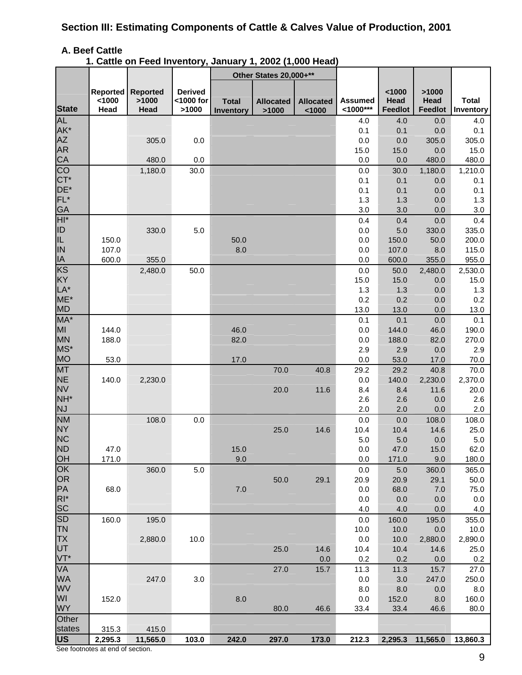# **A. Beef Cattle**

**1. Cattle on Feed Inventory, January 1, 2002 (1,000 Head)** 

|                                                     |                    |                          |                                |              | Other States 20,000+** |                  |             |                |                |               |
|-----------------------------------------------------|--------------------|--------------------------|--------------------------------|--------------|------------------------|------------------|-------------|----------------|----------------|---------------|
|                                                     | Reported<br>< 1000 | <b>Reported</b><br>>1000 | <b>Derived</b><br>$<$ 1000 for | <b>Total</b> | <b>Allocated</b>       | <b>Allocated</b> | Assumed     | 1000<br>Head   | >1000<br>Head  | <b>Total</b>  |
| <b>State</b>                                        | Head               | Head                     | >1000                          | Inventory    | >1000                  | < 1000           | $< 1000***$ | <b>Feedlot</b> | <b>Feedlot</b> | Inventory     |
| <b>AL</b>                                           |                    |                          |                                |              |                        |                  | 4.0         | 4.0            | 0.0            | 4.0           |
| AK*<br>AA A CA O CT*<br>L*<br>L*<br>CT D FL*<br>GH* |                    |                          |                                |              |                        |                  | 0.1         | 0.1            | 0.0            | 0.1           |
|                                                     |                    | 305.0                    | 0.0                            |              |                        |                  | 0.0<br>15.0 | 0.0            | 305.0<br>0.0   | 305.0<br>15.0 |
|                                                     |                    | 480.0                    | 0.0                            |              |                        |                  | 0.0         | 15.0<br>0.0    | 480.0          | 480.0         |
|                                                     |                    | 1,180.0                  | 30.0                           |              |                        |                  | 0.0         | 30.0           | 1,180.0        | 1,210.0       |
|                                                     |                    |                          |                                |              |                        |                  | 0.1         | 0.1            | 0.0            | 0.1           |
|                                                     |                    |                          |                                |              |                        |                  | 0.1         | 0.1            | 0.0            | 0.1           |
|                                                     |                    |                          |                                |              |                        |                  | 1.3         | 1.3            | 0.0            | 1.3           |
|                                                     |                    |                          |                                |              |                        |                  | 3.0         | 3.0            | 0.0            | 3.0           |
|                                                     |                    |                          |                                |              |                        |                  | 0.4         | 0.4            | 0.0            | 0.4           |
|                                                     |                    | 330.0                    | 5.0                            |              |                        |                  | 0.0         | 5.0            | 330.0          | 335.0         |
|                                                     | 150.0              |                          |                                | 50.0         |                        |                  | 0.0         | 150.0          | 50.0           | 200.0         |
|                                                     | 107.0              |                          |                                | 8.0          |                        |                  | 0.0         | 107.0          | 8.0            | 115.0         |
|                                                     | 600.0              | 355.0                    |                                |              |                        |                  | 0.0         | 600.0          | 355.0          | 955.0         |
| ID<br>IL<br>IA<br>KS<br>KY                          |                    | 2,480.0                  | 50.0                           |              |                        |                  | 0.0         | 50.0           | 2,480.0        | 2,530.0       |
|                                                     |                    |                          |                                |              |                        |                  | 15.0        | 15.0           | 0.0            | 15.0          |
| LA*                                                 |                    |                          |                                |              |                        |                  | 1.3         | 1.3            | 0.0            | 1.3           |
| ME*                                                 |                    |                          |                                |              |                        |                  | 0.2         | 0.2            | 0.0            | 0.2           |
| <b>MD</b>                                           |                    |                          |                                |              |                        |                  | 13.0        | 13.0           | 0.0            | 13.0          |
| MA*                                                 |                    |                          |                                |              |                        |                  | 0.1         | 0.1            | 0.0            | 0.1           |
| MI                                                  | 144.0              |                          |                                | 46.0         |                        |                  | 0.0         | 144.0          | 46.0           | 190.0         |
| <b>MN</b>                                           | 188.0              |                          |                                | 82.0         |                        |                  | 0.0         | 188.0          | 82.0           | 270.0         |
| MS*                                                 |                    |                          |                                |              |                        |                  | 2.9         | 2.9            | 0.0            | 2.9           |
| <b>MO</b>                                           | 53.0               |                          |                                | 17.0         |                        |                  | 0.0         | 53.0           | 17.0           | 70.0          |
| <b>MT</b>                                           |                    |                          |                                |              | 70.0                   | 40.8             | 29.2        | 29.2           | 40.8           | 70.0          |
| <b>NE</b>                                           | 140.0              | 2,230.0                  |                                |              |                        |                  | 0.0         | 140.0          | 2,230.0        | 2,370.0       |
| <b>NV</b>                                           |                    |                          |                                |              | 20.0                   | 11.6             | 8.4         | 8.4            | 11.6           | 20.0          |
| NH <sup>*</sup><br><b>NJ</b>                        |                    |                          |                                |              |                        |                  | 2.6<br>2.0  | 2.6<br>2.0     | 0.0<br>0.0     | 2.6<br>2.0    |
| <b>NM</b>                                           |                    | 108.0                    | 0.0                            |              |                        |                  | 0.0         |                |                | 108.0         |
| <b>NY</b>                                           |                    |                          |                                |              | 25.0                   | 14.6             | 10.4        | 0.0<br>10.4    | 108.0<br>14.6  | 25.0          |
| <b>NC</b>                                           |                    |                          |                                |              |                        |                  | 5.0         | 5.0            | 0.0            | 5.0           |
| <b>ND</b>                                           | 47.0               |                          |                                | 15.0         |                        |                  | 0.0         | 47.0           | 15.0           | 62.0          |
| O <sub>H</sub>                                      | 171.0              |                          |                                | 9.0          |                        |                  | 0.0         | 171.0          | 9.0            | 180.0         |
| $\overline{OK}$                                     |                    | 360.0                    | 5.0                            |              |                        |                  | 0.0         | $5.0$          | 360.0          | 365.0         |
| OR                                                  |                    |                          |                                |              | 50.0                   | 29.1             | 20.9        | 20.9           | 29.1           | 50.0          |
| PA                                                  | 68.0               |                          |                                | 7.0          |                        |                  | 0.0         | 68.0           | 7.0            | 75.0          |
|                                                     |                    |                          |                                |              |                        |                  | 0.0         | 0.0            | 0.0            | 0.0           |
|                                                     |                    |                          |                                |              |                        |                  | 4.0         | 4.0            | 0.0            | 4.0           |
|                                                     | 160.0              | 195.0                    |                                |              |                        |                  | 0.0         | 160.0          | 195.0          | 355.0         |
|                                                     |                    |                          |                                |              |                        |                  | 10.0        | 10.0           | 0.0            | 10.0          |
|                                                     |                    | 2,880.0                  | 10.0                           |              |                        |                  | 0.0         | 10.0           | 2,880.0        | 2,890.0       |
|                                                     |                    |                          |                                |              | 25.0                   | 14.6             | 10.4        | 10.4           | 14.6           | 25.0          |
| RI*<br>SC<br>SD<br>TN<br>TX<br>UT*<br>VA            |                    |                          |                                |              |                        | 0.0              | 0.2         | 0.2            | 0.0            | 0.2           |
|                                                     |                    |                          |                                |              | 27.0                   | 15.7             | 11.3        | 11.3           | 15.7           | 27.0          |
| <b>WA</b>                                           |                    | 247.0                    | 3.0                            |              |                        |                  | 0.0         | 3.0            | 247.0          | 250.0         |
| WV                                                  |                    |                          |                                |              |                        |                  | 8.0         | 8.0            | 0.0            | 8.0           |
| WI                                                  | 152.0              |                          |                                | 8.0          |                        |                  | 0.0         | 152.0          | 8.0            | 160.0         |
| <b>WY</b>                                           |                    |                          |                                |              | 80.0                   | 46.6             | 33.4        | 33.4           | 46.6           | 80.0          |
| Other                                               |                    |                          |                                |              |                        |                  |             |                |                |               |
| states<br><b>US</b>                                 | 315.3<br>2,295.3   | 415.0<br>11,565.0        | 103.0                          | 242.0        | 297.0                  | 173.0            | 212.3       | 2,295.3        | 11,565.0       | 13,860.3      |

See footnotes at end of section.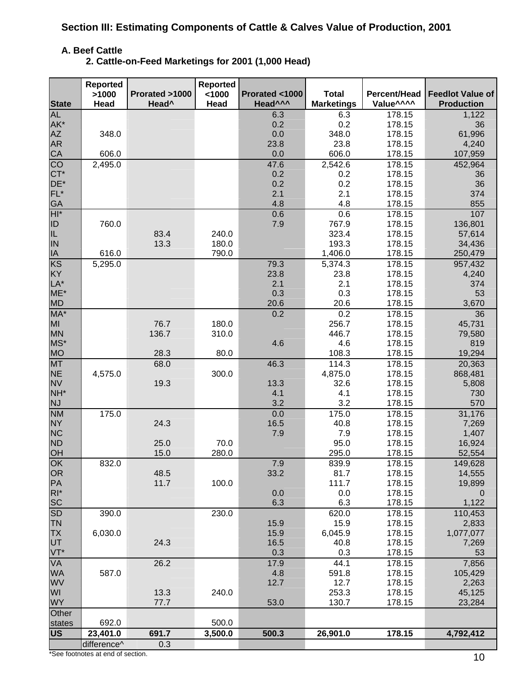# **A. Beef Cattle**

**2. Cattle-on-Feed Marketings for 2001 (1,000 Head)** 

|                                                          | <b>Reported</b> |                                     | <b>Reported</b> |                           |                                   |                            |                                              |
|----------------------------------------------------------|-----------------|-------------------------------------|-----------------|---------------------------|-----------------------------------|----------------------------|----------------------------------------------|
|                                                          | >1000<br>Head   | Prorated >1000<br>Head <sup>^</sup> | 1000<br>Head    | Prorated <1000<br>Head^^^ | <b>Total</b><br><b>Marketings</b> | Percent/Head<br>Value^^^^^ | <b>Feedlot Value of</b><br><b>Production</b> |
| State<br>AL<br>AK*<br>AZ<br>AR<br>CA<br>CO<br>CT*        |                 |                                     |                 | 6.3                       | 6.3                               | 178.15                     | 1,122                                        |
|                                                          |                 |                                     |                 | 0.2                       | 0.2                               | 178.15                     | 36                                           |
|                                                          | 348.0           |                                     |                 | 0.0                       | 348.0                             | 178.15                     | 61,996                                       |
|                                                          |                 |                                     |                 | 23.8                      | 23.8                              | 178.15                     | 4,240                                        |
|                                                          | 606.0           |                                     |                 | 0.0                       | 606.0                             | 178.15                     | 107,959                                      |
|                                                          | 2,495.0         |                                     |                 | 47.6                      | 2,542.6                           | 178.15                     | 452,964                                      |
|                                                          |                 |                                     |                 | 0.2                       | 0.2                               | 178.15                     | 36                                           |
|                                                          |                 |                                     |                 | 0.2                       | 0.2                               | 178.15                     | 36                                           |
|                                                          |                 |                                     |                 | 2.1                       | 2.1                               | 178.15                     | 374                                          |
| CT <sup>*</sup><br>CTE <sup>*</sup><br>HLGH <sup>*</sup> |                 |                                     |                 | 4.8                       | 4.8                               | 178.15                     | 855                                          |
|                                                          |                 |                                     |                 | 0.6                       | 0.6                               | 178.15                     | 107                                          |
|                                                          | 760.0           |                                     |                 | 7.9                       | 767.9                             | 178.15                     | 136,801                                      |
|                                                          |                 | 83.4                                | 240.0           |                           | 323.4                             | 178.15                     | 57,614                                       |
|                                                          |                 | 13.3                                | 180.0           |                           | 193.3                             | 178.15                     | 34,436                                       |
| ID<br>IA<br>KS                                           | 616.0           |                                     | 790.0           |                           | 1,406.0                           | 178.15                     | 250,479                                      |
|                                                          | 5,295.0         |                                     |                 | 79.3                      | 5,374.3                           | 178.15                     | 957,432                                      |
|                                                          |                 |                                     |                 | 23.8                      | 23.8                              | 178.15                     | 4,240                                        |
| KY<br>LA*<br>ME*                                         |                 |                                     |                 | 2.1                       | 2.1                               | 178.15                     | 374                                          |
|                                                          |                 |                                     |                 | 0.3                       | 0.3                               | 178.15                     | 53                                           |
| $\frac{\text{MD}}{\text{MA}^*}$                          |                 |                                     |                 | 20.6                      | 20.6<br>0.2                       | 178.15                     | 3,670                                        |
|                                                          |                 |                                     |                 | 0.2                       |                                   | 178.15                     | 36                                           |
| MI<br>MN                                                 |                 | 76.7<br>136.7                       | 180.0<br>310.0  |                           | 256.7<br>446.7                    | 178.15<br>178.15           | 45,731<br>79,580                             |
| MS*                                                      |                 |                                     |                 | 4.6                       | 4.6                               | 178.15                     | 819                                          |
| <b>MO</b>                                                |                 | 28.3                                | 80.0            |                           | 108.3                             | 178.15                     | 19,294                                       |
| <b>MT</b>                                                |                 | 68.0                                |                 | 46.3                      | 114.3                             | 178.15                     | 20,363                                       |
|                                                          | 4,575.0         |                                     | 300.0           |                           | 4,875.0                           | 178.15                     | 868,481                                      |
| NE<br>NV                                                 |                 | 19.3                                |                 | 13.3                      | 32.6                              | 178.15                     | 5,808                                        |
| NH <sup>*</sup>                                          |                 |                                     |                 | 4.1                       | 4.1                               | 178.15                     | 730                                          |
| <b>NJ</b>                                                |                 |                                     |                 | 3.2                       | 3.2                               | 178.15                     | 570                                          |
| <b>NM</b>                                                | 175.0           |                                     |                 | 0.0                       | 175.0                             | 178.15                     | 31,176                                       |
| <b>NY</b>                                                |                 | 24.3                                |                 | 16.5                      | 40.8                              | 178.15                     | 7,269                                        |
| <b>NC</b>                                                |                 |                                     |                 | 7.9                       | 7.9                               | 178.15                     | 1,407                                        |
| <b>ND</b>                                                |                 | 25.0                                | 70.0            |                           | 95.0                              | 178.15                     | 16,924                                       |
| OL                                                       |                 | 15.0                                | 280.0           |                           | 295.0                             | 178.15                     | 52,554                                       |
|                                                          | 832.0           |                                     |                 | 7.9                       | 839.9                             | 178.15                     | 149,628                                      |
|                                                          |                 | 48.5                                |                 | 33.2                      | 81.7                              | 178.15                     | 14,555                                       |
|                                                          |                 | 11.7                                | 100.0           |                           | 111.7                             | 178.15                     | 19,899                                       |
|                                                          |                 |                                     |                 | 0.0                       | 0.0                               | 178.15                     | 0                                            |
|                                                          |                 |                                     |                 | 6.3                       | 6.3                               | 178.15                     | 1,122                                        |
|                                                          | 390.0           |                                     | 230.0           |                           | 620.0                             | 178.15                     | 110,453                                      |
|                                                          |                 |                                     |                 | 15.9                      | 15.9                              | 178.15                     | 2,833                                        |
|                                                          | 6,030.0         |                                     |                 | 15.9                      | 6,045.9                           | 178.15                     | 1,077,077                                    |
|                                                          |                 | 24.3                                |                 | 16.5                      | 40.8                              | 178.15                     | 7,269                                        |
|                                                          |                 |                                     |                 | 0.3                       | 0.3                               | 178.15                     | 53                                           |
|                                                          |                 | 26.2                                |                 | 17.9                      | 44.1                              | 178.15                     | 7,856                                        |
|                                                          | 587.0           |                                     |                 | 4.8                       | 591.8                             | 178.15                     | 105,429                                      |
| WI                                                       |                 | 13.3                                | 240.0           | 12.7                      | 12.7<br>253.3                     | 178.15<br>178.15           | 2,263<br>45,125                              |
| <b>WY</b>                                                |                 | 77.7                                |                 | 53.0                      | 130.7                             | 178.15                     | 23,284                                       |
| Other                                                    |                 |                                     |                 |                           |                                   |                            |                                              |
| states                                                   | 692.0           |                                     | 500.0           |                           |                                   |                            |                                              |
| <b>US</b>                                                | 23,401.0        | 691.7                               | 3,500.0         | 500.3                     | 26,901.0                          | 178.15                     | 4,792,412                                    |
|                                                          | difference^     | 0.3                                 |                 |                           |                                   |                            |                                              |

\*See footnotes at end of section.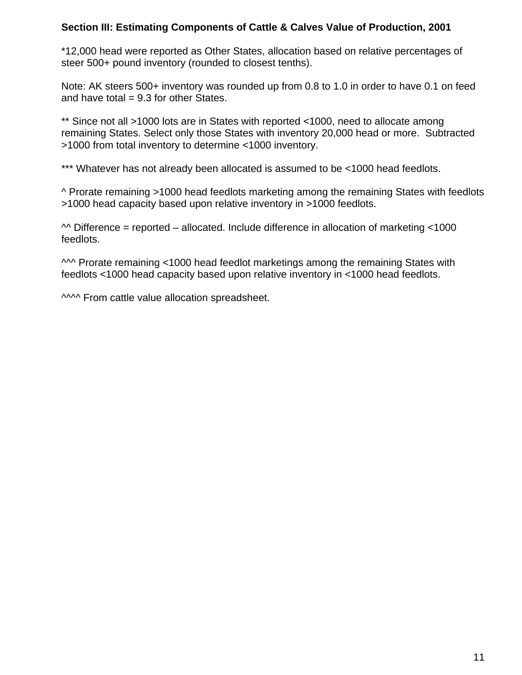\*12,000 head were reported as Other States, allocation based on relative percentages of steer 500+ pound inventory (rounded to closest tenths).

Note: AK steers 500+ inventory was rounded up from 0.8 to 1.0 in order to have 0.1 on feed and have total  $= 9.3$  for other States.

\*\* Since not all >1000 lots are in States with reported <1000, need to allocate among remaining States. Select only those States with inventory 20,000 head or more. Subtracted >1000 from total inventory to determine <1000 inventory.

\*\*\* Whatever has not already been allocated is assumed to be <1000 head feedlots.

^ Prorate remaining >1000 head feedlots marketing among the remaining States with feedlots >1000 head capacity based upon relative inventory in >1000 feedlots.

 $\sim$  Difference = reported – allocated. Include difference in allocation of marketing <1000 feedlots.

^^^ Prorate remaining <1000 head feedlot marketings among the remaining States with feedlots <1000 head capacity based upon relative inventory in <1000 head feedlots.

^^^^ From cattle value allocation spreadsheet.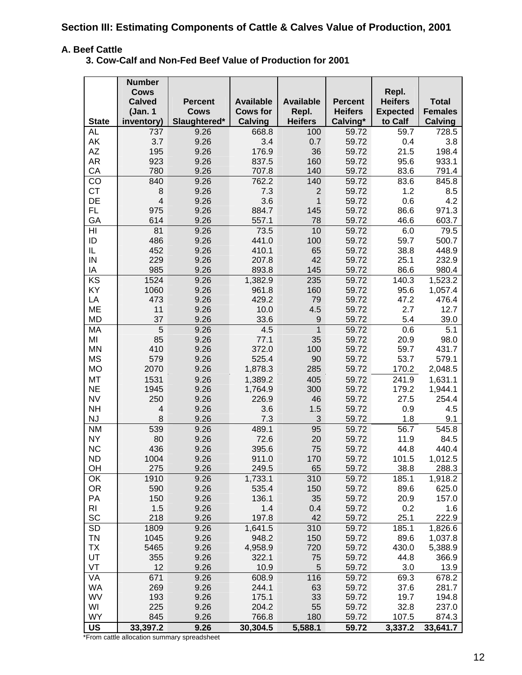# **A. Beef Cattle**

**3. Cow-Calf and Non-Fed Beef Value of Production for 2001** 

|                        | <b>Number</b>                |                |                  |                  |                |                         |                  |
|------------------------|------------------------------|----------------|------------------|------------------|----------------|-------------------------|------------------|
|                        | <b>Cows</b><br><b>Calved</b> | <b>Percent</b> | <b>Available</b> | <b>Available</b> | <b>Percent</b> | Repl.<br><b>Heifers</b> | <b>Total</b>     |
|                        | (Jan. 1                      | <b>Cows</b>    | <b>Cows for</b>  | Repl.            | <b>Heifers</b> | <b>Expected</b>         | <b>Females</b>   |
| <b>State</b>           | inventory)                   | Slaughtered*   | Calving          | <b>Heifers</b>   | Calving*       | to Calf                 | <b>Calving</b>   |
| <b>AL</b>              | 737                          | 9.26           | 668.8            | 100              | 59.72          | 59.7                    | 728.5            |
| AK                     | 3.7                          | 9.26           | 3.4              | 0.7              | 59.72          | 0.4                     | 3.8              |
| <b>AZ</b>              | 195                          | 9.26           | 176.9            | 36               | 59.72          | 21.5                    | 198.4            |
| <b>AR</b>              | 923                          | 9.26           | 837.5            | 160              | 59.72          | 95.6                    | 933.1            |
| CA                     | 780                          | 9.26           | 707.8            | 140              | 59.72          | 83.6                    | 791.4            |
| CO                     | 840                          | 9.26           | 762.2            | 140              | 59.72          | 83.6                    | 845.8            |
| <b>CT</b>              | 8                            | 9.26           | 7.3              | $\overline{2}$   | 59.72          | 1.2                     | 8.5              |
| DE                     | $\overline{4}$               | 9.26           | 3.6              | 1                | 59.72          | 0.6                     | 4.2              |
| <b>FL</b>              | 975                          | 9.26           | 884.7            | 145              | 59.72          | 86.6                    | 971.3            |
| GA                     | 614                          | 9.26           | 557.1            | 78               | 59.72          | 46.6                    | 603.7            |
| H <sub>l</sub>         | 81                           | 9.26           | 73.5             | 10               | 59.72          | 6.0                     | 79.5             |
| ID                     | 486                          | 9.26           | 441.0            | 100              | 59.72          | 59.7                    | 500.7            |
| IL                     | 452                          | 9.26           | 410.1            | 65               | 59.72          | 38.8                    | 448.9            |
| IN<br>IA               | 229<br>985                   | 9.26<br>9.26   | 207.8<br>893.8   | 42<br>145        | 59.72<br>59.72 | 25.1<br>86.6            | 232.9<br>980.4   |
| $\overline{KS}$        | 1524                         | 9.26           | 1,382.9          | 235              | 59.72          | 140.3                   | 1,523.2          |
| KY                     | 1060                         | 9.26           | 961.8            | 160              | 59.72          | 95.6                    | 1,057.4          |
| LA                     | 473                          | 9.26           | 429.2            | 79               | 59.72          | 47.2                    | 476.4            |
| <b>ME</b>              | 11                           | 9.26           | 10.0             | 4.5              | 59.72          | 2.7                     | 12.7             |
| <b>MD</b>              | 37                           | 9.26           | 33.6             | 9                | 59.72          | 5.4                     | 39.0             |
| MA                     | 5                            | 9.26           | 4.5              | 1                | 59.72          | 0.6                     | 5.1              |
| MI                     | 85                           | 9.26           | 77.1             | 35               | 59.72          | 20.9                    | 98.0             |
| <b>MN</b>              | 410                          | 9.26           | 372.0            | 100              | 59.72          | 59.7                    | 431.7            |
| <b>MS</b>              | 579                          | 9.26           | 525.4            | 90               | 59.72          | 53.7                    | 579.1            |
| <b>MO</b>              | 2070                         | 9.26           | 1,878.3          | 285              | 59.72          | 170.2                   | 2,048.5          |
| <b>MT</b>              | 1531                         | 9.26           | 1,389.2          | 405              | 59.72          | 241.9                   | 1,631.1          |
| <b>NE</b>              | 1945                         | 9.26           | 1,764.9          | 300              | 59.72          | 179.2                   | 1,944.1          |
| <b>NV</b>              | 250                          | 9.26           | 226.9            | 46               | 59.72          | 27.5                    | 254.4            |
| <b>NH</b><br><b>NJ</b> | 4<br>8                       | 9.26<br>9.26   | 3.6<br>7.3       | 1.5<br>3         | 59.72<br>59.72 | 0.9<br>1.8              | 4.5<br>9.1       |
| <b>NM</b>              | 539                          | 9.26           | 489.1            | 95               | 59.72          | 56.7                    | 545.8            |
| <b>NY</b>              | 80                           | 9.26           | 72.6             | 20               | 59.72          | 11.9                    | 84.5             |
| <b>NC</b>              | 436                          | 9.26           | 395.6            | 75               | 59.72          | 44.8                    | 440.4            |
| <b>ND</b>              | 1004                         | 9.26           | 911.0            | 170              | 59.72          | 101.5                   | 1,012.5          |
| OH                     | 275                          | 9.26           | 249.5            | 65               | 59.72          | 38.8                    | 288.3            |
| OK                     | 1910                         | 9.26           | 1,733.1          | 310              | 59.72          | 185.1                   | 1,918.2          |
| <b>OR</b>              | 590                          | 9.26           | 535.4            | 150              | 59.72          | 89.6                    | 625.0            |
| PA                     | 150                          | 9.26           | 136.1            | 35               | 59.72          | 20.9                    | 157.0            |
| R <sub>l</sub>         | 1.5                          | 9.26           | 1.4              | 0.4              | 59.72          | 0.2                     | 1.6              |
| SC                     | 218                          | 9.26           | 197.8            | 42               | 59.72          | 25.1                    | 222.9            |
| <b>SD</b>              | 1809                         | 9.26           | 1,641.5          | 310              | 59.72          | 185.1                   | 1,826.6          |
| <b>TN</b><br><b>TX</b> | 1045                         | 9.26           | 948.2            | 150              | 59.72          | 89.6                    | 1,037.8          |
| UT                     | 5465<br>355                  | 9.26<br>9.26   | 4,958.9<br>322.1 | 720<br>75        | 59.72<br>59.72 | 430.0<br>44.8           | 5,388.9<br>366.9 |
| VT                     | 12                           | 9.26           | 10.9             | 5                | 59.72          | 3.0                     | 13.9             |
| VA                     | 671                          | 9.26           | 608.9            | 116              | 59.72          | 69.3                    | 678.2            |
| <b>WA</b>              | 269                          | 9.26           | 244.1            | 63               | 59.72          | 37.6                    | 281.7            |
| WV                     | 193                          | 9.26           | 175.1            | 33               | 59.72          | 19.7                    | 194.8            |
| WI                     | 225                          | 9.26           | 204.2            | 55               | 59.72          | 32.8                    | 237.0            |
| <b>WY</b>              | 845                          | 9.26           | 766.8            | 180              | 59.72          | 107.5                   | 874.3            |
| <b>US</b>              | 33,397.2                     | 9.26           | 30,304.5         | 5,588.1          | 59.72          | 3,337.2                 | 33,641.7         |

\*From cattle allocation summary spreadsheet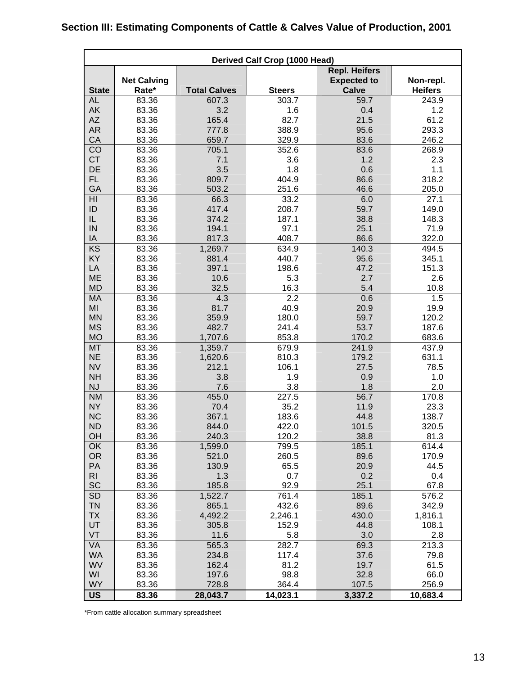| <b>Repl. Heifers</b><br><b>Net Calving</b><br><b>Expected to</b><br>Non-repl.<br>Rate*<br><b>Total Calves</b><br><b>Calve</b><br><b>Heifers</b><br><b>State</b><br><b>Steers</b><br>59.7<br><b>AL</b><br>83.36<br>607.3<br>303.7<br>243.9<br>AK<br>83.36<br>3.2<br>0.4<br>1.2<br>1.6<br>165.4<br>82.7<br>21.5<br>61.2<br><b>AZ</b><br>83.36<br><b>AR</b><br>388.9<br>95.6<br>293.3<br>83.36<br>777.8<br>CA<br>83.6<br>83.36<br>659.7<br>329.9<br>246.2<br>CO<br>705.1<br>83.6<br>83.36<br>352.6<br>268.9<br><b>CT</b><br>1.2<br>83.36<br>7.1<br>3.6<br>2.3<br>DE<br>3.5<br>1.8<br>0.6<br>1.1<br>83.36<br>FL.<br>318.2<br>83.36<br>809.7<br>404.9<br>86.6<br>GA<br>503.2<br>251.6<br>83.36<br>46.6<br>205.0<br>66.3<br>H <sub>l</sub><br>83.36<br>33.2<br>6.0<br>27.1<br>83.36<br>208.7<br>59.7<br>149.0<br>ID<br>417.4<br>IL<br>38.8<br>83.36<br>374.2<br>187.1<br>148.3<br>97.1<br>IN<br>83.36<br>194.1<br>25.1<br>71.9<br>86.6<br>322.0<br>IA<br>83.36<br>817.3<br>408.7<br>KS<br>140.3<br>83.36<br>1,269.7<br>634.9<br>494.5<br>KY<br>440.7<br>95.6<br>345.1<br>83.36<br>881.4<br>397.1<br>LA<br>83.36<br>198.6<br>47.2<br>151.3<br><b>ME</b><br>2.7<br>83.36<br>10.6<br>5.3<br>2.6<br><b>MD</b><br>16.3<br>83.36<br>32.5<br>5.4<br>10.8<br>2.2<br>0.6<br>1.5<br><b>MA</b><br>83.36<br>4.3<br>40.9<br>MI<br>81.7<br>20.9<br>19.9<br>83.36<br>83.36<br>359.9<br>180.0<br>59.7<br>120.2<br><b>MN</b><br>53.7<br><b>MS</b><br>83.36<br>482.7<br>241.4<br>187.6<br>1,707.6<br>853.8<br>170.2<br><b>MO</b><br>83.36<br>683.6<br>83.36<br>1,359.7<br>679.9<br>241.9<br><b>MT</b><br>437.9<br><b>NE</b><br>83.36<br>1,620.6<br>810.3<br>179.2<br>631.1<br><b>NV</b><br>212.1<br>83.36<br>106.1<br>27.5<br>78.5<br><b>NH</b><br>3.8<br>83.36<br>1.9<br>0.9<br>1.0<br>2.0<br><b>NJ</b><br>83.36<br>7.6<br>3.8<br>1.8<br>455.0<br>227.5<br>56.7<br><b>NM</b><br>83.36<br>170.8<br>35.2<br><b>NY</b><br>83.36<br>70.4<br>11.9<br>23.3<br><b>NC</b><br>44.8<br>138.7<br>83.36<br>367.1<br>183.6<br><b>ND</b><br>83.36<br>101.5<br>844.0<br>422.0<br>320.5<br>OH<br>81.3<br>83.36<br>240.3<br>120.2<br>38.8<br>OK<br>185.1<br>83.36<br>1,599.0<br>799.5<br>614.4<br><b>OR</b><br>521.0<br>260.5<br>89.6<br>83.36<br>170.9<br>PA<br>83.36<br>130.9<br>65.5<br>20.9<br>44.5<br>0.2<br>R <sub>l</sub><br>83.36<br>1.3<br>0.7<br>0.4<br>SC<br>185.8<br>25.1<br>83.36<br>92.9<br>67.8<br>SD<br>185.1<br>576.2<br>83.36<br>1,522.7<br>761.4<br>432.6<br>342.9<br><b>TN</b><br>83.36<br>865.1<br>89.6<br><b>TX</b><br>4,492.2<br>430.0<br>83.36<br>2,246.1<br>1,816.1<br>UT<br>305.8<br>108.1<br>83.36<br>152.9<br>44.8<br>VT<br>83.36<br>11.6<br>5.8<br>3.0<br>2.8 | Derived Calf Crop (1000 Head) |  |  |  |  |  |  |
|----------------------------------------------------------------------------------------------------------------------------------------------------------------------------------------------------------------------------------------------------------------------------------------------------------------------------------------------------------------------------------------------------------------------------------------------------------------------------------------------------------------------------------------------------------------------------------------------------------------------------------------------------------------------------------------------------------------------------------------------------------------------------------------------------------------------------------------------------------------------------------------------------------------------------------------------------------------------------------------------------------------------------------------------------------------------------------------------------------------------------------------------------------------------------------------------------------------------------------------------------------------------------------------------------------------------------------------------------------------------------------------------------------------------------------------------------------------------------------------------------------------------------------------------------------------------------------------------------------------------------------------------------------------------------------------------------------------------------------------------------------------------------------------------------------------------------------------------------------------------------------------------------------------------------------------------------------------------------------------------------------------------------------------------------------------------------------------------------------------------------------------------------------------------------------------------------------------------------------------------------------------------------------------------------------------------------------------------------------------------------------------------------------------------------------------------------------------------------------------------------------------------------------------------------------------------------------------------------------------------------------------------------|-------------------------------|--|--|--|--|--|--|
|                                                                                                                                                                                                                                                                                                                                                                                                                                                                                                                                                                                                                                                                                                                                                                                                                                                                                                                                                                                                                                                                                                                                                                                                                                                                                                                                                                                                                                                                                                                                                                                                                                                                                                                                                                                                                                                                                                                                                                                                                                                                                                                                                                                                                                                                                                                                                                                                                                                                                                                                                                                                                                                    |                               |  |  |  |  |  |  |
|                                                                                                                                                                                                                                                                                                                                                                                                                                                                                                                                                                                                                                                                                                                                                                                                                                                                                                                                                                                                                                                                                                                                                                                                                                                                                                                                                                                                                                                                                                                                                                                                                                                                                                                                                                                                                                                                                                                                                                                                                                                                                                                                                                                                                                                                                                                                                                                                                                                                                                                                                                                                                                                    |                               |  |  |  |  |  |  |
|                                                                                                                                                                                                                                                                                                                                                                                                                                                                                                                                                                                                                                                                                                                                                                                                                                                                                                                                                                                                                                                                                                                                                                                                                                                                                                                                                                                                                                                                                                                                                                                                                                                                                                                                                                                                                                                                                                                                                                                                                                                                                                                                                                                                                                                                                                                                                                                                                                                                                                                                                                                                                                                    |                               |  |  |  |  |  |  |
|                                                                                                                                                                                                                                                                                                                                                                                                                                                                                                                                                                                                                                                                                                                                                                                                                                                                                                                                                                                                                                                                                                                                                                                                                                                                                                                                                                                                                                                                                                                                                                                                                                                                                                                                                                                                                                                                                                                                                                                                                                                                                                                                                                                                                                                                                                                                                                                                                                                                                                                                                                                                                                                    |                               |  |  |  |  |  |  |
|                                                                                                                                                                                                                                                                                                                                                                                                                                                                                                                                                                                                                                                                                                                                                                                                                                                                                                                                                                                                                                                                                                                                                                                                                                                                                                                                                                                                                                                                                                                                                                                                                                                                                                                                                                                                                                                                                                                                                                                                                                                                                                                                                                                                                                                                                                                                                                                                                                                                                                                                                                                                                                                    |                               |  |  |  |  |  |  |
|                                                                                                                                                                                                                                                                                                                                                                                                                                                                                                                                                                                                                                                                                                                                                                                                                                                                                                                                                                                                                                                                                                                                                                                                                                                                                                                                                                                                                                                                                                                                                                                                                                                                                                                                                                                                                                                                                                                                                                                                                                                                                                                                                                                                                                                                                                                                                                                                                                                                                                                                                                                                                                                    |                               |  |  |  |  |  |  |
|                                                                                                                                                                                                                                                                                                                                                                                                                                                                                                                                                                                                                                                                                                                                                                                                                                                                                                                                                                                                                                                                                                                                                                                                                                                                                                                                                                                                                                                                                                                                                                                                                                                                                                                                                                                                                                                                                                                                                                                                                                                                                                                                                                                                                                                                                                                                                                                                                                                                                                                                                                                                                                                    |                               |  |  |  |  |  |  |
|                                                                                                                                                                                                                                                                                                                                                                                                                                                                                                                                                                                                                                                                                                                                                                                                                                                                                                                                                                                                                                                                                                                                                                                                                                                                                                                                                                                                                                                                                                                                                                                                                                                                                                                                                                                                                                                                                                                                                                                                                                                                                                                                                                                                                                                                                                                                                                                                                                                                                                                                                                                                                                                    |                               |  |  |  |  |  |  |
|                                                                                                                                                                                                                                                                                                                                                                                                                                                                                                                                                                                                                                                                                                                                                                                                                                                                                                                                                                                                                                                                                                                                                                                                                                                                                                                                                                                                                                                                                                                                                                                                                                                                                                                                                                                                                                                                                                                                                                                                                                                                                                                                                                                                                                                                                                                                                                                                                                                                                                                                                                                                                                                    |                               |  |  |  |  |  |  |
|                                                                                                                                                                                                                                                                                                                                                                                                                                                                                                                                                                                                                                                                                                                                                                                                                                                                                                                                                                                                                                                                                                                                                                                                                                                                                                                                                                                                                                                                                                                                                                                                                                                                                                                                                                                                                                                                                                                                                                                                                                                                                                                                                                                                                                                                                                                                                                                                                                                                                                                                                                                                                                                    |                               |  |  |  |  |  |  |
|                                                                                                                                                                                                                                                                                                                                                                                                                                                                                                                                                                                                                                                                                                                                                                                                                                                                                                                                                                                                                                                                                                                                                                                                                                                                                                                                                                                                                                                                                                                                                                                                                                                                                                                                                                                                                                                                                                                                                                                                                                                                                                                                                                                                                                                                                                                                                                                                                                                                                                                                                                                                                                                    |                               |  |  |  |  |  |  |
|                                                                                                                                                                                                                                                                                                                                                                                                                                                                                                                                                                                                                                                                                                                                                                                                                                                                                                                                                                                                                                                                                                                                                                                                                                                                                                                                                                                                                                                                                                                                                                                                                                                                                                                                                                                                                                                                                                                                                                                                                                                                                                                                                                                                                                                                                                                                                                                                                                                                                                                                                                                                                                                    |                               |  |  |  |  |  |  |
|                                                                                                                                                                                                                                                                                                                                                                                                                                                                                                                                                                                                                                                                                                                                                                                                                                                                                                                                                                                                                                                                                                                                                                                                                                                                                                                                                                                                                                                                                                                                                                                                                                                                                                                                                                                                                                                                                                                                                                                                                                                                                                                                                                                                                                                                                                                                                                                                                                                                                                                                                                                                                                                    |                               |  |  |  |  |  |  |
|                                                                                                                                                                                                                                                                                                                                                                                                                                                                                                                                                                                                                                                                                                                                                                                                                                                                                                                                                                                                                                                                                                                                                                                                                                                                                                                                                                                                                                                                                                                                                                                                                                                                                                                                                                                                                                                                                                                                                                                                                                                                                                                                                                                                                                                                                                                                                                                                                                                                                                                                                                                                                                                    |                               |  |  |  |  |  |  |
|                                                                                                                                                                                                                                                                                                                                                                                                                                                                                                                                                                                                                                                                                                                                                                                                                                                                                                                                                                                                                                                                                                                                                                                                                                                                                                                                                                                                                                                                                                                                                                                                                                                                                                                                                                                                                                                                                                                                                                                                                                                                                                                                                                                                                                                                                                                                                                                                                                                                                                                                                                                                                                                    |                               |  |  |  |  |  |  |
|                                                                                                                                                                                                                                                                                                                                                                                                                                                                                                                                                                                                                                                                                                                                                                                                                                                                                                                                                                                                                                                                                                                                                                                                                                                                                                                                                                                                                                                                                                                                                                                                                                                                                                                                                                                                                                                                                                                                                                                                                                                                                                                                                                                                                                                                                                                                                                                                                                                                                                                                                                                                                                                    |                               |  |  |  |  |  |  |
|                                                                                                                                                                                                                                                                                                                                                                                                                                                                                                                                                                                                                                                                                                                                                                                                                                                                                                                                                                                                                                                                                                                                                                                                                                                                                                                                                                                                                                                                                                                                                                                                                                                                                                                                                                                                                                                                                                                                                                                                                                                                                                                                                                                                                                                                                                                                                                                                                                                                                                                                                                                                                                                    |                               |  |  |  |  |  |  |
|                                                                                                                                                                                                                                                                                                                                                                                                                                                                                                                                                                                                                                                                                                                                                                                                                                                                                                                                                                                                                                                                                                                                                                                                                                                                                                                                                                                                                                                                                                                                                                                                                                                                                                                                                                                                                                                                                                                                                                                                                                                                                                                                                                                                                                                                                                                                                                                                                                                                                                                                                                                                                                                    |                               |  |  |  |  |  |  |
|                                                                                                                                                                                                                                                                                                                                                                                                                                                                                                                                                                                                                                                                                                                                                                                                                                                                                                                                                                                                                                                                                                                                                                                                                                                                                                                                                                                                                                                                                                                                                                                                                                                                                                                                                                                                                                                                                                                                                                                                                                                                                                                                                                                                                                                                                                                                                                                                                                                                                                                                                                                                                                                    |                               |  |  |  |  |  |  |
|                                                                                                                                                                                                                                                                                                                                                                                                                                                                                                                                                                                                                                                                                                                                                                                                                                                                                                                                                                                                                                                                                                                                                                                                                                                                                                                                                                                                                                                                                                                                                                                                                                                                                                                                                                                                                                                                                                                                                                                                                                                                                                                                                                                                                                                                                                                                                                                                                                                                                                                                                                                                                                                    |                               |  |  |  |  |  |  |
|                                                                                                                                                                                                                                                                                                                                                                                                                                                                                                                                                                                                                                                                                                                                                                                                                                                                                                                                                                                                                                                                                                                                                                                                                                                                                                                                                                                                                                                                                                                                                                                                                                                                                                                                                                                                                                                                                                                                                                                                                                                                                                                                                                                                                                                                                                                                                                                                                                                                                                                                                                                                                                                    |                               |  |  |  |  |  |  |
|                                                                                                                                                                                                                                                                                                                                                                                                                                                                                                                                                                                                                                                                                                                                                                                                                                                                                                                                                                                                                                                                                                                                                                                                                                                                                                                                                                                                                                                                                                                                                                                                                                                                                                                                                                                                                                                                                                                                                                                                                                                                                                                                                                                                                                                                                                                                                                                                                                                                                                                                                                                                                                                    |                               |  |  |  |  |  |  |
|                                                                                                                                                                                                                                                                                                                                                                                                                                                                                                                                                                                                                                                                                                                                                                                                                                                                                                                                                                                                                                                                                                                                                                                                                                                                                                                                                                                                                                                                                                                                                                                                                                                                                                                                                                                                                                                                                                                                                                                                                                                                                                                                                                                                                                                                                                                                                                                                                                                                                                                                                                                                                                                    |                               |  |  |  |  |  |  |
|                                                                                                                                                                                                                                                                                                                                                                                                                                                                                                                                                                                                                                                                                                                                                                                                                                                                                                                                                                                                                                                                                                                                                                                                                                                                                                                                                                                                                                                                                                                                                                                                                                                                                                                                                                                                                                                                                                                                                                                                                                                                                                                                                                                                                                                                                                                                                                                                                                                                                                                                                                                                                                                    |                               |  |  |  |  |  |  |
|                                                                                                                                                                                                                                                                                                                                                                                                                                                                                                                                                                                                                                                                                                                                                                                                                                                                                                                                                                                                                                                                                                                                                                                                                                                                                                                                                                                                                                                                                                                                                                                                                                                                                                                                                                                                                                                                                                                                                                                                                                                                                                                                                                                                                                                                                                                                                                                                                                                                                                                                                                                                                                                    |                               |  |  |  |  |  |  |
|                                                                                                                                                                                                                                                                                                                                                                                                                                                                                                                                                                                                                                                                                                                                                                                                                                                                                                                                                                                                                                                                                                                                                                                                                                                                                                                                                                                                                                                                                                                                                                                                                                                                                                                                                                                                                                                                                                                                                                                                                                                                                                                                                                                                                                                                                                                                                                                                                                                                                                                                                                                                                                                    |                               |  |  |  |  |  |  |
|                                                                                                                                                                                                                                                                                                                                                                                                                                                                                                                                                                                                                                                                                                                                                                                                                                                                                                                                                                                                                                                                                                                                                                                                                                                                                                                                                                                                                                                                                                                                                                                                                                                                                                                                                                                                                                                                                                                                                                                                                                                                                                                                                                                                                                                                                                                                                                                                                                                                                                                                                                                                                                                    |                               |  |  |  |  |  |  |
|                                                                                                                                                                                                                                                                                                                                                                                                                                                                                                                                                                                                                                                                                                                                                                                                                                                                                                                                                                                                                                                                                                                                                                                                                                                                                                                                                                                                                                                                                                                                                                                                                                                                                                                                                                                                                                                                                                                                                                                                                                                                                                                                                                                                                                                                                                                                                                                                                                                                                                                                                                                                                                                    |                               |  |  |  |  |  |  |
|                                                                                                                                                                                                                                                                                                                                                                                                                                                                                                                                                                                                                                                                                                                                                                                                                                                                                                                                                                                                                                                                                                                                                                                                                                                                                                                                                                                                                                                                                                                                                                                                                                                                                                                                                                                                                                                                                                                                                                                                                                                                                                                                                                                                                                                                                                                                                                                                                                                                                                                                                                                                                                                    |                               |  |  |  |  |  |  |
|                                                                                                                                                                                                                                                                                                                                                                                                                                                                                                                                                                                                                                                                                                                                                                                                                                                                                                                                                                                                                                                                                                                                                                                                                                                                                                                                                                                                                                                                                                                                                                                                                                                                                                                                                                                                                                                                                                                                                                                                                                                                                                                                                                                                                                                                                                                                                                                                                                                                                                                                                                                                                                                    |                               |  |  |  |  |  |  |
|                                                                                                                                                                                                                                                                                                                                                                                                                                                                                                                                                                                                                                                                                                                                                                                                                                                                                                                                                                                                                                                                                                                                                                                                                                                                                                                                                                                                                                                                                                                                                                                                                                                                                                                                                                                                                                                                                                                                                                                                                                                                                                                                                                                                                                                                                                                                                                                                                                                                                                                                                                                                                                                    |                               |  |  |  |  |  |  |
|                                                                                                                                                                                                                                                                                                                                                                                                                                                                                                                                                                                                                                                                                                                                                                                                                                                                                                                                                                                                                                                                                                                                                                                                                                                                                                                                                                                                                                                                                                                                                                                                                                                                                                                                                                                                                                                                                                                                                                                                                                                                                                                                                                                                                                                                                                                                                                                                                                                                                                                                                                                                                                                    |                               |  |  |  |  |  |  |
|                                                                                                                                                                                                                                                                                                                                                                                                                                                                                                                                                                                                                                                                                                                                                                                                                                                                                                                                                                                                                                                                                                                                                                                                                                                                                                                                                                                                                                                                                                                                                                                                                                                                                                                                                                                                                                                                                                                                                                                                                                                                                                                                                                                                                                                                                                                                                                                                                                                                                                                                                                                                                                                    |                               |  |  |  |  |  |  |
|                                                                                                                                                                                                                                                                                                                                                                                                                                                                                                                                                                                                                                                                                                                                                                                                                                                                                                                                                                                                                                                                                                                                                                                                                                                                                                                                                                                                                                                                                                                                                                                                                                                                                                                                                                                                                                                                                                                                                                                                                                                                                                                                                                                                                                                                                                                                                                                                                                                                                                                                                                                                                                                    |                               |  |  |  |  |  |  |
|                                                                                                                                                                                                                                                                                                                                                                                                                                                                                                                                                                                                                                                                                                                                                                                                                                                                                                                                                                                                                                                                                                                                                                                                                                                                                                                                                                                                                                                                                                                                                                                                                                                                                                                                                                                                                                                                                                                                                                                                                                                                                                                                                                                                                                                                                                                                                                                                                                                                                                                                                                                                                                                    |                               |  |  |  |  |  |  |
|                                                                                                                                                                                                                                                                                                                                                                                                                                                                                                                                                                                                                                                                                                                                                                                                                                                                                                                                                                                                                                                                                                                                                                                                                                                                                                                                                                                                                                                                                                                                                                                                                                                                                                                                                                                                                                                                                                                                                                                                                                                                                                                                                                                                                                                                                                                                                                                                                                                                                                                                                                                                                                                    |                               |  |  |  |  |  |  |
|                                                                                                                                                                                                                                                                                                                                                                                                                                                                                                                                                                                                                                                                                                                                                                                                                                                                                                                                                                                                                                                                                                                                                                                                                                                                                                                                                                                                                                                                                                                                                                                                                                                                                                                                                                                                                                                                                                                                                                                                                                                                                                                                                                                                                                                                                                                                                                                                                                                                                                                                                                                                                                                    |                               |  |  |  |  |  |  |
|                                                                                                                                                                                                                                                                                                                                                                                                                                                                                                                                                                                                                                                                                                                                                                                                                                                                                                                                                                                                                                                                                                                                                                                                                                                                                                                                                                                                                                                                                                                                                                                                                                                                                                                                                                                                                                                                                                                                                                                                                                                                                                                                                                                                                                                                                                                                                                                                                                                                                                                                                                                                                                                    |                               |  |  |  |  |  |  |
|                                                                                                                                                                                                                                                                                                                                                                                                                                                                                                                                                                                                                                                                                                                                                                                                                                                                                                                                                                                                                                                                                                                                                                                                                                                                                                                                                                                                                                                                                                                                                                                                                                                                                                                                                                                                                                                                                                                                                                                                                                                                                                                                                                                                                                                                                                                                                                                                                                                                                                                                                                                                                                                    |                               |  |  |  |  |  |  |
|                                                                                                                                                                                                                                                                                                                                                                                                                                                                                                                                                                                                                                                                                                                                                                                                                                                                                                                                                                                                                                                                                                                                                                                                                                                                                                                                                                                                                                                                                                                                                                                                                                                                                                                                                                                                                                                                                                                                                                                                                                                                                                                                                                                                                                                                                                                                                                                                                                                                                                                                                                                                                                                    |                               |  |  |  |  |  |  |
|                                                                                                                                                                                                                                                                                                                                                                                                                                                                                                                                                                                                                                                                                                                                                                                                                                                                                                                                                                                                                                                                                                                                                                                                                                                                                                                                                                                                                                                                                                                                                                                                                                                                                                                                                                                                                                                                                                                                                                                                                                                                                                                                                                                                                                                                                                                                                                                                                                                                                                                                                                                                                                                    |                               |  |  |  |  |  |  |
|                                                                                                                                                                                                                                                                                                                                                                                                                                                                                                                                                                                                                                                                                                                                                                                                                                                                                                                                                                                                                                                                                                                                                                                                                                                                                                                                                                                                                                                                                                                                                                                                                                                                                                                                                                                                                                                                                                                                                                                                                                                                                                                                                                                                                                                                                                                                                                                                                                                                                                                                                                                                                                                    |                               |  |  |  |  |  |  |
|                                                                                                                                                                                                                                                                                                                                                                                                                                                                                                                                                                                                                                                                                                                                                                                                                                                                                                                                                                                                                                                                                                                                                                                                                                                                                                                                                                                                                                                                                                                                                                                                                                                                                                                                                                                                                                                                                                                                                                                                                                                                                                                                                                                                                                                                                                                                                                                                                                                                                                                                                                                                                                                    |                               |  |  |  |  |  |  |
|                                                                                                                                                                                                                                                                                                                                                                                                                                                                                                                                                                                                                                                                                                                                                                                                                                                                                                                                                                                                                                                                                                                                                                                                                                                                                                                                                                                                                                                                                                                                                                                                                                                                                                                                                                                                                                                                                                                                                                                                                                                                                                                                                                                                                                                                                                                                                                                                                                                                                                                                                                                                                                                    |                               |  |  |  |  |  |  |
|                                                                                                                                                                                                                                                                                                                                                                                                                                                                                                                                                                                                                                                                                                                                                                                                                                                                                                                                                                                                                                                                                                                                                                                                                                                                                                                                                                                                                                                                                                                                                                                                                                                                                                                                                                                                                                                                                                                                                                                                                                                                                                                                                                                                                                                                                                                                                                                                                                                                                                                                                                                                                                                    |                               |  |  |  |  |  |  |
|                                                                                                                                                                                                                                                                                                                                                                                                                                                                                                                                                                                                                                                                                                                                                                                                                                                                                                                                                                                                                                                                                                                                                                                                                                                                                                                                                                                                                                                                                                                                                                                                                                                                                                                                                                                                                                                                                                                                                                                                                                                                                                                                                                                                                                                                                                                                                                                                                                                                                                                                                                                                                                                    |                               |  |  |  |  |  |  |
|                                                                                                                                                                                                                                                                                                                                                                                                                                                                                                                                                                                                                                                                                                                                                                                                                                                                                                                                                                                                                                                                                                                                                                                                                                                                                                                                                                                                                                                                                                                                                                                                                                                                                                                                                                                                                                                                                                                                                                                                                                                                                                                                                                                                                                                                                                                                                                                                                                                                                                                                                                                                                                                    |                               |  |  |  |  |  |  |
| VA<br>565.3<br>282.7<br>69.3<br>213.3<br>83.36                                                                                                                                                                                                                                                                                                                                                                                                                                                                                                                                                                                                                                                                                                                                                                                                                                                                                                                                                                                                                                                                                                                                                                                                                                                                                                                                                                                                                                                                                                                                                                                                                                                                                                                                                                                                                                                                                                                                                                                                                                                                                                                                                                                                                                                                                                                                                                                                                                                                                                                                                                                                     |                               |  |  |  |  |  |  |
| <b>WA</b><br>83.36<br>234.8<br>117.4<br>37.6<br>79.8<br><b>WV</b><br>19.7<br>61.5<br>83.36<br>162.4<br>81.2                                                                                                                                                                                                                                                                                                                                                                                                                                                                                                                                                                                                                                                                                                                                                                                                                                                                                                                                                                                                                                                                                                                                                                                                                                                                                                                                                                                                                                                                                                                                                                                                                                                                                                                                                                                                                                                                                                                                                                                                                                                                                                                                                                                                                                                                                                                                                                                                                                                                                                                                        |                               |  |  |  |  |  |  |
| WI<br>83.36<br>98.8<br>32.8<br>66.0<br>197.6                                                                                                                                                                                                                                                                                                                                                                                                                                                                                                                                                                                                                                                                                                                                                                                                                                                                                                                                                                                                                                                                                                                                                                                                                                                                                                                                                                                                                                                                                                                                                                                                                                                                                                                                                                                                                                                                                                                                                                                                                                                                                                                                                                                                                                                                                                                                                                                                                                                                                                                                                                                                       |                               |  |  |  |  |  |  |
| <b>WY</b><br>83.36<br>728.8<br>364.4<br>107.5<br>256.9                                                                                                                                                                                                                                                                                                                                                                                                                                                                                                                                                                                                                                                                                                                                                                                                                                                                                                                                                                                                                                                                                                                                                                                                                                                                                                                                                                                                                                                                                                                                                                                                                                                                                                                                                                                                                                                                                                                                                                                                                                                                                                                                                                                                                                                                                                                                                                                                                                                                                                                                                                                             |                               |  |  |  |  |  |  |
| <b>US</b><br>83.36<br>28,043.7<br>14,023.1<br>3,337.2<br>10,683.4                                                                                                                                                                                                                                                                                                                                                                                                                                                                                                                                                                                                                                                                                                                                                                                                                                                                                                                                                                                                                                                                                                                                                                                                                                                                                                                                                                                                                                                                                                                                                                                                                                                                                                                                                                                                                                                                                                                                                                                                                                                                                                                                                                                                                                                                                                                                                                                                                                                                                                                                                                                  |                               |  |  |  |  |  |  |

\*From cattle allocation summary spreadsheet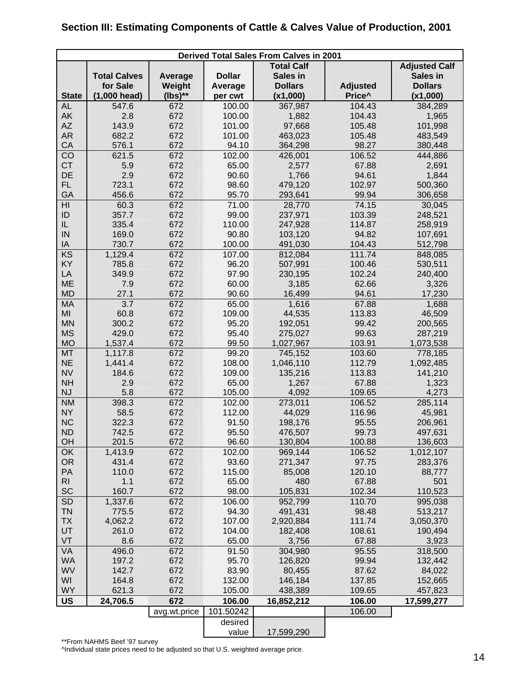|                        |                     |              |                  | <b>Derived Total Sales From Calves in 2001</b> |                  |                      |
|------------------------|---------------------|--------------|------------------|------------------------------------------------|------------------|----------------------|
|                        |                     |              |                  | <b>Total Calf</b>                              |                  | <b>Adjusted Calf</b> |
|                        | <b>Total Calves</b> | Average      | <b>Dollar</b>    | Sales in                                       |                  | Sales in             |
|                        | for Sale            | Weight       | Average          | <b>Dollars</b>                                 | <b>Adjusted</b>  | <b>Dollars</b>       |
| <b>State</b>           | $(1,000$ head)      | $(lbs)^{**}$ | per cwt          | (x1,000)                                       | Price^           | (x1,000)             |
| <b>AL</b>              | 547.6               | 672          | 100.00           | 367,987                                        | 104.43           | 384,289              |
| AK                     | 2.8                 | 672          | 100.00           | 1,882                                          | 104.43           | 1,965                |
| <b>AZ</b>              | 143.9               | 672          | 101.00           | 97,668                                         | 105.48           | 101,998              |
| <b>AR</b><br>CA        | 682.2<br>576.1      | 672<br>672   | 101.00<br>94.10  | 463,023<br>364,298                             | 105.48<br>98.27  | 483,549<br>380,448   |
| CO                     | 621.5               | 672          | 102.00           | 426,001                                        | 106.52           | 444,886              |
| <b>CT</b>              | 5.9                 | 672          | 65.00            | 2,577                                          | 67.88            | 2,691                |
| DE                     | 2.9                 | 672          | 90.60            | 1,766                                          | 94.61            | 1,844                |
| FL                     | 723.1               | 672          | 98.60            | 479,120                                        | 102.97           | 500,360              |
| GA                     | 456.6               | 672          | 95.70            | 293,641                                        | 99.94            | 306,658              |
| $\overline{H}$         | 60.3                | 672          | 71.00            | 28,770                                         | 74.15            | 30,045               |
| ID                     | 357.7               | 672          | 99.00            | 237,971                                        | 103.39           | 248,521              |
| IL                     | 335.4               | 672          | 110.00           | 247,928                                        | 114.87           | 258,919              |
| IN                     | 169.0               | 672          | 90.80            | 103,120                                        | 94.82            | 107,691              |
| IA                     | 730.7               | 672          | 100.00           | 491,030                                        | 104.43           | 512,798              |
| KS                     | 1,129.4             | 672          | 107.00           | 812,084                                        | 111.74           | 848,085              |
| KY<br>LA               | 785.8<br>349.9      | 672<br>672   | 96.20<br>97.90   | 507,991                                        | 100.46<br>102.24 | 530,511              |
| <b>ME</b>              | 7.9                 | 672          | 60.00            | 230,195<br>3,185                               | 62.66            | 240,400<br>3,326     |
| <b>MD</b>              | 27.1                | 672          | 90.60            | 16,499                                         | 94.61            | 17,230               |
| <b>MA</b>              | $\overline{3.7}$    | 672          | 65.00            | 1,616                                          | 67.88            | 1,688                |
| MI                     | 60.8                | 672          | 109.00           | 44,535                                         | 113.83           | 46,509               |
| <b>MN</b>              | 300.2               | 672          | 95.20            | 192,051                                        | 99.42            | 200,565              |
| <b>MS</b>              | 429.0               | 672          | 95.40            | 275,027                                        | 99.63            | 287,219              |
| <b>MO</b>              | 1,537.4             | 672          | 99.50            | 1,027,967                                      | 103.91           | 1,073,538            |
| <b>MT</b>              | 1,117.8             | 672          | 99.20            | 745,152                                        | 103.60           | 778,185              |
| <b>NE</b>              | 1,441.4             | 672          | 108.00           | 1,046,110                                      | 112.79           | 1,092,485            |
| <b>NV</b>              | 184.6               | 672          | 109.00           | 135,216                                        | 113.83           | 141,210              |
| <b>NH</b>              | 2.9                 | 672          | 65.00            | 1,267                                          | 67.88            | 1,323                |
| <b>NJ</b>              | 5.8                 | 672          | 105.00           | 4,092                                          | 109.65           | 4,273                |
| <b>NM</b><br><b>NY</b> | 398.3<br>58.5       | 672<br>672   | 102.00<br>112.00 | 273,011<br>44,029                              | 106.52<br>116.96 | 285,114<br>45,981    |
| <b>NC</b>              | 322.3               | 672          | 91.50            | 198,176                                        | 95.55            | 206,961              |
| <b>ND</b>              | 742.5               | 672          | 95.50            | 476,507                                        | 99.73            | 497,631              |
| OH                     | 201.5               | 672          | 96.60            | 130,804                                        | 100.88           | 136,603              |
| $\overline{OK}$        | 1,413.9             | 672          | 102.00           | 969,144                                        | 106.52           | 1,012,107            |
| <b>OR</b>              | 431.4               | 672          | 93.60            | 271,347                                        | 97.75            | 283,376              |
| PA                     | 110.0               | 672          | 115.00           | 85,008                                         | 120.10           | 88,777               |
| R <sub>l</sub>         | 1.1                 | 672          | 65.00            | 480                                            | 67.88            | 501                  |
| SC                     | 160.7               | 672          | 98.00            | 105,831                                        | 102.34           | 110,523              |
| <b>SD</b>              | 1,337.6             | 672          | 106.00           | 952,799                                        | 110.70           | 995,038              |
| <b>TN</b>              | 775.5               | 672          | 94.30            | 491,431                                        | 98.48            | 513,217              |
| <b>TX</b>              | 4,062.2             | 672          | 107.00           | 2,920,884                                      | 111.74           | 3,050,370            |
| UT                     | 261.0               | 672          | 104.00           | 182,408                                        | 108.61           | 190,494              |
| VT<br>VA               | 8.6<br>496.0        | 672<br>672   | 65.00<br>91.50   | 3,756<br>304,980                               | 67.88<br>95.55   | 3,923<br>318,500     |
| <b>WA</b>              | 197.2               | 672          | 95.70            | 126,820                                        | 99.94            | 132,442              |
| WV                     | 142.7               | 672          | 83.90            | 80,455                                         | 87.62            | 84,022               |
| WI                     | 164.8               | 672          | 132.00           | 146,184                                        | 137.85           | 152,665              |
| <b>WY</b>              | 621.3               | 672          | 105.00           | 438,389                                        | 109.65           | 457,823              |
| <b>US</b>              | 24,706.5            | 672          | 106.00           | 16,852,212                                     | 106.00           | 17,599,277           |
|                        |                     | avg.wt.price | 101.50242        |                                                | 106.00           |                      |
|                        |                     |              | desired          |                                                |                  |                      |
|                        |                     |              | value            | 17,599,290                                     |                  |                      |

^Individual state prices need to be adjusted so that U.S. weighted average price.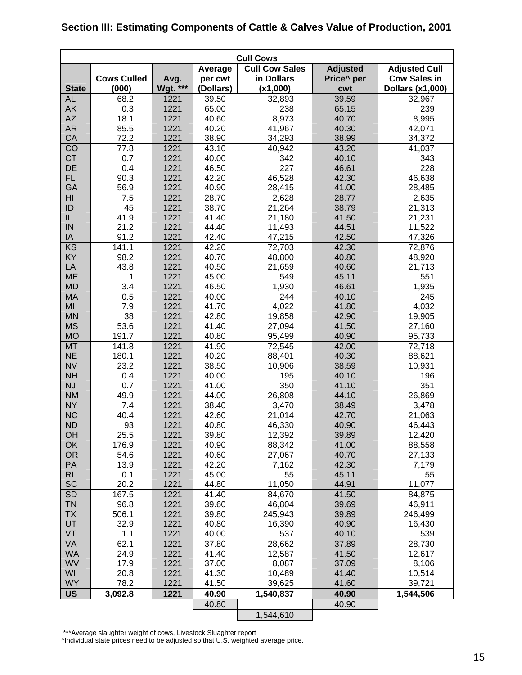| <b>Cull Cows</b>       |                    |              |                |                       |                 |                      |
|------------------------|--------------------|--------------|----------------|-----------------------|-----------------|----------------------|
|                        |                    |              | Average        | <b>Cull Cow Sales</b> | <b>Adjusted</b> | <b>Adjusted Cull</b> |
|                        | <b>Cows Culled</b> | Avg.         | per cwt        | in Dollars            | Price^ per      | <b>Cow Sales in</b>  |
| <b>State</b>           | (000)              | Wgt. ***     | (Dollars)      | (x1,000)              | cwt             | Dollars (x1,000)     |
| AL                     | 68.2               | 1221         | 39.50          | 32,893                | 39.59           | 32,967               |
| AK                     | 0.3                | 1221         | 65.00          | 238                   | 65.15           | 239                  |
| AZ                     | 18.1               | 1221         | 40.60          | 8,973                 | 40.70           | 8,995                |
| <b>AR</b>              | 85.5               | 1221         | 40.20          | 41,967                | 40.30           | 42,071               |
| CA                     | 72.2               | 1221         | 38.90          | 34,293                | 38.99           | 34,372               |
| $\overline{CO}$        | 77.8               | 1221         | 43.10          | 40,942                | 43.20           | 41,037               |
| <b>CT</b>              | 0.7                | 1221         | 40.00          | 342                   | 40.10           | 343                  |
| DE                     | 0.4                | 1221         | 46.50          | 227                   | 46.61           | 228                  |
| FL                     | 90.3               | 1221         | 42.20          | 46,528                | 42.30           | 46,638               |
| GA                     | 56.9               | 1221         | 40.90          | 28,415                | 41.00           | 28,485               |
| HI                     | 7.5                | 1221         | 28.70          | 2,628                 | 28.77           | 2,635                |
| ID                     | 45                 | 1221         | 38.70          | 21,264                | 38.79           | 21,313               |
| IL.                    | 41.9               | 1221         | 41.40          | 21,180                | 41.50           | 21,231               |
| IN<br>IA               | 21.2<br>91.2       | 1221<br>1221 | 44.40<br>42.40 | 11,493                | 44.51<br>42.50  | 11,522               |
| $\overline{\text{KS}}$ | 141.1              | 1221         | 42.20          | 47,215<br>72,703      | 42.30           | 47,326<br>72,876     |
| KY                     | 98.2               | 1221         | 40.70          | 48,800                | 40.80           | 48,920               |
| LA                     | 43.8               | 1221         | 40.50          | 21,659                | 40.60           | 21,713               |
| <b>ME</b>              | 1                  | 1221         | 45.00          | 549                   | 45.11           | 551                  |
| <b>MD</b>              | 3.4                | 1221         | 46.50          | 1,930                 | 46.61           | 1,935                |
| <b>MA</b>              | 0.5                | 1221         | 40.00          | 244                   | 40.10           | 245                  |
| MI                     | 7.9                | 1221         | 41.70          | 4,022                 | 41.80           | 4,032                |
| <b>MN</b>              | 38                 | 1221         | 42.80          | 19,858                | 42.90           | 19,905               |
| <b>MS</b>              | 53.6               | 1221         | 41.40          | 27,094                | 41.50           | 27,160               |
| <b>MO</b>              | 191.7              | 1221         | 40.80          | 95,499                | 40.90           | 95,733               |
| <b>MT</b>              | 141.8              | 1221         | 41.90          | 72,545                | 42.00           | 72,718               |
| <b>NE</b>              | 180.1              | 1221         | 40.20          | 88,401                | 40.30           | 88,621               |
| <b>NV</b>              | 23.2               | 1221         | 38.50          | 10,906                | 38.59           | 10,931               |
| <b>NH</b>              | 0.4                | 1221         | 40.00          | 195                   | 40.10           | 196                  |
| <b>NJ</b>              | 0.7                | 1221         | 41.00          | 350                   | 41.10           | 351                  |
| <b>NM</b>              | 49.9               | 1221         | 44.00          | 26,808                | 44.10           | 26,869               |
| <b>NY</b>              | 7.4                | 1221         | 38.40          | 3,470                 | 38.49           | 3,478                |
| <b>NC</b>              | 40.4               | 1221         | 42.60          | 21,014                | 42.70           | 21,063               |
| <b>ND</b>              | 93                 | 1221         | 40.80          | 46,330                | 40.90           | 46,443               |
| OH                     | 25.5               | 1221         | 39.80          | 12,392                | 39.89           | 12,420               |
| OK                     | 176.9              | 1221         | 40.90          | 88,342                | 41.00           | 88,558               |
| <b>OR</b>              | 54.6               | 1221         | 40.60          | 27,067                | 40.70           | 27,133               |
| PA                     | 13.9               | 1221         | 42.20          | 7,162                 | 42.30           | 7,179                |
| R <sub>l</sub>         | 0.1                | 1221         | 45.00          | 55                    | 45.11           | 55                   |
| <b>SC</b>              | 20.2               | 1221         | 44.80          | 11,050                | 44.91           | 11,077               |
| <b>SD</b>              | 167.5              | 1221         | 41.40          | 84,670                | 41.50           | 84,875               |
| <b>TN</b>              | 96.8               | 1221         | 39.60          | 46,804                | 39.69           | 46,911               |
| <b>TX</b>              | 506.1              | 1221         | 39.80          | 245,943               | 39.89           | 246,499              |
| UT                     | 32.9               | 1221         | 40.80          | 16,390                | 40.90           | 16,430               |
| VT                     | 1.1                | 1221         | 40.00          | 537                   | 40.10           | 539                  |
| VA                     | 62.1               | 1221         | 37.80          | 28,662                | 37.89           | 28,730               |
| <b>WA</b>              | 24.9               | 1221         | 41.40          | 12,587                | 41.50           | 12,617               |
| WV                     | 17.9               | 1221         | 37.00          | 8,087                 | 37.09           | 8,106                |
| WI                     | 20.8               | 1221         | 41.30          | 10,489                | 41.40           | 10,514               |
| <b>WY</b>              | 78.2               | 1221         | 41.50          | 39,625                | 41.60           | 39,721               |
| <b>US</b>              | 3,092.8            | 1221         | 40.90          | 1,540,837             | 40.90           | 1,544,506            |
|                        |                    |              | 40.80          |                       | 40.90           |                      |
|                        |                    |              |                | 1,544,610             |                 |                      |

\*\*\*Average slaughter weight of cows, Livestock Sluaghter report

^Individual state prices need to be adjusted so that U.S. weighted average price.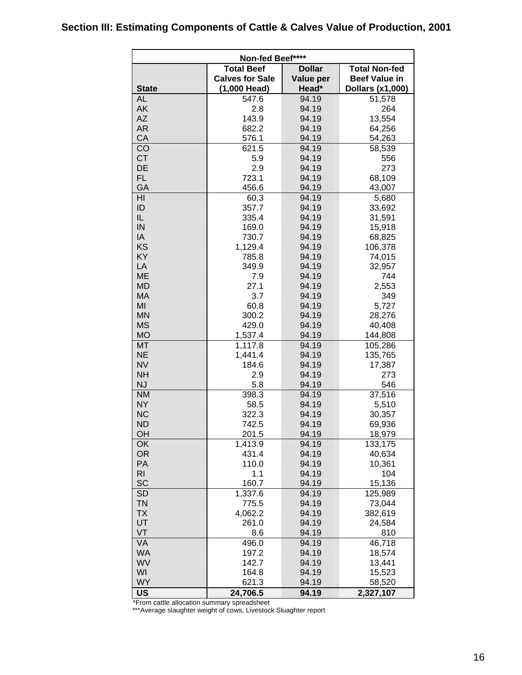| Non-fed Beef**** |                        |                |                      |  |  |  |  |
|------------------|------------------------|----------------|----------------------|--|--|--|--|
|                  | <b>Total Beef</b>      | <b>Dollar</b>  | <b>Total Non-fed</b> |  |  |  |  |
|                  | <b>Calves for Sale</b> | Value per      | <b>Beef Value in</b> |  |  |  |  |
| <b>State</b>     | (1,000 Head)           | Head*          | Dollars (x1,000)     |  |  |  |  |
| <b>AL</b>        | 547.6                  | 94.19          | 51,578               |  |  |  |  |
| AK               | 2.8                    | 94.19          | 264                  |  |  |  |  |
| AZ               | 143.9                  | 94.19          | 13,554               |  |  |  |  |
| <b>AR</b>        | 682.2                  | 94.19          | 64,256               |  |  |  |  |
| CA               | 576.1                  | 94.19          | 54,263               |  |  |  |  |
| $\overline{CO}$  | 621.5                  | 94.19          | 58,539               |  |  |  |  |
| <b>CT</b><br>DE  | 5.9                    | 94.19          | 556<br>273           |  |  |  |  |
| FL               | 2.9<br>723.1           | 94.19<br>94.19 |                      |  |  |  |  |
| GA               | 456.6                  | 94.19          | 68,109<br>43,007     |  |  |  |  |
| HI               | 60.3                   | 94.19          | 5,680                |  |  |  |  |
| ID               | 357.7                  | 94.19          | 33,692               |  |  |  |  |
| IL               | 335.4                  | 94.19          | 31,591               |  |  |  |  |
| IN               | 169.0                  | 94.19          | 15,918               |  |  |  |  |
| IA               | 730.7                  | 94.19          | 68,825               |  |  |  |  |
| KS               | 1,129.4                | 94.19          | 106,378              |  |  |  |  |
| KY               | 785.8                  | 94.19          | 74,015               |  |  |  |  |
| LA               | 349.9                  | 94.19          | 32,957               |  |  |  |  |
| <b>ME</b>        | 7.9                    | 94.19          | 744                  |  |  |  |  |
| <b>MD</b>        | 27.1                   | 94.19          | 2,553                |  |  |  |  |
| <b>MA</b>        | 3.7                    | 94.19          | 349                  |  |  |  |  |
| MI               | 60.8                   | 94.19          | 5,727                |  |  |  |  |
| <b>MN</b>        | 300.2                  | 94.19          | 28,276               |  |  |  |  |
| <b>MS</b>        | 429.0                  | 94.19          | 40,408               |  |  |  |  |
| <b>MO</b>        | 1,537.4                | 94.19          | 144,808              |  |  |  |  |
| <b>MT</b>        | 1,117.8                | 94.19          | 105,286              |  |  |  |  |
| <b>NE</b>        | 1,441.4                | 94.19          | 135,765              |  |  |  |  |
| <b>NV</b>        | 184.6                  | 94.19          | 17,387               |  |  |  |  |
| <b>NH</b>        | 2.9                    | 94.19          | 273                  |  |  |  |  |
| <b>NJ</b>        | 5.8                    | 94.19          | 546                  |  |  |  |  |
| <b>NM</b>        | 398.3                  | 94.19          | 37,516               |  |  |  |  |
| <b>NY</b>        | 58.5                   | 94.19          | 5,510                |  |  |  |  |
| <b>NC</b>        | 322.3                  | 94.19          | 30,357               |  |  |  |  |
| <b>ND</b>        | 742.5                  | 94.19          | 69,936               |  |  |  |  |
| OH               | 201.5                  | 94.19          | 18,979               |  |  |  |  |
| OK               | $\overline{1},413.9$   | 94.19          | 133,175              |  |  |  |  |
| <b>OR</b>        | 431.4                  | 94.19          | 40,634               |  |  |  |  |
| PA               | 110.0                  | 94.19          | 10,361               |  |  |  |  |
| R <sub>l</sub>   | 1.1                    | 94.19          | 104                  |  |  |  |  |
| SC               | 160.7                  | 94.19          | 15,136               |  |  |  |  |
| <b>SD</b>        | 1,337.6                | 94.19          | 125,989              |  |  |  |  |
| <b>TN</b>        | 775.5                  | 94.19          | 73,044               |  |  |  |  |
| <b>TX</b>        | 4,062.2                | 94.19          | 382,619              |  |  |  |  |
| UT               | 261.0                  | 94.19          | 24,584               |  |  |  |  |
| VT               | 8.6                    | 94.19          | 810                  |  |  |  |  |
| VA               | 496.0                  | 94.19          | 46,718               |  |  |  |  |
| <b>WA</b>        | 197.2                  | 94.19          | 18,574               |  |  |  |  |
| WV               | 142.7                  | 94.19          | 13,441               |  |  |  |  |
| WI               | 164.8                  | 94.19          | 15,523               |  |  |  |  |
| <b>WY</b>        | 621.3                  | 94.19          | 58,520               |  |  |  |  |
| <b>US</b>        | 24,706.5               | 94.19          | 2,327,107            |  |  |  |  |

\*From cattle allocation summary spreadsheet

\*\*\*Average slaughter weight of cows, Livestock Sluaghter report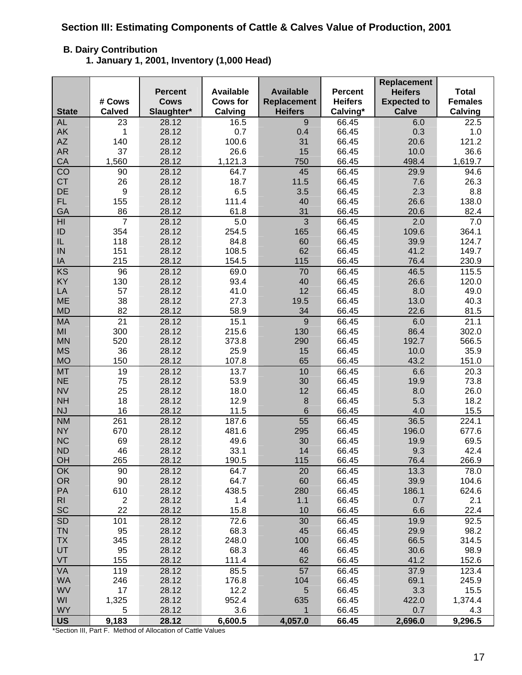#### **B. Dairy Contribution**

**1. January 1, 2001, Inventory (1,000 Head)** 

| <b>Heifers</b><br><b>Available</b><br><b>Available</b><br><b>Percent</b><br><b>Percent</b><br><b>Heifers</b><br># Cows<br><b>Cows</b><br><b>Cows for</b><br><b>Expected to</b><br><b>Replacement</b><br><b>Calved</b><br>Calving<br><b>Heifers</b><br><b>Calve</b><br><b>State</b><br>Slaughter*<br>Calving*<br>23<br>16.5<br><b>AL</b><br>28.12<br>9<br>66.45<br>6.0 | <b>Total</b><br><b>Females</b><br>Calving<br>22.5<br>1.0 |
|-----------------------------------------------------------------------------------------------------------------------------------------------------------------------------------------------------------------------------------------------------------------------------------------------------------------------------------------------------------------------|----------------------------------------------------------|
|                                                                                                                                                                                                                                                                                                                                                                       |                                                          |
|                                                                                                                                                                                                                                                                                                                                                                       |                                                          |
|                                                                                                                                                                                                                                                                                                                                                                       |                                                          |
|                                                                                                                                                                                                                                                                                                                                                                       |                                                          |
| 28.12<br>0.7<br>0.4<br>0.3<br>AK<br>1<br>66.45                                                                                                                                                                                                                                                                                                                        |                                                          |
| 140<br>28.12<br>100.6<br>31<br>66.45<br>20.6<br><b>AZ</b>                                                                                                                                                                                                                                                                                                             | 121.2                                                    |
| 26.6<br><b>AR</b><br>37<br>28.12<br>66.45<br>10.0<br>15                                                                                                                                                                                                                                                                                                               | 36.6                                                     |
| CA<br>1,560<br>28.12<br>1,121.3<br>498.4<br>750<br>66.45                                                                                                                                                                                                                                                                                                              | 1,619.7                                                  |
| CO<br>28.12<br>64.7<br>66.45<br>29.9<br>90<br>45                                                                                                                                                                                                                                                                                                                      | 94.6                                                     |
| <b>CT</b><br>26<br>28.12<br>18.7<br>66.45<br>11.5<br>7.6                                                                                                                                                                                                                                                                                                              | 26.3                                                     |
| DE<br>9<br>28.12<br>6.5<br>2.3<br>3.5<br>66.45                                                                                                                                                                                                                                                                                                                        | 8.8                                                      |
| <b>FL</b><br>28.12<br>155<br>111.4<br>40<br>66.45<br>26.6                                                                                                                                                                                                                                                                                                             | 138.0                                                    |
| GA<br>28.12<br>20.6<br>86<br>61.8<br>31<br>66.45                                                                                                                                                                                                                                                                                                                      | 82.4                                                     |
| $\overline{7}$<br>5.0<br>66.45<br>2.0<br>HI<br>28.12<br>3                                                                                                                                                                                                                                                                                                             | 7.0                                                      |
| 28.12<br>ID<br>354<br>254.5<br>165<br>66.45<br>109.6                                                                                                                                                                                                                                                                                                                  | 364.1                                                    |
| 118<br>28.12<br>84.8<br>60<br>66.45<br>39.9<br>IL                                                                                                                                                                                                                                                                                                                     | 124.7                                                    |
| IN<br>28.12<br>108.5<br>62<br>41.2<br>151<br>66.45                                                                                                                                                                                                                                                                                                                    | 149.7                                                    |
| 215<br>28.12<br>115<br>76.4<br>IA<br>154.5<br>66.45                                                                                                                                                                                                                                                                                                                   | 230.9                                                    |
| 96<br><b>KS</b><br>69.0<br>70<br>66.45<br>46.5<br>28.12                                                                                                                                                                                                                                                                                                               | 115.5                                                    |
| KY<br>130<br>28.12<br>93.4<br>26.6<br>40<br>66.45                                                                                                                                                                                                                                                                                                                     | 120.0                                                    |
| LA<br>57<br>28.12<br>41.0<br>12<br>8.0<br>66.45                                                                                                                                                                                                                                                                                                                       | 49.0                                                     |
| <b>ME</b><br>38<br>28.12<br>27.3<br>13.0<br>19.5<br>66.45                                                                                                                                                                                                                                                                                                             | 40.3                                                     |
| <b>MD</b><br>82<br>28.12<br>58.9<br>34<br>22.6<br>66.45                                                                                                                                                                                                                                                                                                               | 81.5                                                     |
| 21<br>15.1<br><b>MA</b><br>66.45<br>28.12<br>9<br>6.0                                                                                                                                                                                                                                                                                                                 | 21.1                                                     |
| 300<br>215.6<br>MI<br>28.12<br>130<br>66.45<br>86.4                                                                                                                                                                                                                                                                                                                   | 302.0                                                    |
| <b>MN</b><br>520<br>373.8<br>290<br>192.7<br>28.12<br>66.45                                                                                                                                                                                                                                                                                                           | 566.5                                                    |
| <b>MS</b><br>36<br>25.9<br>28.12<br>15<br>66.45<br>10.0                                                                                                                                                                                                                                                                                                               | 35.9                                                     |
| <b>MO</b><br>150<br>107.8<br>43.2<br>28.12<br>65<br>66.45                                                                                                                                                                                                                                                                                                             | 151.0                                                    |
| <b>MT</b><br>19<br>28.12<br>13.7<br>66.45<br>6.6<br>10                                                                                                                                                                                                                                                                                                                | 20.3                                                     |
| <b>NE</b><br>75<br>53.9<br>19.9<br>28.12<br>30<br>66.45                                                                                                                                                                                                                                                                                                               | 73.8                                                     |
| <b>NV</b><br>25<br>28.12<br>18.0<br>12<br>66.45<br>8.0                                                                                                                                                                                                                                                                                                                | 26.0                                                     |
| <b>NH</b><br>18<br>28.12<br>12.9<br>8<br>66.45<br>5.3                                                                                                                                                                                                                                                                                                                 | 18.2                                                     |
| <b>NJ</b><br>16<br>28.12<br>11.5<br>66.45<br>4.0<br>6                                                                                                                                                                                                                                                                                                                 | 15.5                                                     |
| <b>NM</b><br>261<br>28.12<br>187.6<br>55<br>66.45<br>36.5                                                                                                                                                                                                                                                                                                             | 224.1                                                    |
| <b>NY</b><br>670<br>28.12<br>481.6<br>295<br>66.45<br>196.0                                                                                                                                                                                                                                                                                                           | 677.6                                                    |
| <b>NC</b><br>69<br>30<br>28.12<br>49.6<br>66.45<br>19.9                                                                                                                                                                                                                                                                                                               | 69.5                                                     |
| <b>ND</b><br>46<br>28.12<br>33.1<br>14<br>66.45<br>9.3                                                                                                                                                                                                                                                                                                                | 42.4                                                     |
| 28.12<br>190.5<br>76.4<br>OH<br>265<br>115<br>66.45                                                                                                                                                                                                                                                                                                                   | 266.9                                                    |
| OK<br>90<br>28.12<br>64.7<br>20<br>66.45<br>13.3                                                                                                                                                                                                                                                                                                                      | 78.0                                                     |
| <b>OR</b><br>90<br>28.12<br>64.7<br>60<br>39.9<br>66.45                                                                                                                                                                                                                                                                                                               | 104.6                                                    |
| PA<br>610<br>28.12<br>438.5<br>280<br>186.1<br>66.45                                                                                                                                                                                                                                                                                                                  | 624.6                                                    |
| $\mathbf 2$<br>1.1<br>R <sub>l</sub><br>28.12<br>1.4<br>66.45<br>0.7<br>SC<br>22<br>10                                                                                                                                                                                                                                                                                | 2.1                                                      |
| 15.8<br>6.6<br>28.12<br>66.45                                                                                                                                                                                                                                                                                                                                         | 22.4                                                     |
| <b>SD</b><br>101<br>28.12<br>72.6<br>66.45<br>19.9<br>30                                                                                                                                                                                                                                                                                                              | 92.5                                                     |
| <b>TN</b><br>95<br>68.3<br>45<br>29.9<br>28.12<br>66.45                                                                                                                                                                                                                                                                                                               | 98.2                                                     |
| <b>TX</b><br>345<br>28.12<br>248.0<br>100<br>66.5<br>66.45<br>UT<br>95<br>68.3<br>46<br>30.6<br>28.12<br>66.45                                                                                                                                                                                                                                                        | 314.5<br>98.9                                            |
| VT<br>111.4<br>62<br>155<br>28.12<br>66.45<br>41.2                                                                                                                                                                                                                                                                                                                    | 152.6                                                    |
|                                                                                                                                                                                                                                                                                                                                                                       |                                                          |
| 85.5<br>VA<br>119<br>57<br>66.45<br>28.12<br>37.9<br><b>WA</b><br>176.8<br>69.1                                                                                                                                                                                                                                                                                       | 123.4<br>245.9                                           |
| 104<br>246<br>28.12<br>66.45<br>WV<br>17<br>12.2<br>3.3<br>28.12<br>66.45                                                                                                                                                                                                                                                                                             | 15.5                                                     |
| 5<br>WI<br>1,325<br>952.4<br>28.12<br>635<br>66.45<br>422.0                                                                                                                                                                                                                                                                                                           | 1,374.4                                                  |
| <b>WY</b><br>3.6<br>5<br>28.12<br>0.7<br>1<br>66.45                                                                                                                                                                                                                                                                                                                   | 4.3                                                      |
| <b>US</b><br>9,183<br>66.45<br>28.12<br>6,600.5<br>4,057.0<br>2,696.0                                                                                                                                                                                                                                                                                                 | 9,296.5                                                  |

\*Section III, Part F. Method of Allocation of Cattle Values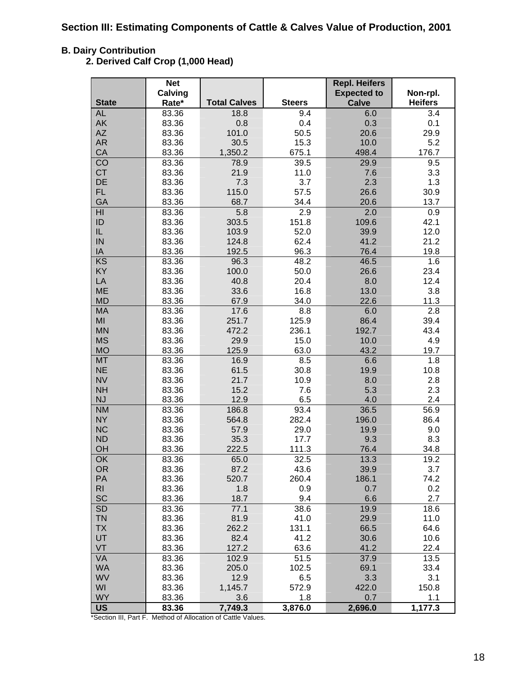#### **B. Dairy Contribution**

**2. Derived Calf Crop (1,000 Head)** 

|                        | <b>Net</b> |                     |               | <b>Repl. Heifers</b> |                |
|------------------------|------------|---------------------|---------------|----------------------|----------------|
|                        | Calving    |                     |               | <b>Expected to</b>   | Non-rpl.       |
| <b>State</b>           | Rate*      | <b>Total Calves</b> | <b>Steers</b> | <b>Calve</b>         | <b>Heifers</b> |
| AL                     | 83.36      | 18.8                | 9.4           | 6.0                  | 3.4            |
| AK                     | 83.36      | 0.8                 | 0.4           | 0.3                  | 0.1            |
| AΖ                     | 83.36      | 101.0               | 50.5          | 20.6                 | 29.9           |
| <b>AR</b>              | 83.36      | 30.5                | 15.3          | 10.0                 | 5.2            |
| CA                     | 83.36      | 1,350.2             | 675.1         | 498.4                | 176.7          |
| CO                     | 83.36      | 78.9                | 39.5          | 29.9                 | 9.5            |
| <b>CT</b>              | 83.36      | 21.9                | 11.0          | 7.6                  | 3.3            |
| DE                     | 83.36      | 7.3                 | 3.7           | 2.3                  | 1.3            |
| FL                     | 83.36      | 115.0               | 57.5          | 26.6                 | 30.9           |
| GA                     | 83.36      | 68.7                | 34.4          | 20.6                 | 13.7           |
| HI                     | 83.36      | 5.8                 | 2.9           | 2.0                  | 0.9            |
| ID                     | 83.36      | 303.5               | 151.8         | 109.6                | 42.1           |
| IL                     | 83.36      | 103.9               | 52.0          | 39.9                 | 12.0           |
| IN                     | 83.36      | 124.8               | 62.4          | 41.2                 | 21.2           |
| ΙA                     | 83.36      | 192.5               | 96.3          | 76.4                 | 19.8           |
| $\overline{\text{KS}}$ | 83.36      | 96.3                | 48.2          | 46.5                 | 1.6            |
| ΚY                     | 83.36      | 100.0               | 50.0          | 26.6                 | 23.4           |
| LA                     | 83.36      | 40.8                | 20.4          | 8.0                  | 12.4           |
| <b>ME</b>              | 83.36      | 33.6                | 16.8          | 13.0                 | 3.8            |
| <b>MD</b>              | 83.36      | 67.9                | 34.0          | 22.6                 | 11.3           |
| <b>MA</b>              | 83.36      | 17.6                | 8.8           | 6.0                  | 2.8            |
| MI                     | 83.36      | 251.7               | 125.9         | 86.4                 | 39.4           |
| <b>MN</b>              | 83.36      | 472.2               | 236.1         | 192.7                | 43.4           |
| <b>MS</b>              | 83.36      | 29.9                | 15.0          | 10.0                 | 4.9            |
| <b>MO</b>              | 83.36      | 125.9               | 63.0          | 43.2                 | 19.7           |
| MT                     | 83.36      | 16.9                | 8.5           | 6.6                  | 1.8            |
| <b>NE</b>              | 83.36      | 61.5                | 30.8          | 19.9                 | 10.8           |
| <b>NV</b>              | 83.36      | 21.7                | 10.9          | 8.0                  | 2.8            |
| <b>NH</b>              | 83.36      | 15.2                | 7.6           | 5.3                  | 2.3            |
| NJ                     | 83.36      | 12.9                | 6.5           | 4.0                  | 2.4            |
| <b>NM</b>              | 83.36      | 186.8               | 93.4          | 36.5                 | 56.9           |
| <b>NY</b>              | 83.36      | 564.8               | 282.4         | 196.0                | 86.4           |
| <b>NC</b>              | 83.36      | 57.9                | 29.0          | 19.9                 | 9.0            |
| <b>ND</b>              | 83.36      | 35.3                | 17.7          | 9.3                  | 8.3            |
| OH                     | 83.36      | 222.5               | 111.3         | 76.4                 | 34.8           |
| $\overline{OK}$        | 83.36      | 65.0                | 32.5          | 13.3                 | 19.2           |
| <b>OR</b>              | 83.36      | 87.2                | 43.6          | 39.9                 | 3.7            |
| PA                     | 83.36      | 520.7               | 260.4         | 186.1                | 74.2           |
| RI                     | 83.36      | 1.8                 | 0.9           | 0.7                  | 0.2            |
| <b>SC</b>              | 83.36      | 18.7                | 9.4           | 6.6                  | 2.7            |
| <b>SD</b>              | 83.36      | 77.1                | 38.6          | 19.9                 | 18.6           |
| <b>TN</b>              | 83.36      | 81.9                | 41.0          | 29.9                 | 11.0           |
| <b>TX</b>              | 83.36      | 262.2               | 131.1         | 66.5                 | 64.6           |
| UT                     | 83.36      | 82.4                | 41.2          | 30.6                 | 10.6           |
| VT                     | 83.36      | 127.2               | 63.6          | 41.2                 | 22.4           |
| VA                     | 83.36      | 102.9               | 51.5          | 37.9                 | 13.5           |
| <b>WA</b>              | 83.36      | 205.0               | 102.5         | 69.1                 | 33.4           |
| <b>WV</b>              | 83.36      | 12.9                | 6.5           | 3.3                  | 3.1            |
| WI                     | 83.36      | 1,145.7             | 572.9         | 422.0                | 150.8          |
| <b>WY</b>              | 83.36      | 3.6                 | 1.8           | 0.7                  | 1.1            |
| <b>US</b>              | 83.36      | 7,749.3             | 3,876.0       | 2,696.0              | 1,177.3        |

\*Section III, Part F. Method of Allocation of Cattle Values.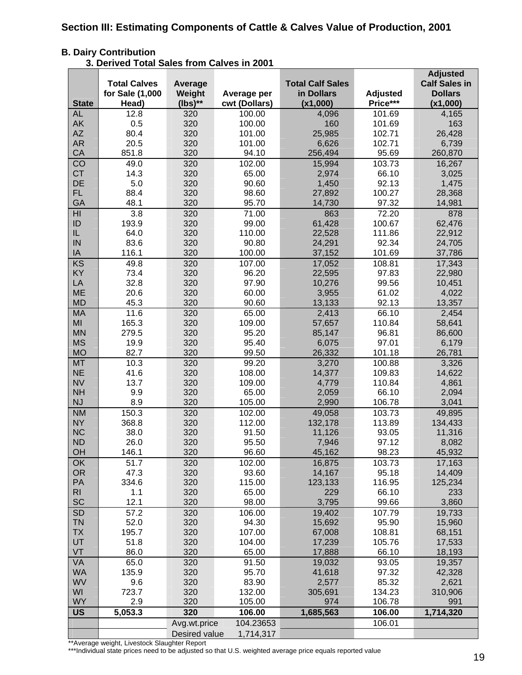### **B. Dairy Contribution**

**3. Derived Total Sales from Calves in 2001** 

|                        | <b>Total Calves</b><br>for Sale (1,000 | Average<br>Weight             | Average per            | <b>Total Calf Sales</b><br>in Dollars | <b>Adjusted</b>  | <b>Adjusted</b><br><b>Calf Sales in</b><br><b>Dollars</b> |
|------------------------|----------------------------------------|-------------------------------|------------------------|---------------------------------------|------------------|-----------------------------------------------------------|
| <b>State</b>           | Head)                                  | $(lbs)^{**}$                  | cwt (Dollars)          | (x1,000)                              | Price***         | (x1,000)                                                  |
| <b>AL</b>              | 12.8                                   | 320                           | 100.00                 | 4,096                                 | 101.69           | 4,165                                                     |
| <b>AK</b>              | 0.5                                    | 320                           | 100.00                 | 160                                   | 101.69           | 163                                                       |
| <b>AZ</b>              | 80.4                                   | 320                           | 101.00                 | 25,985                                | 102.71           | 26,428                                                    |
| <b>AR</b>              | 20.5                                   | 320                           | 101.00                 | 6,626                                 | 102.71           | 6,739                                                     |
| CA                     | 851.8                                  | 320                           | 94.10                  | 256,494                               | 95.69            | 260,870                                                   |
| CO                     | 49.0                                   | 320                           | 102.00                 | 15,994                                | 103.73           | 16,267                                                    |
| <b>CT</b>              | 14.3                                   | 320                           | 65.00                  | 2,974                                 | 66.10            | 3,025                                                     |
| DE                     | 5.0                                    | 320                           | 90.60                  | 1,450                                 | 92.13            | 1,475                                                     |
| <b>FL</b><br>GA        | 88.4<br>48.1                           | 320<br>320                    | 98.60<br>95.70         | 27,892<br>14,730                      | 100.27<br>97.32  | 28,368<br>14,981                                          |
| H <sub>l</sub>         | 3.8                                    | 320                           | 71.00                  | 863                                   | 72.20            | 878                                                       |
| ID                     | 193.9                                  | 320                           | 99.00                  | 61,428                                | 100.67           | 62,476                                                    |
| IL                     | 64.0                                   | 320                           | 110.00                 | 22,528                                | 111.86           | 22,912                                                    |
| IN                     | 83.6                                   | 320                           | 90.80                  | 24,291                                | 92.34            | 24,705                                                    |
| IA                     | 116.1                                  | 320                           | 100.00                 | 37,152                                | 101.69           | 37,786                                                    |
| KS                     | 49.8                                   | 320                           | 107.00                 | 17,052                                | 108.81           | 17,343                                                    |
| KY                     | 73.4                                   | 320                           | 96.20                  | 22,595                                | 97.83            | 22,980                                                    |
| LA                     | 32.8                                   | 320                           | 97.90                  | 10,276                                | 99.56            | 10,451                                                    |
| <b>ME</b>              | 20.6                                   | 320                           | 60.00                  | 3,955                                 | 61.02            | 4,022                                                     |
| <b>MD</b>              | 45.3                                   | 320                           | 90.60                  | 13,133                                | 92.13            | 13,357                                                    |
| <b>MA</b>              | 11.6                                   | 320                           | 65.00                  | 2,413                                 | 66.10            | 2,454                                                     |
| MI                     | 165.3                                  | 320                           | 109.00                 | 57,657                                | 110.84           | 58,641                                                    |
| <b>MN</b>              | 279.5                                  | 320                           | 95.20                  | 85,147                                | 96.81            | 86,600                                                    |
| <b>MS</b>              | 19.9                                   | 320                           | 95.40                  | 6,075                                 | 97.01            | 6,179                                                     |
| <b>MO</b>              | 82.7                                   | 320                           | 99.50                  | 26,332                                | 101.18           | 26,781                                                    |
| <b>MT</b><br><b>NE</b> | 10.3<br>41.6                           | 320<br>320                    | 99.20<br>108.00        | 3,270<br>14,377                       | 100.88<br>109.83 | 3,326<br>14,622                                           |
| <b>NV</b>              | 13.7                                   | 320                           | 109.00                 | 4,779                                 | 110.84           | 4,861                                                     |
| <b>NH</b>              | 9.9                                    | 320                           | 65.00                  | 2,059                                 | 66.10            | 2,094                                                     |
| <b>NJ</b>              | 8.9                                    | 320                           | 105.00                 | 2,990                                 | 106.78           | 3,041                                                     |
| <b>NM</b>              | 150.3                                  | 320                           | 102.00                 | 49,058                                | 103.73           | 49,895                                                    |
| <b>NY</b>              | 368.8                                  | 320                           | 112.00                 | 132,178                               | 113.89           | 134,433                                                   |
| <b>NC</b>              | 38.0                                   | 320                           | 91.50                  | 11,126                                | 93.05            | 11,316                                                    |
| <b>ND</b>              | 26.0                                   | 320                           | 95.50                  | 7,946                                 | 97.12            | 8,082                                                     |
| OH                     | 146.1                                  | 320                           | 96.60                  | 45,162                                | 98.23            | 45,932                                                    |
| OK                     | 51.7                                   | 320                           | 102.00                 | 16,875                                | 103.73           | 17,163                                                    |
| <b>OR</b><br>PA        | 47.3                                   | 320<br>320                    | 93.60                  | 14,167                                | 95.18<br>116.95  | 14,409                                                    |
| R <sub>l</sub>         | 334.6<br>1.1                           | 320                           | 115.00<br>65.00        | 123,133<br>229                        | 66.10            | 125,234<br>233                                            |
| <b>SC</b>              | 12.1                                   | 320                           | 98.00                  | 3,795                                 | 99.66            | 3,860                                                     |
| <b>SD</b>              | 57.2                                   | 320                           | 106.00                 | 19,402                                | 107.79           | 19,733                                                    |
| <b>TN</b>              | 52.0                                   | 320                           | 94.30                  | 15,692                                | 95.90            | 15,960                                                    |
| <b>TX</b>              | 195.7                                  | 320                           | 107.00                 | 67,008                                | 108.81           | 68,151                                                    |
| UT                     | 51.8                                   | 320                           | 104.00                 | 17,239                                | 105.76           | 17,533                                                    |
| VT                     | 86.0                                   | 320                           | 65.00                  | 17,888                                | 66.10            | 18,193                                                    |
| VA                     | 65.0                                   | 320                           | 91.50                  | 19,032                                | 93.05            | 19,357                                                    |
| <b>WA</b>              | 135.9                                  | 320                           | 95.70                  | 41,618                                | 97.32            | 42,328                                                    |
| WV                     | 9.6                                    | 320                           | 83.90                  | 2,577                                 | 85.32            | 2,621                                                     |
| WI                     | 723.7                                  | 320                           | 132.00                 | 305,691                               | 134.23           | 310,906                                                   |
| <b>WY</b>              | 2.9                                    | 320                           | 105.00                 | 974                                   | 106.78           | 991                                                       |
| <b>US</b>              | 5,053.3                                | 320                           | 106.00                 | 1,685,563                             | 106.00           | 1,714,320                                                 |
|                        |                                        | Avg.wt.price<br>Desired value | 104.23653<br>1,714,317 |                                       | 106.01           |                                                           |
|                        |                                        |                               |                        |                                       |                  |                                                           |

\*\*Average weight, Livestock Slaughter Report

\*\*\*Individual state prices need to be adjusted so that U.S. weighted average price equals reported value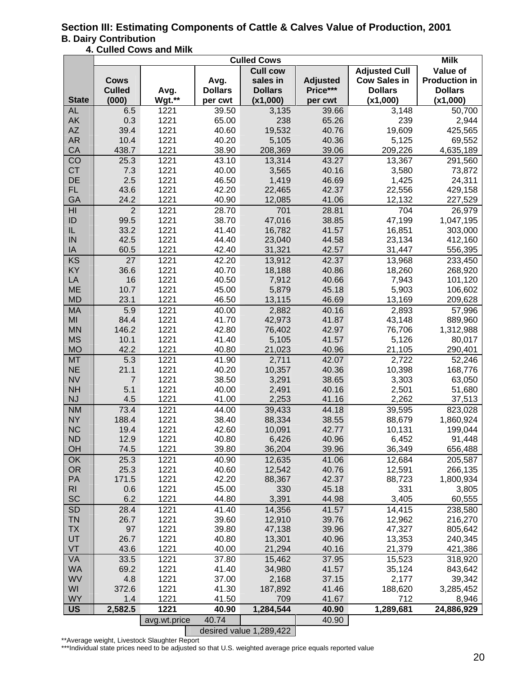# **Section III: Estimating Components of Cattle & Calves Value of Production, 2001 B. Dairy Contribution**

**4. Culled Cows and Milk** 

|                 |               |              |                | <b>Culled Cows</b>      | <b>Milk</b>     |                      |                      |  |
|-----------------|---------------|--------------|----------------|-------------------------|-----------------|----------------------|----------------------|--|
|                 |               |              |                | <b>Cull cow</b>         |                 | <b>Adjusted Cull</b> | Value of             |  |
|                 | <b>Cows</b>   |              | Avg.           | sales in                | <b>Adjusted</b> | <b>Cow Sales in</b>  | <b>Production in</b> |  |
|                 | <b>Culled</b> | Avg.         | <b>Dollars</b> | <b>Dollars</b>          | Price***        | <b>Dollars</b>       | <b>Dollars</b>       |  |
| <b>State</b>    | (000)         | Wgt.**       | per cwt        | (x1,000)                | per cwt         | (x1,000)             | (x1,000)             |  |
| <b>AL</b>       | 6.5           | 1221         | 39.50          | 3,135                   | 39.66           | 3,148                | 50,700               |  |
| AK              | 0.3           | 1221         | 65.00          | 238                     | 65.26           | 239                  | 2,944                |  |
| <b>AZ</b>       | 39.4          | 1221         | 40.60          | 19,532                  | 40.76           | 19,609               | 425,565              |  |
| <b>AR</b>       | 10.4          | 1221         | 40.20          | 5,105                   | 40.36           | 5,125                | 69,552               |  |
| CA              | 438.7         | 1221         | 38.90          | 208,369                 | 39.06           | 209,226              | 4,635,189            |  |
| CO              | 25.3          | 1221         | 43.10          | 13,314                  | 43.27           | 13,367               | 291,560              |  |
| <b>CT</b>       | 7.3           | 1221         | 40.00          | 3,565                   | 40.16           | 3,580                | 73,872               |  |
| DE              | 2.5           | 1221         | 46.50          | 1,419                   | 46.69           | 1,425                | 24,311               |  |
| <b>FL</b>       | 43.6          | 1221         | 42.20          | 22,465                  | 42.37           | 22,556               | 429,158              |  |
| GA              | 24.2          | 1221         | 40.90          | 12,085                  | 41.06           | 12,132               | 227,529              |  |
| HI              | $\mathbf 2$   | 1221         | 28.70          | 701                     | 28.81           | 704                  | 26,979               |  |
| ID              | 99.5          | 1221         | 38.70          | 47,016                  | 38.85           | 47,199               | 1,047,195            |  |
| IL              | 33.2          | 1221         | 41.40          | 16,782                  | 41.57           | 16,851               | 303,000              |  |
| IN              | 42.5          | 1221         | 44.40          | 23,040                  | 44.58           | 23,134               | 412,160              |  |
| IA              | 60.5          | 1221         | 42.40          | 31,321                  | 42.57           | 31,447               | 556,395              |  |
| KS              | 27            | 1221         | 42.20          | 13,912                  | 42.37           | 13,968               | 233,450              |  |
| KY<br>LA        | 36.6          | 1221         | 40.70          | 18,188                  | 40.86           | 18,260               | 268,920              |  |
| <b>ME</b>       | 16            | 1221         | 40.50          | 7,912                   | 40.66<br>45.18  | 7,943                | 101,120              |  |
| <b>MD</b>       | 10.7<br>23.1  | 1221         | 45.00<br>46.50 | 5,879<br>13,115         |                 | 5,903                | 106,602              |  |
|                 |               | 1221         |                |                         | 46.69           | 13,169               | 209,628              |  |
| <b>MA</b><br>MI | 5.9<br>84.4   | 1221<br>1221 | 40.00<br>41.70 | 2,882<br>42,973         | 40.16<br>41.87  | 2,893<br>43,148      | 57,996<br>889,960    |  |
| <b>MN</b>       | 146.2         | 1221         | 42.80          | 76,402                  | 42.97           | 76,706               | 1,312,988            |  |
| <b>MS</b>       | 10.1          | 1221         | 41.40          | 5,105                   | 41.57           | 5,126                | 80,017               |  |
| <b>MO</b>       | 42.2          | 1221         | 40.80          | 21,023                  | 40.96           | 21,105               | 290,401              |  |
| <b>MT</b>       | 5.3           | 1221         | 41.90          | 2,711                   | 42.07           | 2,722                | 52,246               |  |
| <b>NE</b>       | 21.1          | 1221         | 40.20          | 10,357                  | 40.36           | 10,398               | 168,776              |  |
| <b>NV</b>       | 7             | 1221         | 38.50          | 3,291                   | 38.65           | 3,303                | 63,050               |  |
| <b>NH</b>       | 5.1           | 1221         | 40.00          | 2,491                   | 40.16           | 2,501                | 51,680               |  |
| <b>NJ</b>       | 4.5           | 1221         | 41.00          | 2,253                   | 41.16           | 2,262                | 37,513               |  |
| <b>NM</b>       | 73.4          | 1221         | 44.00          | 39,433                  | 44.18           | 39,595               | 823,028              |  |
| <b>NY</b>       | 188.4         | 1221         | 38.40          | 88,334                  | 38.55           | 88,679               | 1,860,924            |  |
| <b>NC</b>       | 19.4          | 1221         | 42.60          | 10,091                  | 42.77           | 10,131               | 199,044              |  |
| ND              | 12.9          | 1221         | 40.80          | 6,426                   | 40.96           | 6,452                | 91,448               |  |
| OH              | 74.5          | 1221         | 39.80          | 36,204                  | 39.96           | 36,349               | 656,488              |  |
| OK              | 25.3          | 1221         | 40.90          | 12,635                  | 41.06           | 12,684               | 205,587              |  |
| <b>OR</b>       | 25.3          | 1221         | 40.60          | 12,542                  | 40.76           | 12,591               | 266,135              |  |
| PA              | 171.5         | 1221         | 42.20          | 88,367                  | 42.37           | 88,723               | 1,800,934            |  |
| R <sub>l</sub>  | 0.6           | 1221         | 45.00          | 330                     | 45.18           | 331                  | 3,805                |  |
| SC              | 6.2           | 1221         | 44.80          | 3,391                   | 44.98           | 3,405                | 60,555               |  |
| <b>SD</b>       | 28.4          | 1221         | 41.40          | 14,356                  | 41.57           | 14,415               | 238,580              |  |
| <b>TN</b>       | 26.7          | 1221         | 39.60          | 12,910                  | 39.76           | 12,962               | 216,270              |  |
| <b>TX</b>       | 97            | 1221         | 39.80          | 47,138                  | 39.96           | 47,327               | 805,642              |  |
| UT              | 26.7          | 1221         | 40.80          | 13,301                  | 40.96           | 13,353               | 240,345              |  |
| VT              | 43.6          | 1221         | 40.00          | 21,294                  | 40.16           | 21,379               | 421,386              |  |
| VA              | 33.5          | 1221         | 37.80          | 15,462                  | 37.95           | 15,523               | 318,920              |  |
| <b>WA</b><br>WV | 69.2          | 1221         | 41.40          | 34,980                  | 41.57           | 35,124               | 843,642              |  |
| WI              | 4.8<br>372.6  | 1221<br>1221 | 37.00          | 2,168                   | 37.15           | 2,177                | 39,342               |  |
| <b>WY</b>       | 1.4           | 1221         | 41.30<br>41.50 | 187,892<br>709          | 41.46<br>41.67  | 188,620<br>712       | 3,285,452<br>8,946   |  |
| <b>US</b>       | 2,582.5       | 1221         | 40.90          | 1,284,544               | 40.90           | 1,289,681            | 24,886,929           |  |
|                 |               | avg.wt.price | 40.74          |                         | 40.90           |                      |                      |  |
|                 |               |              |                | desired value 1,289,422 |                 |                      |                      |  |
|                 |               |              |                |                         |                 |                      |                      |  |

\*\*Average weight, Livestock Slaughter Report

\*\*\*Individual state prices need to be adjusted so that U.S. weighted average price equals reported value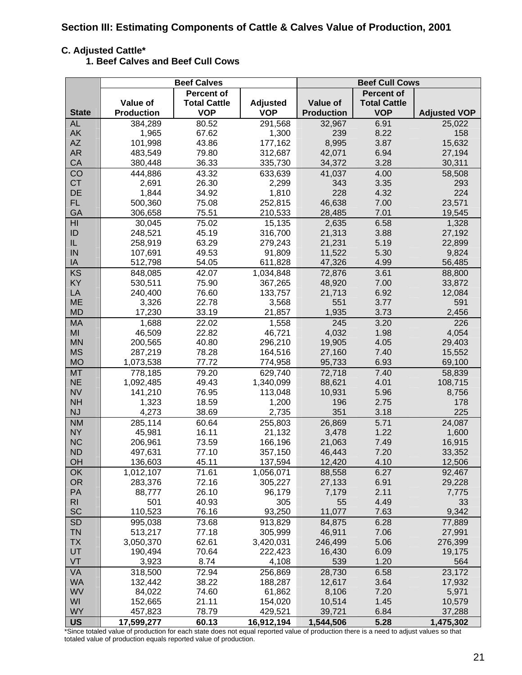### **C. Adjusted Cattle\***

**1. Beef Calves and Beef Cull Cows** 

|                |                   | <b>Beef Calves</b>  |                 |                   | <b>Beef Cull Cows</b> |                     |
|----------------|-------------------|---------------------|-----------------|-------------------|-----------------------|---------------------|
|                |                   | <b>Percent of</b>   |                 |                   | Percent of            |                     |
|                | Value of          | <b>Total Cattle</b> | <b>Adjusted</b> | Value of          | <b>Total Cattle</b>   |                     |
| <b>State</b>   | <b>Production</b> | <b>VOP</b>          | <b>VOP</b>      | <b>Production</b> | <b>VOP</b>            | <b>Adjusted VOP</b> |
| <b>AL</b>      | 384,289           | 80.52               | 291,568         | 32,967            | 6.91                  | 25,022              |
| AK             | 1,965             | 67.62               | 1,300           | 239               | 8.22                  | 158                 |
| <b>AZ</b>      | 101,998           | 43.86               | 177,162         | 8,995             | 3.87                  | 15,632              |
| <b>AR</b>      | 483,549           | 79.80               | 312,687         | 42,071            | 6.94                  | 27,194              |
| CA             | 380,448           | 36.33               | 335,730         | 34,372            | 3.28                  | 30,311              |
| CO             | 444,886           | 43.32               | 633,639         | 41,037            | 4.00                  | 58,508              |
| <b>CT</b>      | 2,691             | 26.30               | 2,299           | 343               | 3.35                  | 293                 |
| DE             | 1,844             | 34.92               | 1,810           | 228               | 4.32                  | 224                 |
| <b>FL</b>      | 500,360           | 75.08               | 252,815         | 46,638            | 7.00                  | 23,571              |
| GA             | 306,658           | 75.51               | 210,533         | 28,485            | 7.01                  | 19,545              |
| HI             | 30,045            | 75.02               | 15,135          | 2,635             | 6.58                  | 1,328               |
| ID             | 248,521           | 45.19               | 316,700         | 21,313            | 3.88                  | 27,192              |
| IL.            | 258,919           | 63.29               | 279,243         | 21,231            | 5.19                  | 22,899              |
| IN             | 107,691           | 49.53               | 91,809          | 11,522            | 5.30                  | 9,824               |
| IA             | 512,798           | 54.05               | 611,828         | 47,326            | 4.99                  | 56,485              |
| KS             | 848,085           | 42.07               | 1,034,848       | 72,876            | 3.61                  | 88,800              |
| KY             | 530,511           | 75.90               | 367,265         | 48,920            | 7.00                  | 33,872              |
| LA             | 240,400           | 76.60               | 133,757         | 21,713            | 6.92                  | 12,084              |
| <b>ME</b>      | 3,326             | 22.78               | 3,568           | 551               | 3.77                  | 591                 |
| <b>MD</b>      | 17,230            | 33.19               | 21,857          | 1,935             | 3.73                  | 2,456               |
| <b>MA</b>      | 1,688             | 22.02               | 1,558           | 245               | 3.20                  | 226                 |
| MI             | 46,509            | 22.82               | 46,721          | 4,032             | 1.98                  | 4,054               |
| <b>MN</b>      | 200,565           | 40.80               | 296,210         | 19,905            | 4.05                  | 29,403              |
| <b>MS</b>      | 287,219           | 78.28               | 164,516         | 27,160            | 7.40                  | 15,552              |
| <b>MO</b>      | 1,073,538         | 77.72               | 774,958         | 95,733            | 6.93                  | 69,100              |
| <b>MT</b>      | 778,185           | 79.20               | 629,740         | 72,718            | 7.40                  | 58,839              |
| <b>NE</b>      | 1,092,485         | 49.43               | 1,340,099       | 88,621            | 4.01                  | 108,715             |
| <b>NV</b>      | 141,210           | 76.95               | 113,048         | 10,931            | 5.96                  | 8,756               |
| <b>NH</b>      | 1,323             | 18.59               | 1,200           | 196               | 2.75                  | 178                 |
| <b>NJ</b>      | 4,273             | 38.69               | 2,735           | 351               | 3.18                  | 225                 |
| <b>NM</b>      | 285,114           | 60.64               | 255,803         | 26,869            | 5.71                  | 24,087              |
| <b>NY</b>      | 45,981            | 16.11               | 21,132          | 3,478             | 1.22                  | 1,600               |
| <b>NC</b>      | 206,961           | 73.59               | 166,196         | 21,063            | 7.49                  | 16,915              |
| <b>ND</b>      | 497,631           | 77.10               | 357,150         | 46,443            | 7.20                  | 33,352              |
| OH             | 136,603           | 45.11               | 137,594         | 12,420            | 4.10                  | 12,506              |
| OK             | 1,012,107         | 71.61               | 1,056,071       | 88,558            | 6.27                  | 92,467              |
| OR             | 283,376           | 72.16               | 305,227         | 27,133            | 6.91                  | 29,228              |
| PA             | 88,777            | 26.10               | 96,179          | 7,179             | 2.11                  | 7,775               |
| R <sub>l</sub> | 501               | 40.93               | 305             | 55                | 4.49                  | 33                  |
| SC             | 110,523           | 76.16               | 93,250          | 11,077            | 7.63                  | 9,342               |
| <b>SD</b>      | 995,038           | 73.68               | 913,829         | 84,875            | 6.28                  | 77,889              |
| <b>TN</b>      | 513,217           | 77.18               | 305,999         | 46,911            | 7.06                  | 27,991              |
| <b>TX</b>      | 3,050,370         | 62.61               | 3,420,031       | 246,499           | 5.06                  | 276,399             |
| UT             | 190,494           | 70.64               | 222,423         | 16,430            | 6.09                  | 19,175              |
| VT             | 3,923             | 8.74                | 4,108           | 539               | 1.20                  | 564                 |
| VA             | 318,500           | 72.94               | 256,869         | 28,730            | 6.58                  | 23,172              |
| <b>WA</b>      | 132,442           | 38.22               | 188,287         | 12,617            | 3.64                  | 17,932              |
| <b>WV</b>      | 84,022            | 74.60               | 61,862          | 8,106             | 7.20                  | 5,971               |
| WI             | 152,665           | 21.11               | 154,020         | 10,514            | 1.45                  | 10,579              |
| <b>WY</b>      | 457,823           | 78.79               | 429,521         | 39,721            | 6.84                  | 37,288              |
| <b>US</b>      | 17,599,277        | 60.13               | 16,912,194      | 1,544,506         | 5.28                  | 1,475,302           |

\*Since totaled value of production for each state does not equal reported value of production there is a need to adjust values so that totaled value of production equals reported value of production.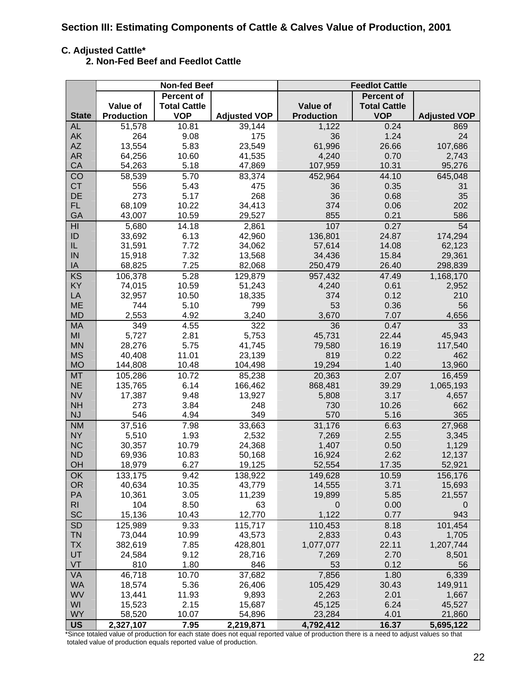### **C. Adjusted Cattle\***

**2. Non-Fed Beef and Feedlot Cattle** 

|                 |                   | <b>Non-fed Beef</b> |                     |                   | <b>Feedlot Cattle</b> |                     |
|-----------------|-------------------|---------------------|---------------------|-------------------|-----------------------|---------------------|
|                 |                   | <b>Percent of</b>   |                     |                   | <b>Percent of</b>     |                     |
|                 | Value of          | <b>Total Cattle</b> |                     | Value of          | <b>Total Cattle</b>   |                     |
| <b>State</b>    | <b>Production</b> | <b>VOP</b>          | <b>Adjusted VOP</b> | <b>Production</b> | <b>VOP</b>            | <b>Adjusted VOP</b> |
| <b>AL</b>       | 51,578            | 10.81               | 39,144              | 1,122             | 0.24                  | 869                 |
| AK              | 264               | 9.08                | 175                 | 36                | 1.24                  | 24                  |
| AZ              | 13,554            | 5.83                | 23,549              | 61,996            | 26.66                 | 107,686             |
| <b>AR</b>       | 64,256            | 10.60               | 41,535              | 4,240             | 0.70                  | 2,743               |
| CA              | 54,263            | 5.18                | 47,869              | 107,959           | 10.31                 | 95,276              |
| CO              | 58,539            | 5.70                | 83,374              | 452,964           | 44.10                 | 645,048             |
| <b>CT</b>       | 556               | 5.43                | 475                 | 36                | 0.35                  | 31                  |
| DE              | 273               | 5.17                | 268                 | 36                | 0.68                  | 35                  |
| <b>FL</b>       | 68,109            | 10.22               | 34,413              | 374               | 0.06                  | 202                 |
| GA              | 43,007            | 10.59               | 29,527              | 855               | 0.21                  | 586                 |
| HI              | 5,680             | 14.18               | 2,861               | 107               | 0.27                  | 54                  |
| ID              | 33,692            | 6.13                | 42,960              | 136,801           | 24.87                 | 174,294             |
| IL              | 31,591            | 7.72                | 34,062              | 57,614            | 14.08                 | 62,123              |
| IN              | 15,918            | 7.32                | 13,568              | 34,436            | 15.84                 | 29,361              |
| IA              | 68,825            | 7.25                | 82,068              | 250,479           | 26.40                 | 298,839             |
| KS              | 106,378           | 5.28                | 129,879             | 957,432           | 47.49                 | 1,168,170           |
| KY              | 74,015            | 10.59               | 51,243              | 4,240             | 0.61                  | 2,952               |
| LA              | 32,957            | 10.50               | 18,335              | 374               | 0.12                  | 210                 |
| <b>ME</b>       | 744               | 5.10<br>4.92        | 799                 | 53                | 0.36                  | 56                  |
| <b>MD</b>       | 2,553             |                     | 3,240<br>322        | 3,670             | 7.07                  | 4,656<br>33         |
| <b>MA</b><br>MI | 349<br>5,727      | 4.55<br>2.81        | 5,753               | 36<br>45,731      | 0.47<br>22.44         |                     |
| <b>MN</b>       | 28,276            | 5.75                | 41,745              | 79,580            | 16.19                 | 45,943<br>117,540   |
| <b>MS</b>       | 40,408            | 11.01               | 23,139              | 819               | 0.22                  | 462                 |
| <b>MO</b>       | 144,808           | 10.48               | 104,498             | 19,294            | 1.40                  | 13,960              |
| <b>MT</b>       | 105,286           | 10.72               | 85,238              | 20,363            | 2.07                  | 16,459              |
| <b>NE</b>       | 135,765           | 6.14                | 166,462             | 868,481           | 39.29                 | 1,065,193           |
| <b>NV</b>       | 17,387            | 9.48                | 13,927              | 5,808             | 3.17                  | 4,657               |
| <b>NH</b>       | 273               | 3.84                | 248                 | 730               | 10.26                 | 662                 |
| <b>NJ</b>       | 546               | 4.94                | 349                 | 570               | 5.16                  | 365                 |
| <b>NM</b>       | 37,516            | 7.98                | 33,663              | 31,176            | 6.63                  | 27,968              |
| <b>NY</b>       | 5,510             | 1.93                | 2,532               | 7,269             | 2.55                  | 3,345               |
| <b>NC</b>       | 30,357            | 10.79               | 24,368              | 1,407             | 0.50                  | 1,129               |
| <b>ND</b>       | 69,936            | 10.83               | 50,168              | 16,924            | 2.62                  | 12,137              |
| OH              | 18,979            | 6.27                | 19,125              | 52,554            | 17.35                 | 52,921              |
| OK              | 133,175           | 9.42                | 138,922             | 149,628           | 10.59                 | 156,176             |
| <b>OR</b>       | 40,634            | 10.35               | 43,779              | 14,555            | 3.71                  | 15,693              |
| PA              | 10,361            | 3.05                | 11,239              | 19,899            | 5.85                  | 21,557              |
| R <sub>l</sub>  | 104               | 8.50                | 63                  | $\mathbf 0$       | 0.00                  | $\mathbf 0$         |
| SC              | 15,136            | 10.43               | 12,770              | 1,122             | 0.77                  | 943                 |
| <b>SD</b>       | 125,989           | 9.33                | 115,717             | 110,453           | 8.18                  | 101,454             |
| <b>TN</b>       | 73,044            | 10.99               | 43,573              | 2,833             | 0.43                  | 1,705               |
| <b>TX</b>       | 382,619           | 7.85                | 428,801             | 1,077,077         | 22.11                 | 1,207,744           |
| UT<br>VT        | 24,584<br>810     | 9.12                | 28,716<br>846       | 7,269<br>53       | 2.70                  | 8,501<br>56         |
| VA              | 46,718            | 1.80<br>10.70       | 37,682              | 7,856             | 0.12<br>1.80          | 6,339               |
| <b>WA</b>       | 18,574            | 5.36                | 26,406              | 105,429           | 30.43                 | 149,911             |
| <b>WV</b>       | 13,441            | 11.93               | 9,893               | 2,263             | 2.01                  | 1,667               |
| WI              | 15,523            | 2.15                | 15,687              | 45,125            | 6.24                  | 45,527              |
| <b>WY</b>       | 58,520            | 10.07               | 54,896              | 23,284            | 4.01                  | 21,860              |
| <b>US</b>       | 2,327,107         | 7.95                | 2,219,871           | 4,792,412         | 16.37                 | 5,695,122           |

\*Since totaled value of production for each state does not equal reported value of production there is a need to adjust values so that totaled value of production equals reported value of production.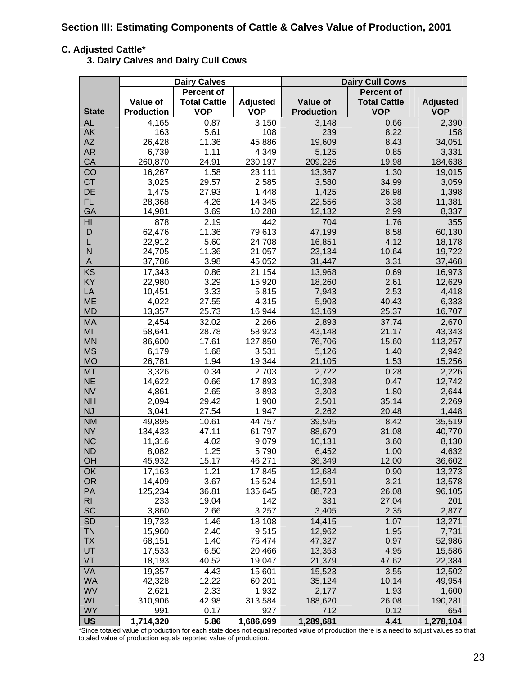### **C. Adjusted Cattle\***

**3. Dairy Calves and Dairy Cull Cows** 

|                 |                   | <b>Dairy Calves</b> |                  |                   | <b>Dairy Cull Cows</b> |                  |
|-----------------|-------------------|---------------------|------------------|-------------------|------------------------|------------------|
|                 |                   | Percent of          |                  |                   | Percent of             |                  |
|                 | Value of          | <b>Total Cattle</b> | <b>Adjusted</b>  | Value of          | <b>Total Cattle</b>    | <b>Adjusted</b>  |
| <b>State</b>    | <b>Production</b> | <b>VOP</b>          | <b>VOP</b>       | <b>Production</b> | <b>VOP</b>             | <b>VOP</b>       |
| <b>AL</b>       | 4,165             | 0.87                | 3,150            | 3,148             | 0.66                   | 2,390            |
| AK              | 163               | 5.61                | 108              | 239               | 8.22                   | 158              |
| <b>AZ</b>       | 26,428            | 11.36               | 45,886           | 19,609            | 8.43                   | 34,051           |
| <b>AR</b>       | 6,739             | 1.11                | 4,349            | 5,125             | 0.85                   | 3,331            |
| CA              | 260,870           | 24.91               | 230,197          | 209,226           | 19.98                  | 184,638          |
| CO              | 16,267            | 1.58                | 23,111           | 13,367            | 1.30                   | 19,015           |
| <b>CT</b>       | 3,025             | 29.57               | 2,585            | 3,580             | 34.99                  | 3,059            |
| DE              | 1,475             | 27.93               | 1,448            | 1,425             | 26.98                  | 1,398            |
| <b>FL</b>       | 28,368            | 4.26                | 14,345           | 22,556            | 3.38                   | 11,381           |
| GA              | 14,981            | 3.69                | 10,288           | 12,132            | 2.99                   | 8,337            |
| HI              | 878               | 2.19                | 442              | 704               | 1.76                   | 355              |
| ID              | 62,476            | 11.36               | 79,613           | 47,199            | 8.58                   | 60,130           |
| IL              | 22,912            | 5.60                | 24,708           | 16,851            | 4.12                   | 18,178           |
| IN              | 24,705            | 11.36               | 21,057           | 23,134            | 10.64                  | 19,722           |
| IA              | 37,786            | 3.98                | 45,052           | 31,447            | 3.31                   | 37,468           |
| KS              | 17,343            | 0.86                | 21,154           | 13,968            | 0.69                   | 16,973           |
| KY              | 22,980            | 3.29                | 15,920           | 18,260            | 2.61                   | 12,629           |
| LA<br><b>ME</b> | 10,451            | 3.33                | 5,815            | 7,943             | 2.53                   | 4,418            |
| <b>MD</b>       | 4,022<br>13,357   | 27.55<br>25.73      | 4,315<br>16,944  | 5,903<br>13,169   | 40.43<br>25.37         | 6,333<br>16,707  |
| <b>MA</b>       | 2,454             | 32.02               | 2,266            | 2,893             | 37.74                  | 2,670            |
| MI              | 58,641            | 28.78               | 58,923           | 43,148            | 21.17                  | 43,343           |
| <b>MN</b>       | 86,600            | 17.61               | 127,850          | 76,706            | 15.60                  | 113,257          |
| <b>MS</b>       | 6,179             | 1.68                | 3,531            | 5,126             | 1.40                   | 2,942            |
| <b>MO</b>       | 26,781            | 1.94                | 19,344           | 21,105            | 1.53                   | 15,256           |
| <b>MT</b>       | 3,326             | 0.34                | 2,703            | 2,722             | 0.28                   | 2,226            |
| <b>NE</b>       | 14,622            | 0.66                | 17,893           | 10,398            | 0.47                   | 12,742           |
| <b>NV</b>       | 4,861             | 2.65                | 3,893            | 3,303             | 1.80                   | 2,644            |
| <b>NH</b>       | 2,094             | 29.42               | 1,900            | 2,501             | 35.14                  | 2,269            |
| <b>NJ</b>       | 3,041             | 27.54               | 1,947            | 2,262             | 20.48                  | 1,448            |
| <b>NM</b>       | 49,895            | 10.61               | 44,757           | 39,595            | 8.42                   | 35,519           |
| <b>NY</b>       | 134,433           | 47.11               | 61,797           | 88,679            | 31.08                  | 40,770           |
| <b>NC</b>       | 11,316            | 4.02                | 9,079            | 10,131            | 3.60                   | 8,130            |
| <b>ND</b>       | 8,082             | 1.25                | 5,790            | 6,452             | 1.00                   | 4,632            |
| <b>OH</b>       | 45,932            | 15.17               | 46,271           | 36,349            | 12.00                  | 36,602           |
| OK              | 17,163            | 1.21                | 17,845           | 12,684            | 0.90                   | 13,273           |
| <b>OR</b>       | 14,409            | 3.67                | 15,524           | 12,591            | 3.21                   | 13,578           |
| PA              | 125,234           | 36.81               | 135,645          | 88,723            | 26.08                  | 96,105           |
| R <sub>l</sub>  | 233               | 19.04               | 142              | 331               | 27.04                  | 201              |
| SC              | 3,860             | 2.66                | 3,257            | 3,405             | 2.35                   | 2,877            |
| <b>SD</b>       | 19,733            | 1.46                | 18,108           | 14,415            | 1.07                   | 13,271           |
| <b>TN</b>       | 15,960            | 2.40                | 9,515            | 12,962            | 1.95                   | 7,731            |
| <b>TX</b>       | 68,151            | 1.40                | 76,474           | 47,327            | 0.97                   | 52,986           |
| UT              | 17,533            | 6.50                | 20,466           | 13,353            | 4.95                   | 15,586           |
| VT              | 18,193            | 40.52               | 19,047           | 21,379            | 47.62                  | 22,384           |
| VA<br><b>WA</b> | 19,357<br>42,328  | 4.43<br>12.22       | 15,601<br>60,201 | 15,523<br>35,124  | 3.55<br>10.14          | 12,502<br>49,954 |
| WV              | 2,621             | 2.33                | 1,932            | 2,177             | 1.93                   | 1,600            |
| WI              | 310,906           | 42.98               | 313,584          | 188,620           | 26.08                  | 190,281          |
| <b>WY</b>       | 991               | 0.17                | 927              | 712               | 0.12                   | 654              |
| <b>US</b>       | 1,714,320         | 5.86                | 1,686,699        | 1,289,681         | 4.41                   | 1,278,104        |

\*Since totaled value of production for each state does not equal reported value of production there is a need to adjust values so that totaled value of production equals reported value of production.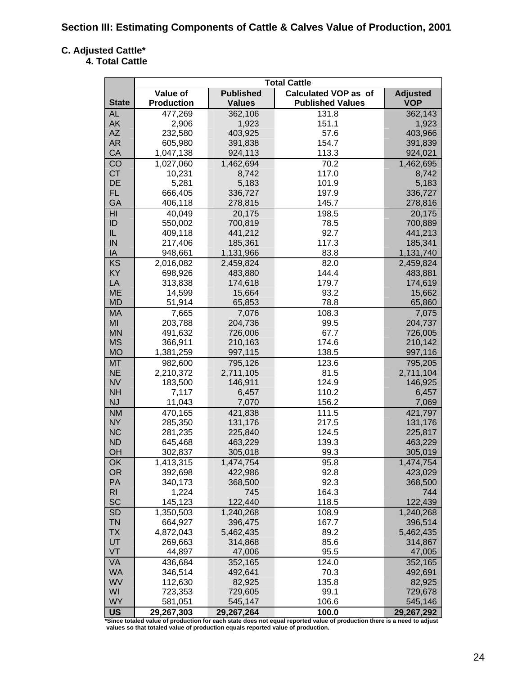#### **C. Adjusted Cattle\***

#### **4. Total Cattle**

|                 | <b>Total Cattle</b> |                  |                             |                 |  |
|-----------------|---------------------|------------------|-----------------------------|-----------------|--|
|                 | Value of            | <b>Published</b> | <b>Calculated VOP as of</b> | <b>Adjusted</b> |  |
| <b>State</b>    | <b>Production</b>   | <b>Values</b>    | <b>Published Values</b>     | <b>VOP</b>      |  |
| AL              | 477,269             | 362,106          | 131.8                       | 362,143         |  |
| AK              | 2,906               | 1,923            | 151.1                       | 1,923           |  |
| <b>AZ</b>       | 232,580             | 403,925          | 57.6                        | 403,966         |  |
| <b>AR</b>       | 605,980             | 391,838          | 154.7                       | 391,839         |  |
| CA              | 1,047,138           | 924,113          | 113.3                       | 924,021         |  |
| CO              | 1,027,060           | 1,462,694        | 70.2                        | 1,462,695       |  |
| <b>CT</b>       | 10,231              | 8,742            | 117.0                       | 8,742           |  |
| DE              | 5,281               | 5,183            | 101.9                       | 5,183           |  |
| <b>FL</b>       | 666,405             | 336,727          | 197.9                       | 336,727         |  |
| GA              | 406,118             | 278,815          | 145.7                       | 278,816         |  |
| HI              | 40,049              | 20,175           | 198.5                       | 20,175          |  |
| ID              | 550,002             | 700,819          | 78.5                        | 700,889         |  |
| IL              | 409,118             | 441,212          | 92.7                        | 441,213         |  |
| IN              | 217,406             | 185,361          | 117.3                       | 185,341         |  |
| IA              | 948,661             | 1,131,966        | 83.8                        | 1,131,740       |  |
| KS              | 2,016,082           | 2,459,824        | 82.0                        | 2,459,824       |  |
| KY              | 698,926             | 483,880          | 144.4                       | 483,881         |  |
| LA              | 313,838             | 174,618          | 179.7                       | 174,619         |  |
| <b>ME</b>       | 14,599              | 15,664           | 93.2                        | 15,662          |  |
| <b>MD</b>       | 51,914              | 65,853           | 78.8                        | 65,860          |  |
| <b>MA</b>       | 7,665               | 7,076            | 108.3                       | 7,075           |  |
| MI              | 203,788             | 204,736          | 99.5                        | 204,737         |  |
| <b>MN</b>       | 491,632             | 726,006          | 67.7                        | 726,005         |  |
| <b>MS</b>       | 366,911             | 210,163          | 174.6                       | 210,142         |  |
| <b>MO</b>       | 1,381,259           | 997,115          | 138.5                       | 997,116         |  |
| <b>MT</b>       | 982,600             | 795,126          | 123.6                       | 795,205         |  |
| <b>NE</b>       | 2,210,372           | 2,711,105        | 81.5                        | 2,711,104       |  |
| <b>NV</b>       | 183,500             | 146,911          | 124.9                       | 146,925         |  |
| <b>NH</b>       | 7,117               | 6,457            | 110.2                       | 6,457           |  |
| <b>NJ</b>       | 11,043              | 7,070            | 156.2                       | 7,069           |  |
| <b>NM</b>       | 470,165             | 421,838          | 111.5                       | 421,797         |  |
| <b>NY</b>       | 285,350             | 131,176          | 217.5                       | 131,176         |  |
| <b>NC</b>       | 281,235             | 225,840          | 124.5                       | 225,817         |  |
| <b>ND</b>       | 645,468             | 463,229          | 139.3                       | 463,229         |  |
| OH              | 302,837             | 305,018          | 99.3                        | 305,019         |  |
| OK              | 1,413,315           | 1,474,754        | 95.8                        | 1,474,754       |  |
| <b>OR</b>       | 392,698             | 422,986          | 92.8                        | 423,029         |  |
| PA              | 340,173             | 368,500          | 92.3                        | 368,500         |  |
| R <sub>l</sub>  | 1,224               | 745              | 164.3                       | 744             |  |
| <b>SC</b>       | 145,123             | 122,440          | 118.5                       | 122,439         |  |
| <b>SD</b>       | 1,350,503           | 1,240,268        | 108.9                       | 1,240,268       |  |
| <b>TN</b>       | 664,927             | 396,475          | 167.7                       | 396,514         |  |
| <b>TX</b>       | 4,872,043           | 5,462,435        | 89.2                        | 5,462,435       |  |
| UT              | 269,663             | 314,868          | 85.6                        | 314,867         |  |
| VT              | 44,897              | 47,006           | 95.5                        | 47,005          |  |
| VA              | 436,684             | 352,165          | 124.0                       | 352,165         |  |
| <b>WA</b>       | 346,514             | 492,641          | 70.3                        | 492,691         |  |
| WV              | 112,630             | 82,925           | 135.8                       | 82,925          |  |
| WI<br><b>WY</b> | 723,353             | 729,605          | 99.1                        | 729,678         |  |
|                 | 581,051             | 545,147          | 106.6                       | 545,146         |  |
| <b>US</b>       | 29,267,303          | 29,267,264       | 100.0                       | 29,267,292      |  |

**\*Since totaled value of production for each state does not equal reported value of production there is a need to adjust values so that totaled value of production equals reported value of production.**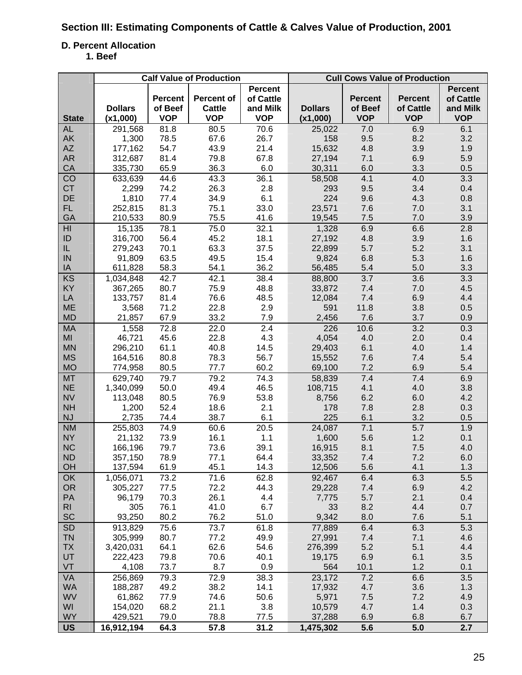# **D. Percent Allocation**

**1. Beef** 

|                      | <b>Calf Value of Production</b> |                |                   |                | <b>Cull Cows Value of Production</b> |                |                |                |
|----------------------|---------------------------------|----------------|-------------------|----------------|--------------------------------------|----------------|----------------|----------------|
|                      |                                 |                |                   | <b>Percent</b> |                                      |                |                | <b>Percent</b> |
|                      |                                 | <b>Percent</b> | <b>Percent of</b> | of Cattle      |                                      | <b>Percent</b> | <b>Percent</b> | of Cattle      |
|                      | <b>Dollars</b>                  | of Beef        | <b>Cattle</b>     | and Milk       | <b>Dollars</b>                       | of Beef        | of Cattle      | and Milk       |
| <b>State</b>         | (x1,000)                        | <b>VOP</b>     | <b>VOP</b>        | <b>VOP</b>     | (x1,000)                             | <b>VOP</b>     | <b>VOP</b>     | <b>VOP</b>     |
| <b>AL</b>            | 291,568                         | 81.8           | 80.5              | 70.6           | 25,022                               | 7.0            | 6.9            | 6.1            |
| AK                   | 1,300                           | 78.5           | 67.6              | 26.7           | 158                                  | 9.5            | 8.2            | 3.2            |
| AZ                   | 177,162                         | 54.7           | 43.9              | 21.4           | 15,632                               | 4.8            | 3.9            | 1.9            |
| <b>AR</b>            | 312,687                         | 81.4           | 79.8              | 67.8           | 27,194                               | 7.1            | 6.9            | 5.9            |
| CA                   | 335,730                         | 65.9           | 36.3              | 6.0            | 30,311                               | 6.0            | 3.3            | 0.5            |
| CO                   | 633,639                         | 44.6           | 43.3              | 36.1           | 58,508                               | 4.1            | 4.0            | 3.3            |
| <b>CT</b>            | 2,299                           | 74.2           | 26.3              | 2.8            | 293                                  | 9.5            | 3.4            | 0.4            |
| DE                   | 1,810                           | 77.4           | 34.9              | 6.1            | 224                                  | 9.6            | 4.3            | 0.8            |
| <b>FL</b>            | 252,815                         | 81.3           | 75.1              | 33.0           | 23,571                               | 7.6            | 7.0            | 3.1            |
| GA                   | 210,533                         | 80.9           | 75.5              | 41.6           | 19,545                               | 7.5            | 7.0            | 3.9            |
| HI<br>ID             | 15,135<br>316,700               | 78.1<br>56.4   | 75.0<br>45.2      | 32.1<br>18.1   | 1,328<br>27,192                      | 6.9<br>4.8     | 6.6<br>3.9     | 2.8<br>1.6     |
| IL                   | 279,243                         | 70.1           | 63.3              | 37.5           | 22,899                               | 5.7            | 5.2            | 3.1            |
| IN                   | 91,809                          | 63.5           | 49.5              | 15.4           | 9,824                                | 6.8            | 5.3            | 1.6            |
| IA                   | 611,828                         | 58.3           | 54.1              | 36.2           | 56,485                               | 5.4            | 5.0            | 3.3            |
| KS                   | 1,034,848                       | 42.7           | 42.1              | 38.4           | 88,800                               | 3.7            | 3.6            | 3.3            |
| KY                   | 367,265                         | 80.7           | 75.9              | 48.8           | 33,872                               | 7.4            | 7.0            | 4.5            |
| LA                   | 133,757                         | 81.4           | 76.6              | 48.5           | 12,084                               | 7.4            | 6.9            | 4.4            |
| <b>ME</b>            | 3,568                           | 71.2           | 22.8              | 2.9            | 591                                  | 11.8           | 3.8            | 0.5            |
| <b>MD</b>            | 21,857                          | 67.9           | 33.2              | 7.9            | 2,456                                | 7.6            | 3.7            | 0.9            |
| <b>MA</b>            | 1,558                           | 72.8           | 22.0              | 2.4            | 226                                  | 10.6           | 3.2            | 0.3            |
| MI                   | 46,721                          | 45.6           | 22.8              | 4.3            | 4,054                                | 4.0            | 2.0            | 0.4            |
| <b>MN</b>            | 296,210                         | 61.1           | 40.8              | 14.5           | 29,403                               | 6.1            | 4.0            | 1.4            |
| <b>MS</b>            | 164,516                         | 80.8           | 78.3              | 56.7           | 15,552                               | 7.6            | 7.4            | 5.4            |
| <b>MO</b>            | 774,958                         | 80.5           | 77.7              | 60.2           | 69,100                               | 7.2            | 6.9            | 5.4            |
| <b>MT</b>            | 629,740                         | 79.7           | 79.2              | 74.3           | 58,839                               | 7.4            | 7.4            | 6.9            |
| <b>NE</b>            | 1,340,099                       | 50.0           | 49.4              | 46.5           | 108,715                              | 4.1            | 4.0            | 3.8            |
| <b>NV</b>            | 113,048                         | 80.5           | 76.9              | 53.8           | 8,756                                | 6.2            | 6.0            | 4.2            |
| <b>NH</b>            | 1,200                           | 52.4           | 18.6              | 2.1            | 178                                  | 7.8            | 2.8            | 0.3            |
| <b>NJ</b>            | 2,735                           | 74.4           | 38.7              | 6.1            | 225                                  | 6.1            | 3.2            | 0.5            |
| <b>NM</b>            | 255,803                         | 74.9           | 60.6              | 20.5           | 24,087                               | 7.1            | 5.7            | 1.9            |
| <b>NY</b>            | 21,132                          | 73.9           | 16.1              | 1.1            | 1,600                                | 5.6            | 1.2            | 0.1            |
| <b>NC</b>            | 166,196                         | 79.7           | 73.6              | 39.1           | 16,915                               | 8.1            | 7.5            | 4.0            |
| ND                   | 357,150                         | 78.9           | 77.1              | 64.4           | 33,352                               | 7.4            | 7.2            | 6.0            |
| OH                   | 137,594                         | 61.9           | 45.1              | 14.3           | 12,506                               | 5.6            | 4.1            | 1.3            |
| OK                   | 1,056,071                       | 73.2           | 71.6              | 62.8           | 92,467                               | 6.4            | 6.3            | 5.5            |
| <b>OR</b>            | 305,227                         | 77.5           | 72.2              | 44.3           | 29,228                               | 7.4            | 6.9            | 4.2            |
| PA<br>R <sub>l</sub> | 96,179<br>305                   | 70.3<br>76.1   | 26.1<br>41.0      | 4.4<br>6.7     | 7,775<br>33                          | 5.7<br>8.2     | 2.1<br>4.4     | 0.4<br>0.7     |
| SC                   | 93,250                          | 80.2           | 76.2              | 51.0           | 9,342                                | 8.0            | 7.6            | 5.1            |
| <b>SD</b>            | 913,829                         | 75.6           | 73.7              | 61.8           | 77,889                               | 6.4            | 6.3            | 5.3            |
| <b>TN</b>            | 305,999                         | 80.7           | 77.2              | 49.9           | 27,991                               | 7.4            | 7.1            | 4.6            |
| <b>TX</b>            | 3,420,031                       | 64.1           | 62.6              | 54.6           | 276,399                              | 5.2            | 5.1            | 4.4            |
| UT                   | 222,423                         | 79.8           | 70.6              | 40.1           | 19,175                               | 6.9            | 6.1            | 3.5            |
| VT                   | 4,108                           | 73.7           | 8.7               | 0.9            | 564                                  | 10.1           | 1.2            | 0.1            |
| VA                   | 256,869                         | 79.3           | 72.9              | 38.3           | 23,172                               | 7.2            | 6.6            | 3.5            |
| <b>WA</b>            | 188,287                         | 49.2           | 38.2              | 14.1           | 17,932                               | 4.7            | 3.6            | 1.3            |
| <b>WV</b>            | 61,862                          | 77.9           | 74.6              | 50.6           | 5,971                                | 7.5            | 7.2            | 4.9            |
| WI                   | 154,020                         | 68.2           | 21.1              | 3.8            | 10,579                               | 4.7            | 1.4            | 0.3            |
| <b>WY</b>            | 429,521                         | 79.0           | 78.8              | 77.5           | 37,288                               | 6.9            | 6.8            | 6.7            |
| <b>US</b>            | 16,912,194                      | 64.3           | 57.8              | 31.2           | 1,475,302                            | 5.6            | 5.0            | 2.7            |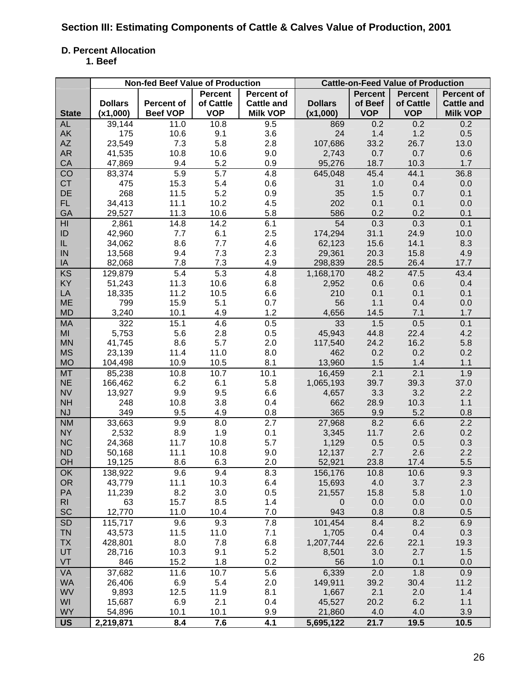# **D. Percent Allocation**

**1. Beef** 

|                |                | <b>Non-fed Beef Value of Production</b> |                |                   | <b>Cattle-on-Feed Value of Production</b> |                |                |                   |
|----------------|----------------|-----------------------------------------|----------------|-------------------|-------------------------------------------|----------------|----------------|-------------------|
|                |                |                                         | <b>Percent</b> | <b>Percent of</b> |                                           | <b>Percent</b> | <b>Percent</b> | <b>Percent of</b> |
|                | <b>Dollars</b> | <b>Percent of</b>                       | of Cattle      | <b>Cattle and</b> | <b>Dollars</b>                            | of Beef        | of Cattle      | <b>Cattle and</b> |
| <b>State</b>   | (x1,000)       | <b>Beef VOP</b>                         | <b>VOP</b>     | <b>Milk VOP</b>   | (x1,000)                                  | <b>VOP</b>     | <b>VOP</b>     | <b>Milk VOP</b>   |
| <b>AL</b>      | 39,144         | 11.0                                    | 10.8           | 9.5               | 869                                       | 0.2            | 0.2            | 0.2               |
| AK             | 175            | 10.6                                    | 9.1            | 3.6               | 24                                        | 1.4            | 1.2            | 0.5               |
| <b>AZ</b>      | 23,549         | 7.3                                     | 5.8            | 2.8               | 107,686                                   | 33.2           | 26.7           | 13.0              |
| <b>AR</b>      | 41,535         | 10.8                                    | 10.6           | 9.0               | 2,743                                     | 0.7            | 0.7            | 0.6               |
| CA             | 47,869         | 9.4                                     | 5.2            | 0.9               | 95,276                                    | 18.7           | 10.3           | 1.7               |
| CO             | 83,374         | 5.9                                     | 5.7            | 4.8               | 645,048                                   | 45.4           | 44.1           | 36.8              |
| <b>CT</b>      | 475            | 15.3                                    | 5.4            | 0.6               | 31                                        | 1.0            | 0.4            | 0.0               |
| DE             | 268            | 11.5                                    | 5.2            | 0.9               | 35                                        | 1.5            | 0.7            | 0.1               |
| <b>FL</b>      | 34,413         | 11.1                                    | 10.2           | 4.5               | 202                                       | 0.1            | 0.1            | 0.0               |
| GA             | 29,527         | 11.3                                    | 10.6           | 5.8               | 586                                       | 0.2            | 0.2            | 0.1               |
| HI             | 2,861          | 14.8                                    | 14.2           | 6.1               | 54                                        | 0.3            | 0.3            | 0.1               |
| ID             | 42,960         | 7.7                                     | 6.1            | 2.5               | 174,294                                   | 31.1           | 24.9           | 10.0              |
| IL             | 34,062         | 8.6                                     | 7.7            | 4.6               | 62,123                                    | 15.6           | 14.1           | 8.3               |
| IN             | 13,568         | 9.4                                     | 7.3            | 2.3               | 29,361                                    | 20.3           | 15.8           | 4.9               |
| IA             | 82,068         | 7.8                                     | 7.3            | 4.9               | 298,839                                   | 28.5           | 26.4           | 17.7              |
| KS             | 129,879        | 5.4                                     | 5.3            | 4.8               | 1,168,170                                 | 48.2           | 47.5           | 43.4              |
| KY             | 51,243         | 11.3                                    | 10.6           | 6.8               | 2,952                                     | 0.6            | 0.6            | 0.4               |
| LA             | 18,335         | 11.2                                    | 10.5           | 6.6               | 210                                       | 0.1            | 0.1            | 0.1               |
| <b>ME</b>      | 799            | 15.9                                    | 5.1            | 0.7               | 56                                        | 1.1            | 0.4            | 0.0               |
| <b>MD</b>      | 3,240          | 10.1                                    | 4.9            | 1.2               | 4,656                                     | 14.5           | 7.1            | 1.7               |
| <b>MA</b>      | 322            | 15.1                                    | 4.6            | 0.5               | 33                                        | 1.5            | 0.5            | 0.1               |
| MI             | 5,753          | 5.6                                     | 2.8            | 0.5               | 45,943                                    | 44.8           | 22.4           | 4.2               |
| <b>MN</b>      | 41,745         | 8.6                                     | 5.7            | 2.0               | 117,540                                   | 24.2           | 16.2           | 5.8               |
| <b>MS</b>      | 23,139         | 11.4                                    | 11.0           | 8.0               | 462                                       | 0.2            | 0.2            | 0.2               |
| <b>MO</b>      | 104,498        | 10.9                                    | 10.5           | 8.1               | 13,960                                    | 1.5            | 1.4            | 1.1               |
| <b>MT</b>      | 85,238         | 10.8                                    | 10.7           | 10.1              | 16,459                                    | 2.1            | 2.1            | 1.9               |
| <b>NE</b>      | 166,462        | 6.2                                     | 6.1            | 5.8               | 1,065,193                                 | 39.7           | 39.3           | 37.0              |
| <b>NV</b>      | 13,927         | 9.9                                     | 9.5            | 6.6               | 4,657                                     | 3.3            | 3.2            | 2.2               |
| <b>NH</b>      | 248            | 10.8                                    | 3.8            | 0.4               | 662                                       | 28.9           | 10.3           | 1.1               |
| <b>NJ</b>      | 349            | 9.5                                     | 4.9            | 0.8               | 365                                       | 9.9            | 5.2            | 0.8               |
| <b>NM</b>      | 33,663         | 9.9                                     | 8.0            | 2.7               | 27,968                                    | 8.2            | 6.6            | 2.2               |
| <b>NY</b>      | 2,532          | 8.9                                     | 1.9            | 0.1               | 3,345                                     | 11.7           | 2.6            | 0.2               |
| <b>NC</b>      | 24,368         | 11.7                                    | 10.8           | 5.7               | 1,129                                     | 0.5            | 0.5            | 0.3               |
| <b>ND</b>      | 50,168         | 11.1                                    | 10.8           | 9.0               | 12,137                                    | 2.7            | 2.6            | 2.2               |
| <b>OH</b>      | 19,125         | 8.6                                     | 6.3            | 2.0               | 52,921                                    | 23.8           | 17.4           | 5.5               |
| OK             | 138,922        | 9.6                                     | 9.4            | 8.3               | 156,176                                   | 10.8           | 10.6           | 9.3               |
| OR             | 43,779         | 11.1                                    | 10.3           | 6.4               | 15,693                                    | 4.0            | 3.7            | 2.3               |
| PA             | 11,239         | 8.2                                     | 3.0            | 0.5               | 21,557                                    | 15.8           | 5.8            | 1.0               |
| R <sub>l</sub> | 63             | 15.7                                    | 8.5            | 1.4               | 0                                         | 0.0            | 0.0            | 0.0               |
| SC             | 12,770         | 11.0                                    | 10.4           | 7.0               | 943                                       | 0.8            | 0.8            | 0.5               |
| <b>SD</b>      | 115,717        | 9.6                                     | 9.3            | 7.8               | 101,454                                   | 8.4            | 8.2            | 6.9               |
| <b>TN</b>      | 43,573         | 11.5                                    | 11.0           | 7.1               | 1,705                                     | 0.4            | 0.4            | 0.3               |
| <b>TX</b>      | 428,801        | 8.0                                     | 7.8            | 6.8               | 1,207,744                                 | 22.6           | 22.1           | 19.3              |
| UT             | 28,716         | 10.3                                    | 9.1            | 5.2               | 8,501                                     | 3.0            | 2.7            | 1.5               |
| VT             | 846            | 15.2                                    | 1.8            | 0.2               | 56                                        | 1.0            | 0.1            | 0.0               |
| VA             | 37,682         | 11.6                                    | 10.7           | 5.6               | 6,339                                     | 2.0            | 1.8            | 0.9               |
| <b>WA</b>      | 26,406         | 6.9                                     | 5.4            | 2.0               | 149,911                                   | 39.2           | 30.4           | 11.2              |
| WV             | 9,893          | 12.5                                    | 11.9           | 8.1               | 1,667                                     | 2.1            | 2.0            | 1.4               |
| WI             | 15,687         | 6.9                                     | 2.1            | 0.4               | 45,527                                    | 20.2           | 6.2            | 1.1               |
| <b>WY</b>      | 54,896         | 10.1                                    | 10.1           | 9.9               | 21,860                                    | 4.0            | 4.0            | 3.9               |
| <b>US</b>      | 2,219,871      | 8.4                                     | 7.6            | 4.1               | 5,695,122                                 | 21.7           | 19.5           | 10.5              |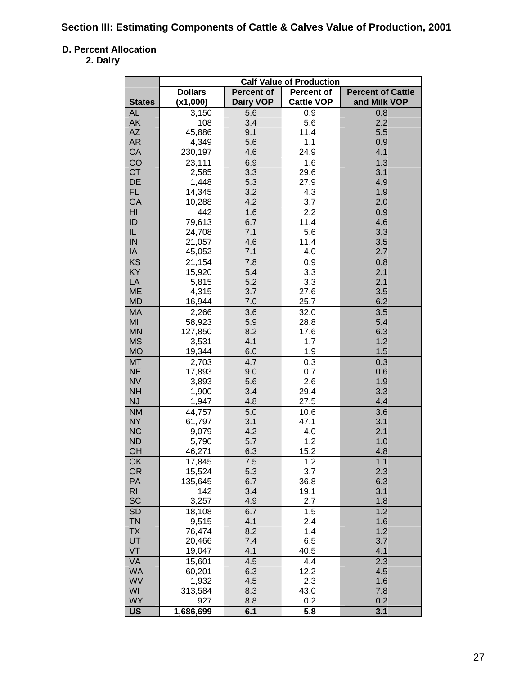#### **D. Percent Allocation**

**2. Dairy** 

|                | <b>Calf Value of Production</b> |                   |                   |                          |  |
|----------------|---------------------------------|-------------------|-------------------|--------------------------|--|
|                | <b>Dollars</b>                  | <b>Percent of</b> | <b>Percent of</b> | <b>Percent of Cattle</b> |  |
| <b>States</b>  | (x1,000)                        | <b>Dairy VOP</b>  | <b>Cattle VOP</b> | and Milk VOP             |  |
| <b>AL</b>      | 3,150                           | 5.6               | 0.9               | 0.8                      |  |
| AK             | 108                             | 3.4               | 5.6               | 2.2                      |  |
| <b>AZ</b>      | 45,886                          | 9.1               | 11.4              | 5.5                      |  |
| <b>AR</b>      | 4,349                           | 5.6               | 1.1               | 0.9                      |  |
| CA             | 230,197                         | 4.6               | 24.9              | 4.1                      |  |
| CO             | 23,111                          | 6.9               | 1.6               | 1.3                      |  |
| <b>CT</b>      | 2,585                           | 3.3               | 29.6              | 3.1                      |  |
| DE             | 1,448                           | 5.3               | 27.9              | 4.9                      |  |
| FL             | 14,345                          | 3.2               | 4.3               | 1.9                      |  |
| GA             | 10,288                          | 4.2               | 3.7               | 2.0                      |  |
| HI             | 442                             | 1.6               | 2.2               | 0.9                      |  |
| ID             | 79,613                          | 6.7               | 11.4              | 4.6                      |  |
| IL.            | 24,708                          | 7.1               | 5.6               | 3.3                      |  |
| IN             | 21,057                          | 4.6               | 11.4              | 3.5                      |  |
| IA             | 45,052                          | 7.1               | 4.0               | 2.7                      |  |
| <b>KS</b>      | 21,154                          | 7.8               | 0.9               | 0.8                      |  |
| KY             | 15,920                          | 5.4               | 3.3               | 2.1                      |  |
| LA             | 5,815                           | 5.2               | 3.3               | 2.1                      |  |
| <b>ME</b>      | 4,315                           | 3.7               | 27.6              | 3.5                      |  |
| <b>MD</b>      | 16,944                          | 7.0               | 25.7              | 6.2                      |  |
| <b>MA</b>      | 2,266                           | 3.6               | 32.0              | 3.5                      |  |
| MI             | 58,923                          | 5.9               | 28.8              | 5.4                      |  |
| <b>MN</b>      | 127,850                         | 8.2               | 17.6              | 6.3                      |  |
| <b>MS</b>      | 3,531                           | 4.1               | 1.7               | 1.2                      |  |
| <b>MO</b>      | 19,344                          | 6.0               | 1.9               | 1.5                      |  |
| <b>MT</b>      | 2,703                           | 4.7               | 0.3               | 0.3                      |  |
| <b>NE</b>      | 17,893                          | 9.0               | 0.7               | 0.6                      |  |
| <b>NV</b>      | 3,893                           | 5.6               | 2.6               | 1.9                      |  |
| <b>NH</b>      | 1,900                           | 3.4               | 29.4              | 3.3                      |  |
| <b>NJ</b>      | 1,947                           | 4.8               | 27.5              | 4.4                      |  |
| <b>NM</b>      | 44,757                          | 5.0               | 10.6              | 3.6                      |  |
| <b>NY</b>      | 61,797                          | 3.1               | 47.1              | 3.1                      |  |
| <b>NC</b>      | 9,079                           | 4.2               | 4.0               | 2.1                      |  |
| <b>ND</b>      | 5,790                           | 5.7               | 1.2               | 1.0                      |  |
| OH             | 46,271                          | 6.3               | 15.2              | 4.8                      |  |
| OK             | 17,845                          | 7.5               | 1.2               | 1.1                      |  |
| <b>OR</b>      | 15,524                          | 5.3               | 3.7               | 2.3                      |  |
| PA             | 135,645                         | 6.7               | 36.8              | 6.3                      |  |
| R <sub>l</sub> | 142                             | 3.4               | 19.1              | 3.1                      |  |
| SC             | 3,257                           | 4.9               | 2.7               | 1.8                      |  |
| <b>SD</b>      | 18,108                          | 6.7               | 1.5               | 1.2                      |  |
| <b>TN</b>      | 9,515                           | 4.1               | 2.4               | 1.6                      |  |
| <b>TX</b>      | 76,474                          | 8.2               | 1.4               | 1.2                      |  |
| UT             | 20,466                          | 7.4               | 6.5               | 3.7                      |  |
| VT             | 19,047                          | 4.1               | 40.5              | 4.1                      |  |
| VA             | 15,601                          | 4.5               | 4.4               | 2.3                      |  |
| <b>WA</b>      | 60,201                          | 6.3               | 12.2              | 4.5                      |  |
| WV             | 1,932                           | 4.5               | 2.3               | 1.6                      |  |
| WI             | 313,584                         | 8.3               | 43.0              | 7.8                      |  |
| <b>WY</b>      | 927                             | 8.8               | 0.2               | 0.2                      |  |
| <b>US</b>      | 1,686,699                       | 6.1               | 5.8               | 3.1                      |  |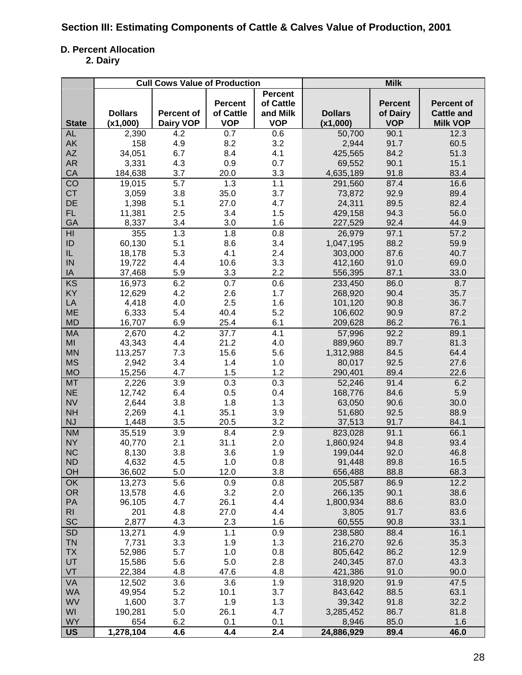#### **D. Percent Allocation**

**2. Dairy** 

|                |                | <b>Cull Cows Value of Production</b> |                |                | <b>Milk</b>    |                |                   |
|----------------|----------------|--------------------------------------|----------------|----------------|----------------|----------------|-------------------|
|                |                |                                      |                | <b>Percent</b> |                |                |                   |
|                |                |                                      | <b>Percent</b> | of Cattle      |                | <b>Percent</b> | <b>Percent of</b> |
|                | <b>Dollars</b> | <b>Percent of</b>                    | of Cattle      | and Milk       | <b>Dollars</b> | of Dairy       | <b>Cattle and</b> |
| <b>State</b>   | (x1,000)       | Dairy VOP                            | <b>VOP</b>     | <b>VOP</b>     | (x1,000)       | <b>VOP</b>     | <b>Milk VOP</b>   |
|                |                |                                      |                |                |                |                |                   |
| <b>AL</b>      | 2,390          | 4.2                                  | 0.7            | 0.6            | 50,700         | 90.1           | 12.3              |
| AK             | 158            | 4.9                                  | 8.2            | 3.2            | 2,944          | 91.7           | 60.5              |
| <b>AZ</b>      | 34,051         | 6.7                                  | 8.4            | 4.1            | 425,565        | 84.2           | 51.3              |
| <b>AR</b>      | 3,331          | 4.3                                  | 0.9            | 0.7            | 69,552         | 90.1           | 15.1              |
| CA             | 184,638        | 3.7                                  | 20.0           | 3.3            | 4,635,189      | 91.8           | 83.4              |
| CO             | 19,015         | 5.7                                  | 1.3            | 1.1            | 291,560        | 87.4           | 16.6              |
| <b>CT</b>      | 3,059          | 3.8                                  | 35.0           | 3.7            | 73,872         | 92.9           | 89.4              |
| DE             | 1,398          | 5.1                                  | 27.0           | 4.7            | 24,311         | 89.5           | 82.4              |
| <b>FL</b>      | 11,381         | 2.5                                  | 3.4            | 1.5            | 429,158        | 94.3           | 56.0              |
| GA             | 8,337          | 3.4                                  | 3.0            | 1.6            | 227,529        | 92.4           | 44.9              |
| HI             | 355            | 1.3                                  | 1.8            | 0.8            | 26,979         | 97.1           | 57.2              |
| ID             | 60,130         | 5.1                                  | 8.6            | 3.4            | 1,047,195      | 88.2           | 59.9              |
| IL             | 18,178         |                                      |                | 2.4            |                |                | 40.7              |
|                |                | 5.3                                  | 4.1            |                | 303,000        | 87.6           |                   |
| IN             | 19,722         | 4.4                                  | 10.6           | 3.3            | 412,160        | 91.0           | 69.0              |
| IA             | 37,468         | 5.9                                  | 3.3            | 2.2            | 556,395        | 87.1           | 33.0              |
| KS             | 16,973         | 6.2                                  | 0.7            | 0.6            | 233,450        | 86.0           | 8.7               |
| KY             | 12,629         | 4.2                                  | 2.6            | 1.7            | 268,920        | 90.4           | 35.7              |
| LA             | 4,418          | 4.0                                  | 2.5            | 1.6            | 101,120        | 90.8           | 36.7              |
| <b>ME</b>      | 6,333          | 5.4                                  | 40.4           | 5.2            | 106,602        | 90.9           | 87.2              |
| <b>MD</b>      | 16,707         | 6.9                                  | 25.4           | 6.1            | 209,628        | 86.2           | 76.1              |
| <b>MA</b>      | 2,670          | 4.2                                  | 37.7           | 4.1            | 57,996         | 92.2           | 89.1              |
| MI             | 43,343         | 4.4                                  | 21.2           | 4.0            | 889,960        | 89.7           | 81.3              |
| <b>MN</b>      | 113,257        | 7.3                                  | 15.6           | 5.6            | 1,312,988      | 84.5           | 64.4              |
| <b>MS</b>      | 2,942          | 3.4                                  | 1.4            | 1.0            | 80,017         | 92.5           | 27.6              |
| <b>MO</b>      | 15,256         | 4.7                                  | 1.5            | 1.2            | 290,401        | 89.4           | 22.6              |
| <b>MT</b>      | 2,226          | 3.9                                  | 0.3            | 0.3            | 52,246         | 91.4           | 6.2               |
| <b>NE</b>      | 12,742         | 6.4                                  | 0.5            | 0.4            | 168,776        | 84.6           | 5.9               |
| <b>NV</b>      | 2,644          | 3.8                                  | 1.8            | 1.3            | 63,050         | 90.6           | 30.0              |
| <b>NH</b>      | 2,269          | 4.1                                  | 35.1           | 3.9            | 51,680         | 92.5           | 88.9              |
| <b>NJ</b>      | 1,448          | 3.5                                  | 20.5           | 3.2            | 37,513         | 91.7           | 84.1              |
| <b>NM</b>      | 35,519         | 3.9                                  | 8.4            | 2.9            | 823,028        | 91.1           | 66.1              |
| <b>NY</b>      | 40,770         | 2.1                                  | 31.1           | 2.0            | 1,860,924      | 94.8           | 93.4              |
| <b>NC</b>      | 8,130          | 3.8                                  | 3.6            | 1.9            | 199,044        | 92.0           | 46.8              |
| <b>ND</b>      | 4,632          | 4.5                                  | 1.0            | 0.8            | 91,448         | 89.8           | 16.5              |
| OH             | 36,602         | 5.0                                  | 12.0           | 3.8            | 656,488        | 88.8           | 68.3              |
| OK             | 13,273         | 5.6                                  | 0.9            | 0.8            | 205,587        | 86.9           | 12.2              |
| <b>OR</b>      |                |                                      |                |                |                |                |                   |
|                | 13,578         | 4.6                                  | 3.2            | 2.0            | 266,135        | 90.1           | 38.6              |
| PA             | 96,105         | 4.7                                  | 26.1           | 4.4            | 1,800,934      | 88.6           | 83.0              |
| R <sub>l</sub> | 201            | 4.8                                  | 27.0           | 4.4            | 3,805          | 91.7           | 83.6              |
| <b>SC</b>      | 2,877          | 4.3                                  | 2.3            | 1.6            | 60,555         | 90.8           | 33.1              |
| <b>SD</b>      | 13,271         | 4.9                                  | 1.1            | 0.9            | 238,580        | 88.4           | 16.1              |
| <b>TN</b>      | 7,731          | 3.3                                  | 1.9            | 1.3            | 216,270        | 92.6           | 35.3              |
| <b>TX</b>      | 52,986         | 5.7                                  | 1.0            | 0.8            | 805,642        | 86.2           | 12.9              |
| UT             | 15,586         | 5.6                                  | 5.0            | 2.8            | 240,345        | 87.0           | 43.3              |
| VT             | 22,384         | 4.8                                  | 47.6           | 4.8            | 421,386        | 91.0           | 90.0              |
| VA             | 12,502         | 3.6                                  | 3.6            | 1.9            | 318,920        | 91.9           | 47.5              |
| <b>WA</b>      | 49,954         | 5.2                                  | 10.1           | 3.7            | 843,642        | 88.5           | 63.1              |
| WV             | 1,600          | 3.7                                  | 1.9            | 1.3            | 39,342         | 91.8           | 32.2              |
| WI             | 190,281        | 5.0                                  | 26.1           | 4.7            | 3,285,452      | 86.7           | 81.8              |
| <b>WY</b>      | 654            | 6.2                                  | 0.1            | 0.1            | 8,946          | 85.0           | 1.6               |
| <b>US</b>      | 1,278,104      | 4.6                                  | 4.4            | 2.4            | 24,886,929     | 89.4           | 46.0              |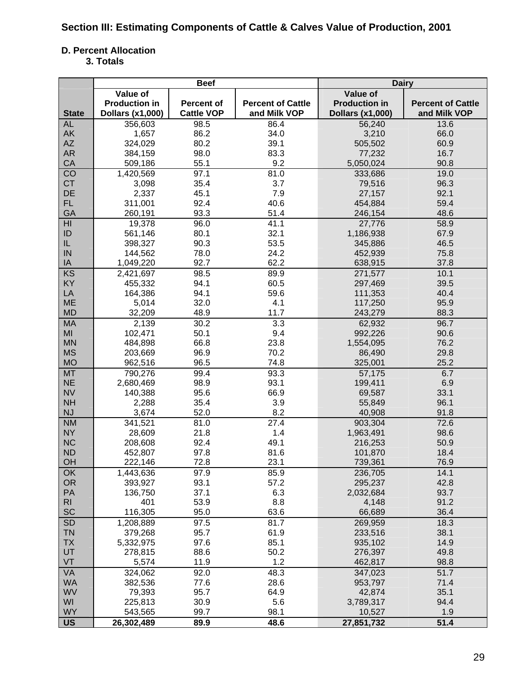# **D. Percent Allocation**

**3. Totals** 

|                |                      | <b>Beef</b>       | <b>Dairy</b>             |                      |                          |
|----------------|----------------------|-------------------|--------------------------|----------------------|--------------------------|
|                | Value of             |                   |                          | <b>Value of</b>      |                          |
|                | <b>Production in</b> | <b>Percent of</b> | <b>Percent of Cattle</b> | <b>Production in</b> | <b>Percent of Cattle</b> |
| <b>State</b>   | Dollars (x1,000)     | <b>Cattle VOP</b> | and Milk VOP             | Dollars (x1,000)     | and Milk VOP             |
| <b>AL</b>      | 356,603              | 98.5              | 86.4                     | 56,240               | 13.6                     |
| AK             | 1,657                | 86.2              | 34.0                     | 3,210                | 66.0                     |
| <b>AZ</b>      | 324,029              | 80.2              | 39.1                     | 505,502              | 60.9                     |
| <b>AR</b>      | 384,159              | 98.0              | 83.3                     | 77,232               | 16.7                     |
| CA             | 509,186              | 55.1              | 9.2                      | 5,050,024            | 90.8                     |
| CO             | 1,420,569            | 97.1              | 81.0                     | 333,686              | 19.0                     |
| <b>CT</b>      | 3,098                | 35.4              | 3.7                      | 79,516               | 96.3                     |
| DE             | 2,337                | 45.1              | 7.9                      | 27,157               | 92.1                     |
| <b>FL</b>      | 311,001              | 92.4              | 40.6                     | 454,884              | 59.4                     |
| GA             | 260,191              | 93.3              | 51.4                     | 246,154              | 48.6                     |
| H <sub>l</sub> | 19,378               | 96.0              | 41.1                     | 27,776               | 58.9                     |
| ID             | 561,146              | 80.1              | 32.1                     | 1,186,938            | 67.9                     |
| IL.            | 398,327              | 90.3              | 53.5                     | 345,886              | 46.5                     |
| IN             | 144,562              | 78.0              | 24.2                     | 452,939              | 75.8                     |
| IA             | 1,049,220            | 92.7              | 62.2                     | 638,915              | 37.8                     |
| KS             | 2,421,697            | 98.5              | 89.9                     | 271,577              | 10.1                     |
| KY             | 455,332              | 94.1              | 60.5                     | 297,469              | 39.5                     |
| LA             | 164,386              | 94.1              | 59.6                     | 111,353              | 40.4                     |
| <b>ME</b>      | 5,014                | 32.0              | 4.1                      | 117,250              | 95.9                     |
| <b>MD</b>      | 32,209               | 48.9              | 11.7                     | 243,279              | 88.3                     |
| <b>MA</b>      | 2,139                | 30.2              | $\overline{3.3}$         | 62,932               | 96.7                     |
| MI             | 102,471              | 50.1              | 9.4                      | 992,226              | 90.6                     |
| <b>MN</b>      | 484,898              | 66.8              | 23.8                     | 1,554,095            | 76.2                     |
| <b>MS</b>      | 203,669              | 96.9              | 70.2                     | 86,490               | 29.8                     |
| <b>MO</b>      | 962,516              | 96.5              | 74.8                     | 325,001              | 25.2                     |
| <b>MT</b>      | 790,276              | 99.4              | 93.3                     | 57,175               | 6.7                      |
| <b>NE</b>      | 2,680,469            | 98.9              | 93.1                     | 199,411              | 6.9                      |
| <b>NV</b>      | 140,388              | 95.6              | 66.9                     | 69,587               | 33.1                     |
| <b>NH</b>      | 2,288                | 35.4              | 3.9                      | 55,849               | 96.1                     |
| <b>NJ</b>      | 3,674                | 52.0              | 8.2                      | 40,908               | 91.8                     |
| <b>NM</b>      | 341,521              | 81.0              | 27.4                     | 903,304              | 72.6                     |
| <b>NY</b>      | 28,609               | 21.8              | 1.4                      | 1,963,491            | 98.6                     |
| <b>NC</b>      | 208,608              | 92.4              | 49.1                     | 216,253              | 50.9                     |
| <b>ND</b>      | 452,807              | 97.8              | 81.6                     | 101,870              | 18.4                     |
| OH             | 222,146              | 72.8              | 23.1                     | 739,361              | 76.9                     |
| OK             | 1,443,636            | 97.9              | 85.9                     | 236,705              | 14.1                     |
| <b>OR</b>      | 393,927              | 93.1              | 57.2                     | 295,237              | 42.8                     |
| PA             | 136,750              | 37.1              | 6.3                      | 2,032,684            | 93.7                     |
| R <sub>l</sub> | 401                  | 53.9              | 8.8                      | 4,148                | 91.2                     |
| SC             | 116,305              | 95.0              | 63.6                     | 66,689               | 36.4                     |
| <b>SD</b>      | 1,208,889            | 97.5              | 81.7                     | 269,959              | 18.3                     |
| <b>TN</b>      | 379,268              | 95.7              | 61.9                     | 233,516              | 38.1                     |
| <b>TX</b>      | 5,332,975            | 97.6              | 85.1                     | 935,102              | 14.9                     |
| UT             | 278,815              | 88.6              | 50.2                     | 276,397              | 49.8                     |
| VT             | 5,574                | 11.9              | 1.2                      | 462,817              | 98.8                     |
| VA             | 324,062              | 92.0              | 48.3                     | 347,023              | 51.7                     |
| <b>WA</b>      | 382,536              | 77.6              | 28.6                     | 953,797              | 71.4                     |
| WV             | 79,393               | 95.7              | 64.9                     | 42,874               | 35.1                     |
| WI             | 225,813              | 30.9              | 5.6                      | 3,789,317            | 94.4                     |
| <b>WY</b>      | 543,565              | 99.7              | 98.1                     | 10,527               | 1.9                      |
| <b>US</b>      | 26,302,489           | 89.9              | 48.6                     | 27,851,732           | 51.4                     |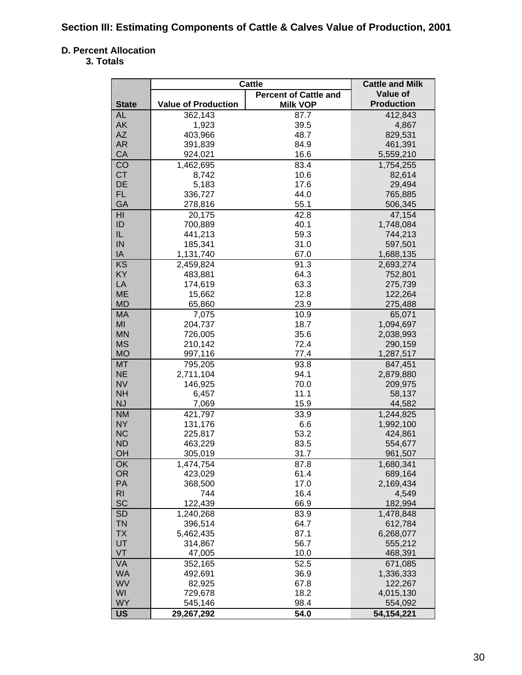# **D. Percent Allocation**

**3. Totals** 

|                | <b>Cattle</b>              |                              | <b>Cattle and Milk</b> |
|----------------|----------------------------|------------------------------|------------------------|
|                |                            | <b>Percent of Cattle and</b> | Value of               |
| <b>State</b>   | <b>Value of Production</b> | <b>Milk VOP</b>              | <b>Production</b>      |
| <b>AL</b>      | 362,143                    | 87.7                         | 412,843                |
| AK             | 1,923                      | 39.5                         | 4,867                  |
| <b>AZ</b>      | 403,966                    | 48.7                         | 829,531                |
| <b>AR</b>      | 391,839                    | 84.9                         | 461,391                |
| CA             | 924,021                    | 16.6                         | 5,559,210              |
| CO             | 1,462,695                  | 83.4                         | 1,754,255              |
| <b>CT</b>      | 8,742                      | 10.6                         | 82,614                 |
| DE             | 5,183                      | 17.6                         | 29,494                 |
| FL             | 336,727                    | 44.0                         | 765,885                |
| GA             | 278,816                    | 55.1                         | 506,345                |
| HI             | 20,175                     | 42.8                         | 47,154                 |
| ID             | 700,889                    | 40.1                         | 1,748,084              |
| IL.            | 441,213                    | 59.3                         | 744,213                |
| IN             | 185,341                    | 31.0                         | 597,501                |
| IA             | 1,131,740                  | 67.0                         | 1,688,135              |
| KS             | 2,459,824                  | 91.3                         | 2,693,274              |
| KY             | 483,881                    | 64.3                         | 752,801                |
| LA             | 174,619                    | 63.3                         | 275,739                |
| <b>ME</b>      | 15,662                     | 12.8                         | 122,264                |
| <b>MD</b>      | 65,860                     | 23.9                         | 275,488                |
| <b>MA</b>      | 7,075                      | 10.9                         | 65,071                 |
| MI             | 204,737                    | 18.7                         | 1,094,697              |
| <b>MN</b>      | 726,005                    | 35.6                         | 2,038,993              |
| <b>MS</b>      | 210,142                    | 72.4                         | 290,159                |
| <b>MO</b>      | 997,116                    | 77.4                         | 1,287,517              |
| <b>MT</b>      | 795,205                    | 93.8                         | 847,451                |
| <b>NE</b>      | 2,711,104                  | 94.1                         | 2,879,880              |
| <b>NV</b>      | 146,925                    | 70.0                         | 209,975                |
| <b>NH</b>      | 6,457                      | 11.1                         | 58,137                 |
| <b>NJ</b>      | 7,069                      | 15.9                         | 44,582                 |
| <b>NM</b>      | 421,797                    | 33.9                         | 1,244,825              |
| <b>NY</b>      | 131,176                    | 6.6                          | 1,992,100              |
| <b>NC</b>      | 225,817                    | 53.2                         | 424,861                |
| <b>ND</b>      | 463,229                    | 83.5                         | 554,677                |
| OH             | 305,019                    | 31.7                         | 961,507                |
| OK             | 1,474,754                  | 87.8                         | 1,680,341              |
| OR             | 423,029                    | 61.4                         | 689,164                |
| PA             | 368,500                    | 17.0                         | 2,169,434              |
| R <sub>l</sub> | 744                        | 16.4                         | 4,549                  |
| SC             | 122,439                    | 66.9                         | 182,994                |
| <b>SD</b>      | 1,240,268                  | 83.9                         | 1,478,848              |
| <b>TN</b>      | 396,514                    | 64.7                         | 612,784                |
| <b>TX</b>      | 5,462,435                  | 87.1                         | 6,268,077              |
| UT             | 314,867                    | 56.7                         | 555,212                |
| VT             | 47,005                     | 10.0                         | 468,391                |
| VA             | 352,165                    | 52.5                         | 671,085                |
| <b>WA</b>      | 492,691                    | 36.9                         | 1,336,333              |
| WV             | 82,925                     | 67.8                         | 122,267                |
| WI             | 729,678                    | 18.2                         | 4,015,130              |
| <b>WY</b>      | 545,146                    | 98.4                         | 554,092                |
| <b>US</b>      | 29,267,292                 | 54.0                         | 54,154,221             |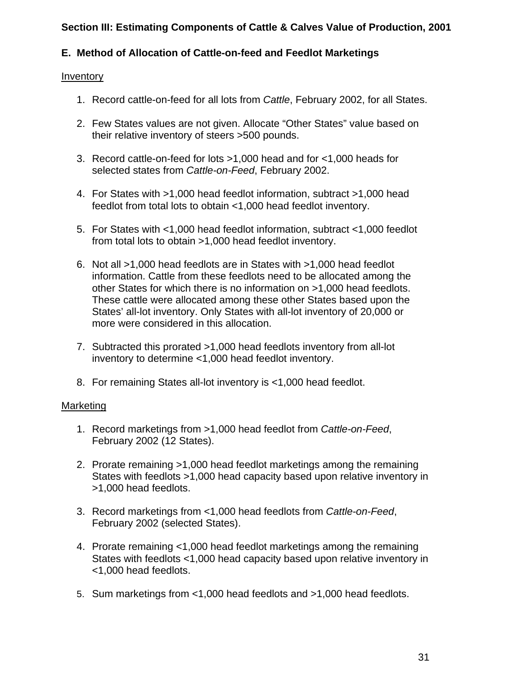# **E. Method of Allocation of Cattle-on-feed and Feedlot Marketings**

#### Inventory

- 1. Record cattle-on-feed for all lots from *Cattle*, February 2002, for all States.
- 2. Few States values are not given. Allocate "Other States" value based on their relative inventory of steers >500 pounds.
- 3. Record cattle-on-feed for lots >1,000 head and for <1,000 heads for selected states from *Cattle-on-Feed*, February 2002.
- 4. For States with >1,000 head feedlot information, subtract >1,000 head feedlot from total lots to obtain <1,000 head feedlot inventory.
- 5. For States with <1,000 head feedlot information, subtract <1,000 feedlot from total lots to obtain >1,000 head feedlot inventory.
- 6. Not all >1,000 head feedlots are in States with >1,000 head feedlot information. Cattle from these feedlots need to be allocated among the other States for which there is no information on >1,000 head feedlots. These cattle were allocated among these other States based upon the States' all-lot inventory. Only States with all-lot inventory of 20,000 or more were considered in this allocation.
- 7. Subtracted this prorated >1,000 head feedlots inventory from all-lot inventory to determine <1,000 head feedlot inventory.
- 8. For remaining States all-lot inventory is <1,000 head feedlot.

#### Marketing

- 1. Record marketings from >1,000 head feedlot from *Cattle-on-Feed*, February 2002 (12 States).
- 2. Prorate remaining >1,000 head feedlot marketings among the remaining States with feedlots >1,000 head capacity based upon relative inventory in >1,000 head feedlots.
- 3. Record marketings from <1,000 head feedlots from *Cattle-on-Feed*, February 2002 (selected States).
- 4. Prorate remaining <1,000 head feedlot marketings among the remaining States with feedlots <1,000 head capacity based upon relative inventory in <1,000 head feedlots.
- 5. Sum marketings from <1,000 head feedlots and >1,000 head feedlots.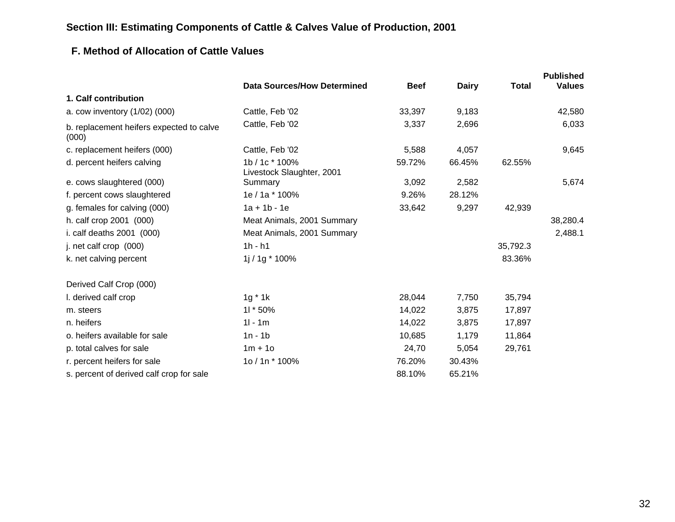|                                                   | <b>Data Sources/How Determined</b>          | <b>Beef</b> | <b>Dairy</b> | <b>Total</b> | <b>Published</b><br><b>Values</b> |
|---------------------------------------------------|---------------------------------------------|-------------|--------------|--------------|-----------------------------------|
| 1. Calf contribution                              |                                             |             |              |              |                                   |
|                                                   |                                             |             |              |              |                                   |
| a. cow inventory (1/02) (000)                     | Cattle, Feb '02                             | 33,397      | 9,183        |              | 42,580                            |
| b. replacement heifers expected to calve<br>(000) | Cattle, Feb '02                             | 3,337       | 2,696        |              | 6,033                             |
| c. replacement heifers (000)                      | Cattle, Feb '02                             | 5,588       | 4,057        |              | 9,645                             |
| d. percent heifers calving                        | 1b / 1c * 100%<br>Livestock Slaughter, 2001 | 59.72%      | 66.45%       | 62.55%       |                                   |
| e. cows slaughtered (000)                         | Summary                                     | 3,092       | 2,582        |              | 5,674                             |
| f. percent cows slaughtered                       | 1e / 1a * 100%                              | 9.26%       | 28.12%       |              |                                   |
| g. females for calving (000)                      | $1a + 1b - 1e$                              | 33,642      | 9,297        | 42,939       |                                   |
| h. calf crop 2001 (000)                           | Meat Animals, 2001 Summary                  |             |              |              | 38,280.4                          |
| i. calf deaths 2001 (000)                         | Meat Animals, 2001 Summary                  |             |              |              | 2,488.1                           |
| j. net calf crop $(000)$                          | $1h - h1$                                   |             |              | 35,792.3     |                                   |
| k. net calving percent                            | 1j / 1g * 100%                              |             |              | 83.36%       |                                   |
| Derived Calf Crop (000)                           |                                             |             |              |              |                                   |
| I. derived calf crop                              | $1g * 1k$                                   | 28,044      | 7,750        | 35,794       |                                   |
| m. steers                                         | 11 * 50%                                    | 14,022      | 3,875        | 17,897       |                                   |
| n. heifers                                        | $11 - 1m$                                   | 14,022      | 3,875        | 17,897       |                                   |
| o. heifers available for sale                     | $1n - 1b$                                   | 10,685      | 1,179        | 11,864       |                                   |
| p. total calves for sale                          | $1m + 10$                                   | 24,70       | 5,054        | 29,761       |                                   |
| r. percent heifers for sale                       | 1o / 1n * 100%                              | 76.20%      | 30.43%       |              |                                   |
| s. percent of derived calf crop for sale          |                                             | 88.10%      | 65.21%       |              |                                   |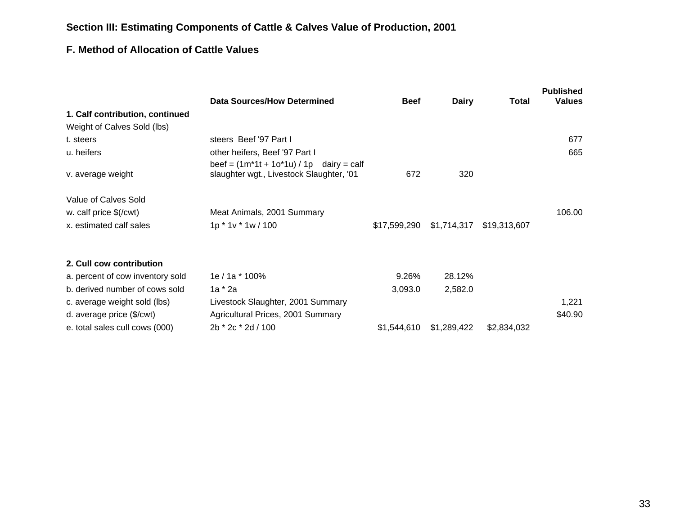|                                  | <b>Data Sources/How Determined</b>         | <b>Beef</b>  | <b>Dairy</b> | <b>Total</b> | <b>Published</b><br><b>Values</b> |
|----------------------------------|--------------------------------------------|--------------|--------------|--------------|-----------------------------------|
| 1. Calf contribution, continued  |                                            |              |              |              |                                   |
| Weight of Calves Sold (lbs)      |                                            |              |              |              |                                   |
| t. steers                        | steers Beef '97 Part I                     |              |              |              | 677                               |
| u. heifers                       | other heifers, Beef '97 Part I             |              |              |              | 665                               |
|                                  | beef = $(1m*1t + 10*1u) / 1p$ dairy = calf |              |              |              |                                   |
| v. average weight                | slaughter wgt., Livestock Slaughter, '01   | 672          | 320          |              |                                   |
| Value of Calves Sold             |                                            |              |              |              |                                   |
| w. calf price $$$ $\sqrt{(cwt)}$ | Meat Animals, 2001 Summary                 |              |              |              | 106.00                            |
| x. estimated calf sales          | 1p * 1v * 1w / 100                         | \$17,599,290 | \$1,714,317  | \$19,313,607 |                                   |
| 2. Cull cow contribution         |                                            |              |              |              |                                   |
| a. percent of cow inventory sold | 1e / 1a * 100%                             | 9.26%        | 28.12%       |              |                                   |
| b. derived number of cows sold   | 1a * 2a                                    | 3,093.0      | 2,582.0      |              |                                   |
| c. average weight sold (lbs)     | Livestock Slaughter, 2001 Summary          |              |              |              | 1,221                             |
| d. average price (\$/cwt)        | Agricultural Prices, 2001 Summary          |              |              |              | \$40.90                           |
| e. total sales cull cows (000)   | 2b * 2c * 2d / 100                         | \$1,544,610  | \$1,289,422  | \$2,834,032  |                                   |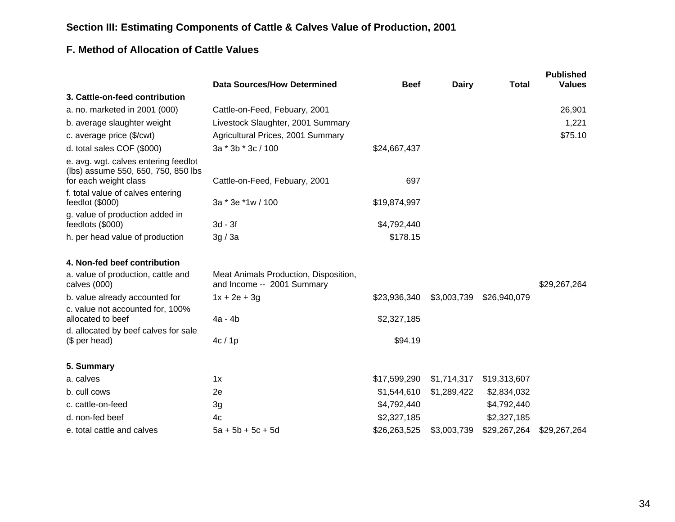|                                                                                                      | <b>Data Sources/How Determined</b>                                  | <b>Beef</b>  | <b>Dairy</b> | <b>Total</b> | <b>Published</b><br><b>Values</b> |
|------------------------------------------------------------------------------------------------------|---------------------------------------------------------------------|--------------|--------------|--------------|-----------------------------------|
| 3. Cattle-on-feed contribution                                                                       |                                                                     |              |              |              |                                   |
| a. no. marketed in 2001 (000)                                                                        | Cattle-on-Feed, Febuary, 2001                                       |              |              |              | 26,901                            |
| b. average slaughter weight                                                                          | Livestock Slaughter, 2001 Summary                                   |              |              |              | 1,221                             |
| c. average price (\$/cwt)                                                                            | Agricultural Prices, 2001 Summary                                   |              |              |              | \$75.10                           |
| d. total sales COF (\$000)                                                                           | 3a * 3b * 3c / 100                                                  | \$24,667,437 |              |              |                                   |
| e. avg. wgt. calves entering feedlot<br>(lbs) assume 550, 650, 750, 850 lbs<br>for each weight class | Cattle-on-Feed, Febuary, 2001                                       | 697          |              |              |                                   |
| f. total value of calves entering<br>feedlot (\$000)                                                 | 3a * 3e *1w / 100                                                   | \$19,874,997 |              |              |                                   |
| g. value of production added in<br>feedlots (\$000)                                                  | $3d - 3f$                                                           | \$4,792,440  |              |              |                                   |
| h. per head value of production                                                                      | 3g/3a                                                               | \$178.15     |              |              |                                   |
| 4. Non-fed beef contribution                                                                         |                                                                     |              |              |              |                                   |
| a. value of production, cattle and<br>calves (000)                                                   | Meat Animals Production, Disposition,<br>and Income -- 2001 Summary |              |              |              | \$29,267,264                      |
| b. value already accounted for                                                                       | $1x + 2e + 3g$                                                      | \$23,936,340 | \$3,003,739  | \$26,940,079 |                                   |
| c. value not accounted for, 100%<br>allocated to beef                                                | 4a - 4b                                                             | \$2,327,185  |              |              |                                   |
| d. allocated by beef calves for sale<br>(\$ per head)                                                | 4c/1p                                                               | \$94.19      |              |              |                                   |
| 5. Summary                                                                                           |                                                                     |              |              |              |                                   |
| a. calves                                                                                            | 1x                                                                  | \$17,599,290 | \$1,714,317  | \$19,313,607 |                                   |
| b. cull cows                                                                                         | 2e                                                                  | \$1,544,610  | \$1,289,422  | \$2,834,032  |                                   |
| c. cattle-on-feed                                                                                    | 3g                                                                  | \$4,792,440  |              | \$4,792,440  |                                   |
| d. non-fed beef                                                                                      | 4c                                                                  | \$2,327,185  |              | \$2,327,185  |                                   |
| e. total cattle and calves                                                                           | $5a + 5b + 5c + 5d$                                                 | \$26,263,525 | \$3,003,739  | \$29,267,264 | \$29,267,264                      |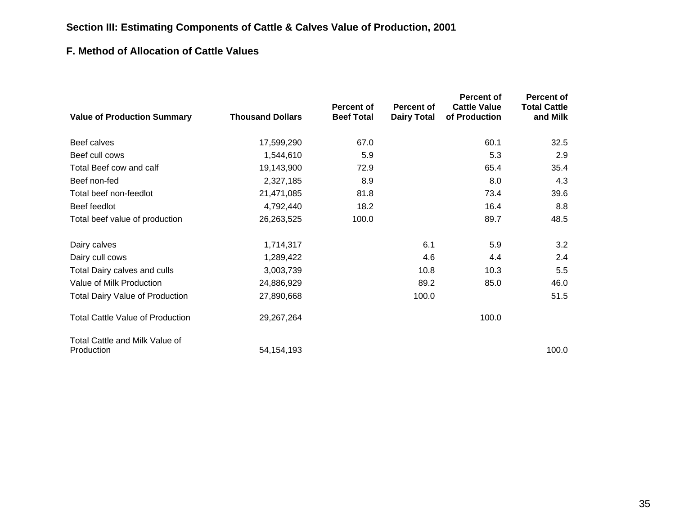| <b>Value of Production Summary</b>           | <b>Thousand Dollars</b> | <b>Percent of</b><br><b>Beef Total</b> | <b>Percent of</b><br><b>Dairy Total</b> | <b>Percent of</b><br><b>Cattle Value</b><br>of Production | Percent of<br><b>Total Cattle</b><br>and Milk |
|----------------------------------------------|-------------------------|----------------------------------------|-----------------------------------------|-----------------------------------------------------------|-----------------------------------------------|
| Beef calves                                  | 17,599,290              | 67.0                                   |                                         | 60.1                                                      | 32.5                                          |
| Beef cull cows                               | 1,544,610               | 5.9                                    |                                         | 5.3                                                       | 2.9                                           |
| Total Beef cow and calf                      | 19,143,900              | 72.9                                   |                                         | 65.4                                                      | 35.4                                          |
| Beef non-fed                                 | 2,327,185               | 8.9                                    |                                         | 8.0                                                       | 4.3                                           |
| Total beef non-feedlot                       | 21,471,085              | 81.8                                   |                                         | 73.4                                                      | 39.6                                          |
| Beef feedlot                                 | 4,792,440               | 18.2                                   |                                         | 16.4                                                      | 8.8                                           |
| Total beef value of production               | 26,263,525              | 100.0                                  |                                         | 89.7                                                      | 48.5                                          |
| Dairy calves                                 | 1,714,317               |                                        | 6.1                                     | 5.9                                                       | 3.2                                           |
| Dairy cull cows                              | 1,289,422               |                                        | 4.6                                     | 4.4                                                       | 2.4                                           |
| Total Dairy calves and culls                 | 3,003,739               |                                        | 10.8                                    | 10.3                                                      | 5.5                                           |
| Value of Milk Production                     | 24,886,929              |                                        | 89.2                                    | 85.0                                                      | 46.0                                          |
| <b>Total Dairy Value of Production</b>       | 27,890,668              |                                        | 100.0                                   |                                                           | 51.5                                          |
| <b>Total Cattle Value of Production</b>      | 29,267,264              |                                        |                                         | 100.0                                                     |                                               |
| Total Cattle and Milk Value of<br>Production | 54, 154, 193            |                                        |                                         |                                                           | 100.0                                         |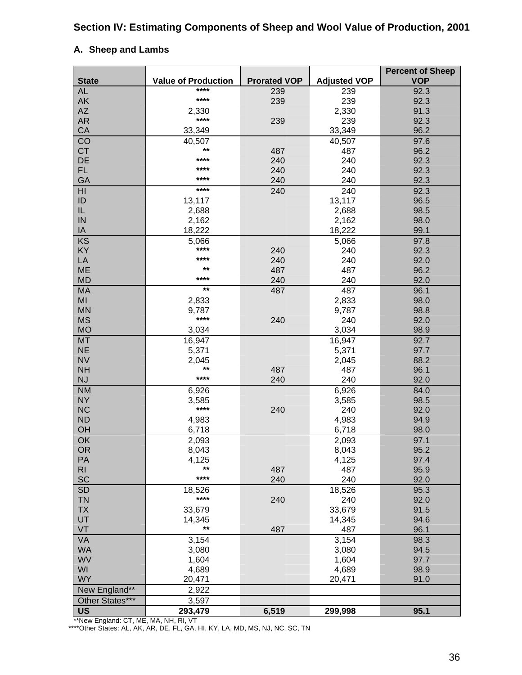# **A. Sheep and Lambs**

| <b>State</b>                          | <b>Value of Production</b> | <b>Prorated VOP</b> | <b>Adjusted VOP</b> | <b>Percent of Sheep</b><br><b>VOP</b> |
|---------------------------------------|----------------------------|---------------------|---------------------|---------------------------------------|
| <b>AL</b>                             | ****                       | 239                 | 239                 | 92.3                                  |
| AK                                    | ****                       | 239                 | 239                 | 92.3                                  |
| <b>AZ</b>                             | 2,330                      |                     | 2,330               | 91.3                                  |
| <b>AR</b>                             | ****                       |                     | 239                 |                                       |
|                                       |                            | 239                 |                     | 92.3                                  |
| CA                                    | 33,349                     |                     | 33,349              | 96.2                                  |
| CO                                    | 40,507<br>$***$            |                     | 40,507              | 97.6                                  |
| <b>CT</b>                             | ****                       | 487                 | 487                 | 96.2                                  |
| DE                                    | ****                       | 240                 | 240                 | 92.3                                  |
| <b>FL</b>                             | ****                       | 240                 | 240                 | 92.3                                  |
| GA                                    | ****                       | 240                 | 240                 | 92.3                                  |
| HI                                    |                            | 240                 | 240                 | 92.3                                  |
| ID                                    | 13,117                     |                     | 13,117              | 96.5                                  |
| IL                                    | 2,688                      |                     | 2,688               | 98.5                                  |
| IN                                    | 2,162                      |                     | 2,162               | 98.0                                  |
| IA                                    | 18,222                     |                     | 18,222              | 99.1                                  |
| KS                                    | 5,066                      |                     | 5,066               | 97.8                                  |
| KY                                    | ****                       | 240                 | 240                 | 92.3                                  |
| LA                                    | ****                       | 240                 | 240                 | 92.0                                  |
| <b>ME</b>                             | $***$                      | 487                 | 487                 | 96.2                                  |
| <b>MD</b>                             | ****                       | 240                 | 240                 | 92.0                                  |
| <b>MA</b>                             | $***$                      | 487                 | 487                 | 96.1                                  |
| MI                                    | 2,833                      |                     | 2,833               | 98.0                                  |
| <b>MN</b>                             | 9,787                      |                     | 9,787               | 98.8                                  |
| <b>MS</b>                             | ****                       | 240                 | 240                 | 92.0                                  |
| <b>MO</b>                             | 3,034                      |                     | 3,034               | 98.9                                  |
| <b>MT</b>                             | 16,947                     |                     | 16,947              | 92.7                                  |
| <b>NE</b>                             | 5,371                      |                     | 5,371               | 97.7                                  |
| <b>NV</b>                             | 2,045                      |                     | 2,045               | 88.2                                  |
| <b>NH</b>                             | **                         | 487                 | 487                 | 96.1                                  |
| <b>NJ</b>                             | ****                       | 240                 | 240                 | 92.0                                  |
| <b>NM</b>                             | 6,926                      |                     | 6,926               | 84.0                                  |
| <b>NY</b>                             | 3,585                      |                     | 3,585               | 98.5                                  |
| <b>NC</b>                             | ****                       | 240                 | 240                 | 92.0                                  |
| <b>ND</b>                             | 4,983                      |                     | 4,983               | 94.9                                  |
| OH                                    | 6,718                      |                     | 6,718               | 98.0                                  |
| OK                                    | 2,093                      |                     | 2,093               | 97.1                                  |
| <b>OR</b>                             | 8,043                      |                     | 8,043               | 95.2                                  |
| PA                                    | 4,125                      |                     | 4,125               | 97.4                                  |
| R <sub>l</sub>                        | $***$                      | 487                 | 487                 | 95.9                                  |
| SC                                    | ****                       | 240                 | 240                 | 92.0                                  |
| <b>SD</b>                             | 18,526                     |                     | 18,526              | 95.3                                  |
| <b>TN</b>                             | ****                       | 240                 | 240                 | 92.0                                  |
| <b>TX</b>                             | 33,679                     |                     | 33,679              | 91.5                                  |
| UT                                    | 14,345                     |                     | 14,345              | 94.6                                  |
| VT                                    | $***$                      | 487                 | 487                 | 96.1                                  |
| VA                                    | 3,154                      |                     | 3,154               | 98.3                                  |
| <b>WA</b>                             | 3,080                      |                     | 3,080               | 94.5                                  |
| <b>WV</b>                             | 1,604                      |                     | 1,604               | 97.7                                  |
| WI                                    | 4,689                      |                     | 4,689               | 98.9                                  |
| <b>WY</b>                             | 20,471                     |                     | 20,471              | 91.0                                  |
| New England**                         | 2,922                      |                     |                     |                                       |
| Other States***                       | 3,597                      |                     |                     |                                       |
| <b>US</b>                             | 293,479                    | 6,519               | 299,998             | 95.1                                  |
| **New England: CT, ME, MA, NH, RI, VT |                            |                     |                     |                                       |

\*\*\*\*Other States: AL, AK, AR, DE, FL, GA, HI, KY, LA, MD, MS, NJ, NC, SC, TN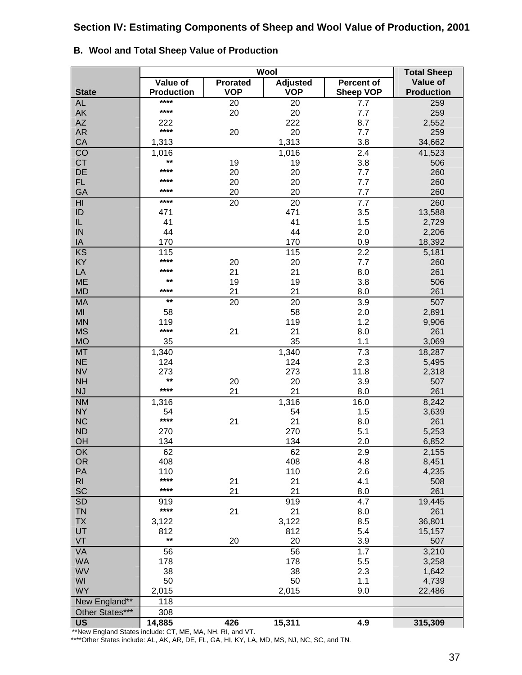|                        | Wool              |                 |                 |                   |                                |
|------------------------|-------------------|-----------------|-----------------|-------------------|--------------------------------|
|                        | Value of          | <b>Prorated</b> | <b>Adjusted</b> | <b>Percent of</b> | <b>Total Sheep</b><br>Value of |
| <b>State</b>           | <b>Production</b> | <b>VOP</b>      | <b>VOP</b>      | <b>Sheep VOP</b>  | <b>Production</b>              |
| <b>AL</b>              | ****              | 20              | 20              | 7.7               | 259                            |
| AK                     | ****              | 20              | 20              | 7.7               | 259                            |
| <b>AZ</b>              | 222               |                 | 222             | 8.7               | 2,552                          |
| <b>AR</b>              | ****              | 20              | 20              | 7.7               | 259                            |
| CA                     | 1,313             |                 | 1,313           | 3.8               | 34,662                         |
| CO                     | 1,016             |                 | 1,016           | 2.4               | 41,523                         |
| <b>CT</b>              | $\star\star$      | 19              | 19              | 3.8               | 506                            |
| DE                     | ****              | 20              | 20              | 7.7               | 260                            |
| <b>FL</b>              | ****              | 20              | 20              | 7.7               | 260                            |
| GA                     | ****              | 20              | 20              | 7.7               | 260                            |
| H <sub>l</sub>         | ****              | 20              | 20              | 7.7               | 260                            |
| ID                     | 471               |                 | 471             | 3.5               | 13,588                         |
| IL                     | 41                |                 | 41              | 1.5               | 2,729                          |
| IN                     | 44                |                 | 44              | 2.0               | 2,206                          |
| IA                     | 170               |                 | 170             | 0.9               | 18,392                         |
| KS                     | 115               |                 | 115             | 2.2               | 5,181                          |
| KY                     | ****              | 20              | 20              | 7.7               | 260                            |
| LA                     | ****              | 21              | 21              | 8.0               | 261                            |
| <b>ME</b>              | $***$<br>****     | 19              | 19              | 3.8               | 506                            |
| <b>MD</b>              |                   | 21              | 21              | 8.0               | 261                            |
| <b>MA</b>              | $***$             | 20              | 20              | 3.9               | 507                            |
| MI                     | 58                |                 | 58              | 2.0               | 2,891                          |
| <b>MN</b>              | 119<br>****       |                 | 119             | 1.2               | 9,906                          |
| <b>MS</b><br><b>MO</b> |                   | 21              | 21<br>35        | 8.0               | 261                            |
|                        | 35                |                 |                 | 1.1               | 3,069                          |
| <b>MT</b>              | 1,340             |                 | 1,340           | 7.3               | 18,287                         |
| <b>NE</b><br><b>NV</b> | 124<br>273        |                 | 124             | 2.3<br>11.8       | 5,495                          |
| <b>NH</b>              | $***$             | 20              | 273<br>20       | 3.9               | 2,318<br>507                   |
| <b>NJ</b>              | ****              | 21              | 21              | 8.0               | 261                            |
| <b>NM</b>              | 1,316             |                 | 1,316           | 16.0              | 8,242                          |
| <b>NY</b>              | 54                |                 | 54              | 1.5               | 3,639                          |
| <b>NC</b>              | ****              | 21              | 21              | 8.0               | 261                            |
| <b>ND</b>              | 270               |                 | 270             | 5.1               | 5,253                          |
| OH                     | 134               |                 | 134             | 2.0               | 6,852                          |
| OK                     | 62                |                 | 62              | 2.9               | 2,155                          |
| <b>OR</b>              | 408               |                 | 408             | 4.8               | 8,451                          |
| PA                     | 110               |                 | 110             | 2.6               | 4,235                          |
| R <sub>l</sub>         | ****              | 21              | 21              | 4.1               | 508                            |
| SC                     | ****              | 21              | 21              | 8.0               | 261                            |
| <b>SD</b>              | 919               |                 | 919             | 4.7               | 19,445                         |
| <b>TN</b>              | ****              | 21              | 21              | 8.0               | 261                            |
| <b>TX</b>              | 3,122             |                 | 3,122           | 8.5               | 36,801                         |
| UT                     | 812               |                 | 812             | 5.4               | 15,157                         |
| VT                     | $\star\star$      | 20              | 20              | 3.9               | 507                            |
| VA                     | 56                |                 | 56              | 1.7               | 3,210                          |
| <b>WA</b>              | 178               |                 | 178             | 5.5               | 3,258                          |
| WV                     | 38                |                 | 38              | 2.3               | 1,642                          |
| WI                     | 50                |                 | 50              | 1.1               | 4,739                          |
| <b>WY</b>              | 2,015             |                 | 2,015           | 9.0               | 22,486                         |
| New England**          | 118               |                 |                 |                   |                                |
| Other States***        | 308               |                 |                 |                   |                                |
| <b>US</b>              | 14,885            | 426             | 15,311          | 4.9               | 315,309                        |

# **B. Wool and Total Sheep Value of Production**

\*\*New England States include: CT, ME, MA, NH, RI, and VT.

\*\*\*\*Other States include: AL, AK, AR, DE, FL, GA, HI, KY, LA, MD, MS, NJ, NC, SC, and TN.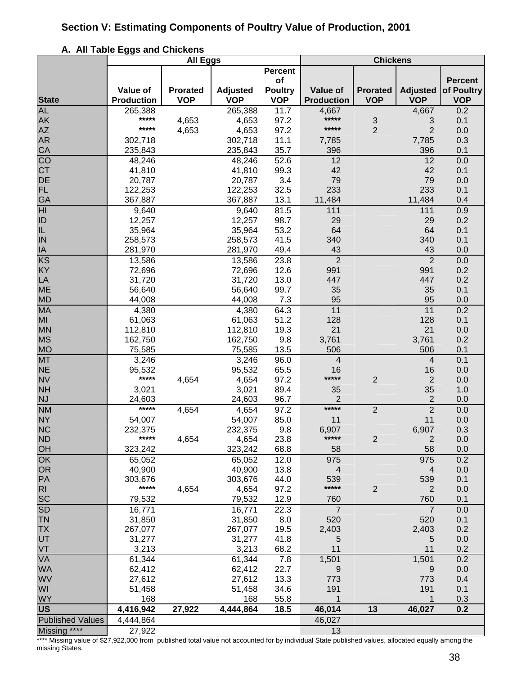|                         | All Eggs          |                 |                   | <b>Chickens</b> |                      |                 |                      |                |
|-------------------------|-------------------|-----------------|-------------------|-----------------|----------------------|-----------------|----------------------|----------------|
|                         |                   |                 |                   | Percent         |                      |                 |                      |                |
|                         |                   |                 |                   | of              |                      |                 |                      | <b>Percent</b> |
|                         | Value of          | <b>Prorated</b> | <b>Adjusted</b>   | <b>Poultry</b>  | Value of             | <b>Prorated</b> | <b>Adjusted</b>      | of Poultry     |
| <b>State</b>            | <b>Production</b> | <b>VOP</b>      | <b>VOP</b>        | <b>VOP</b>      | <b>Production</b>    | <b>VOP</b>      | <b>VOP</b>           | <b>VOP</b>     |
| <b>AL</b>               | 265,388           |                 | 265,388           | 11.7            | 4,667                |                 | 4,667                | 0.2            |
| AK                      | *****             | 4,653           | 4,653             | 97.2            | *****                | $\sqrt{3}$      | 3                    | 0.1            |
| AZ                      | *****             | 4,653           | 4,653             | 97.2            | *****                | $\overline{2}$  | 2                    | 0.0            |
| <b>AR</b>               | 302,718           |                 | 302,718           | 11.1            | 7,785                |                 | 7,785                | 0.3            |
| CA                      | 235,843           |                 | 235,843           | 35.7            | 396                  |                 | 396                  | 0.1            |
| $\overline{CO}$         | 48,246            |                 | 48,246            | 52.6            | 12                   |                 | 12                   | 0.0            |
| <b>CT</b>               | 41,810            |                 | 41,810            | 99.3            | 42                   |                 | 42                   | 0.1            |
| DE                      | 20,787            |                 | 20,787            | 3.4             | 79                   |                 | 79                   | 0.0            |
| <b>FL</b>               | 122,253           |                 | 122,253           | 32.5            | 233                  |                 | 233                  | 0.1            |
| GA                      | 367,887           |                 | 367,887           | 13.1            | 11,484               |                 | 11,484               | 0.4            |
| H <sub>l</sub>          | 9,640             |                 | 9,640             | 81.5            | 111                  |                 | 111                  | 0.9            |
| ID                      | 12,257            |                 | 12,257            | 98.7            | 29                   |                 | 29                   | 0.2            |
| IL                      | 35,964            |                 | 35,964            | 53.2            | 64                   |                 | 64                   | 0.1            |
| IN                      | 258,573           |                 | 258,573           | 41.5            | 340                  |                 | 340                  | 0.1            |
| IA                      | 281,970           |                 | 281,970           | 49.4            | 43<br>$\overline{2}$ |                 | 43<br>$\overline{2}$ | 0.0            |
| KS                      | 13,586            |                 | 13,586<br>72,696  | 23.8<br>12.6    | 991                  |                 | 991                  | 0.0<br>0.2     |
| KY<br>LA                | 72,696<br>31,720  |                 | 31,720            | 13.0            | 447                  |                 | 447                  | 0.2            |
| <b>ME</b>               | 56,640            |                 | 56,640            | 99.7            | 35                   |                 | 35                   | 0.1            |
| <b>MD</b>               | 44,008            |                 | 44,008            | 7.3             | 95                   |                 | 95                   | 0.0            |
| MA                      | 4,380             |                 | 4,380             | 64.3            | 11                   |                 | 11                   | 0.2            |
| MI                      | 61,063            |                 | 61,063            | 51.2            | 128                  |                 | 128                  | 0.1            |
| <b>MN</b>               | 112,810           |                 | 112,810           | 19.3            | 21                   |                 | 21                   | 0.0            |
| <b>MS</b>               | 162,750           |                 | 162,750           | 9.8             | 3,761                |                 | 3,761                | 0.2            |
| <b>MO</b>               | 75,585            |                 | 75,585            | 13.5            | 506                  |                 | 506                  | 0.1            |
| <b>MT</b>               | 3,246             |                 | 3,246             | 96.0            | 4                    |                 | $\overline{4}$       | 0.1            |
| <b>NE</b>               | 95,532            |                 | 95,532            | 65.5            | 16                   |                 | 16                   | 0.0            |
| <b>NV</b>               | *****             | 4,654           | 4,654             | 97.2            | *****                | $\overline{2}$  | $\overline{2}$       | 0.0            |
| <b>NH</b>               | 3,021             |                 | 3,021             | 89.4            | 35                   |                 | 35                   | 1.0            |
| <b>NJ</b>               | 24,603            |                 | 24,603            | 96.7            | $\overline{2}$       |                 | $\overline{2}$       | 0.0            |
| <b>NM</b>               | *****             | 4,654           | 4,654             | 97.2            | *****                | $\overline{2}$  | $\overline{2}$       | 0.0            |
| <b>NY</b>               | 54,007            |                 | 54,007            | 85.0            | 11                   |                 | 11                   | 0.0            |
| <b>NC</b>               | 232,375           |                 | 232,375           | 9.8             | 6,907                |                 | 6,907                | 0.3            |
| <b>ND</b>               | *****             | 4,654           | 4,654             | 23.8            | *****                | $\overline{2}$  | $\overline{2}$       | 0.0            |
| OH                      | 323,242           |                 | 323,242           | 68.8            | 58                   |                 | 58                   | 0.0            |
| OK                      | 65,052            |                 | 65,052            | 12.0            | 975                  |                 | 975                  | 0.2            |
| <b>OR</b>               | 40,900            |                 | 40,900            | 13.8            | 4                    |                 | 4                    | 0.0            |
| PA                      | 303,676<br>*****  |                 | 303,676           | 44.0            | 539<br>*****         |                 | 539                  | 0.1            |
| RI                      |                   | 4,654           | 4,654             | 97.2            |                      | $\overline{2}$  | $\overline{2}$       | 0.0            |
| SC                      | 79,532            |                 | 79,532            | 12.9            | 760                  |                 | 760                  | 0.1            |
| <b>SD</b>               | 16,771            |                 | 16,771            | 22.3            | $\overline{7}$       |                 | $\overline{7}$       | 0.0            |
| <b>TN</b>               | 31,850<br>267,077 |                 | 31,850            | 8.0             | 520<br>2,403         |                 | 520                  | 0.1            |
| <b>TX</b><br>UT         | 31,277            |                 | 267,077<br>31,277 | 19.5<br>41.8    |                      |                 | 2,403                | 0.2            |
| VT                      | 3,213             |                 | 3,213             | 68.2            | 5<br>11              |                 | 5<br>11              | 0.0<br>0.2     |
| VA                      | 61,344            |                 | 61,344            | 7.8             | 1,501                |                 | 1,501                | 0.2            |
| <b>WA</b>               | 62,412            |                 | 62,412            | 22.7            | 9                    |                 | 9                    | 0.0            |
| WV                      | 27,612            |                 | 27,612            | 13.3            | 773                  |                 | 773                  | 0.4            |
| WI                      | 51,458            |                 | 51,458            | 34.6            | 191                  |                 | 191                  | 0.1            |
| <b>WY</b>               | 168               |                 | 168               | 55.8            | $\mathbf 1$          |                 | 1                    | 0.3            |
| <b>US</b>               | 4,416,942         | 27,922          | 4,444,864         | 18.5            | 46,014               | 13              | 46,027               | 0.2            |
| <b>Published Values</b> | 4,444,864         |                 |                   |                 | 46,027               |                 |                      |                |
| $***$<br>Missing        | 27,922            |                 |                   |                 | 13                   |                 |                      |                |

**A. All Table Eggs and Chickens** 

\*\*\*\* Missing value of \$27,922,000 from published total value not accounted for by individual State published values, allocated equally among the missing States.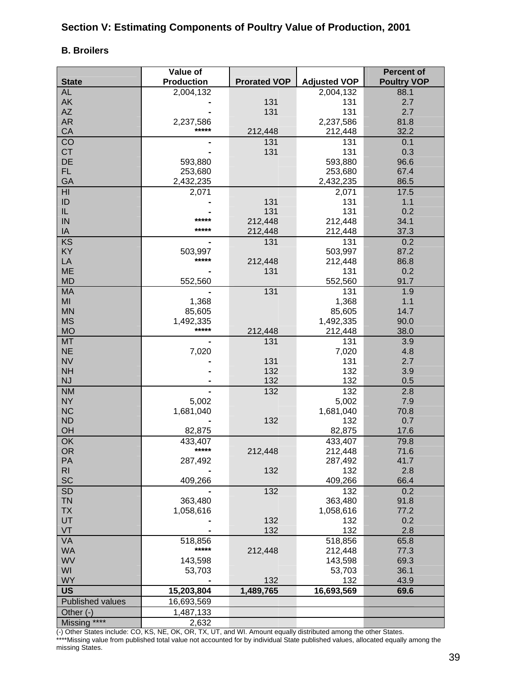# **Section V: Estimating Components of Poultry Value of Production, 2001**

### **B. Broilers**

|                  | Value of             |                     |                      | <b>Percent of</b>  |
|------------------|----------------------|---------------------|----------------------|--------------------|
| <b>State</b>     | <b>Production</b>    | <b>Prorated VOP</b> | <b>Adjusted VOP</b>  | <b>Poultry VOP</b> |
| <b>AL</b>        | 2,004,132            |                     | 2,004,132            | 88.1               |
| AK               |                      | 131                 | 131                  | 2.7                |
| <b>AZ</b>        |                      | 131                 | 131                  | 2.7                |
| <b>AR</b>        | 2,237,586<br>*****   |                     | 2,237,586            | 81.8               |
| CA               |                      | 212,448             | 212,448              | 32.2               |
| CO               |                      | 131                 | 131                  | 0.1                |
| <b>CT</b>        |                      | 131                 | 131                  | 0.3                |
| DE<br>FL         | 593,880              |                     | 593,880              | 96.6               |
| GA               | 253,680<br>2,432,235 |                     | 253,680<br>2,432,235 | 67.4<br>86.5       |
| H <sub>l</sub>   |                      |                     | 2,071                | 17.5               |
| ID               | 2,071                | 131                 | 131                  | 1.1                |
| IL               |                      | 131                 | 131                  | 0.2                |
| IN               | *****                | 212,448             | 212,448              | 34.1               |
| IA               | *****                | 212,448             | 212,448              | 37.3               |
| KS               |                      | 131                 | 131                  | 0.2                |
| KY               | 503,997              |                     | 503,997              | 87.2               |
| LA               | *****                | 212,448             | 212,448              | 86.8               |
| <b>ME</b>        |                      | 131                 | 131                  | 0.2                |
| <b>MD</b>        | 552,560              |                     | 552,560              | 91.7               |
| <b>MA</b>        |                      | 131                 | 131                  | 1.9                |
| MI               | 1,368                |                     | 1,368                | 1.1                |
| <b>MN</b>        | 85,605               |                     | 85,605               | 14.7               |
| <b>MS</b>        | 1,492,335            |                     | 1,492,335            | 90.0               |
| <b>MO</b>        | *****                | 212,448             | 212,448              | 38.0               |
| <b>MT</b>        |                      | 131                 | 131                  | 3.9                |
| <b>NE</b>        | 7,020                |                     | 7,020                | 4.8                |
| <b>NV</b>        |                      | 131                 | 131                  | 2.7                |
| <b>NH</b>        |                      | 132                 | 132                  | 3.9                |
| <b>NJ</b>        |                      | 132                 | 132                  | 0.5                |
| <b>NM</b>        |                      | 132                 | 132                  | 2.8                |
| <b>NY</b>        | 5,002                |                     | 5,002                | 7.9                |
| <b>NC</b>        | 1,681,040            |                     | 1,681,040            | 70.8               |
| <b>ND</b>        |                      | 132                 | 132                  | 0.7                |
| OH               | 82,875               |                     | 82,875               | 17.6               |
| OK               | 433,407<br>*****     |                     | 433,407              | 79.8               |
| <b>OR</b><br>PA  |                      | 212,448             | 212,448<br>287,492   | 71.6               |
| R <sub>l</sub>   | 287,492              | 132                 | 132                  | 41.7<br>2.8        |
| SC               | 409,266              |                     | 409,266              | 66.4               |
| <b>SD</b>        |                      | 132                 | 132                  | 0.2                |
| <b>TN</b>        | 363,480              |                     | 363,480              | 91.8               |
| <b>TX</b>        | 1,058,616            |                     | 1,058,616            | 77.2               |
| UT               |                      | 132                 | 132                  | 0.2                |
| VT               |                      | 132                 | 132                  | 2.8                |
| VA               | 518,856              |                     | 518,856              | 65.8               |
| <b>WA</b>        | *****                | 212,448             | 212,448              | 77.3               |
| WV               | 143,598              |                     | 143,598              | 69.3               |
| WI               | 53,703               |                     | 53,703               | 36.1               |
| <b>WY</b>        |                      | 132                 | 132                  | 43.9               |
| <b>US</b>        | 15,203,804           | 1,489,765           | 16,693,569           | 69.6               |
| Published values | 16,693,569           |                     |                      |                    |
| Other (-)        | 1,487,133            |                     |                      |                    |
| $***$<br>Missing | 2,632                |                     |                      |                    |

(-) Other States include: CO, KS, NE, OK, OR, TX, UT, and WI. Amount equally distributed among the other States. \*\*\*\*Missing value from published total value not accounted for by individual State published values, allocated equally among the missing States.